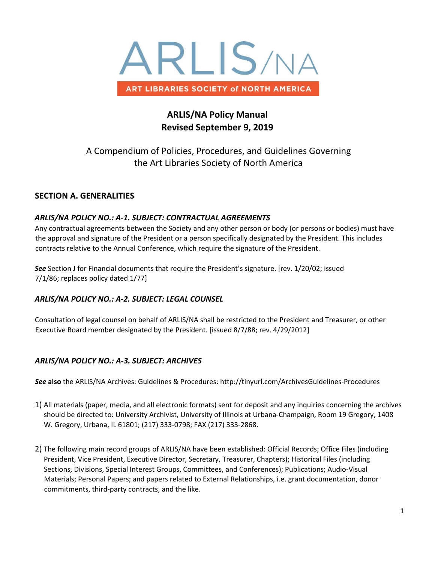

# **ARLIS/NA Policy Manual Revised September 9, 2019**

A Compendium of Policies, Procedures, and Guidelines Governing the Art Libraries Society of North America

# **SECTION A. GENERALITIES**

## *ARLIS/NA POLICY NO.: A-1. SUBJECT: CONTRACTUAL AGREEMENTS*

Any contractual agreements between the Society and any other person or body (or persons or bodies) must have the approval and signature of the President or a person specifically designated by the President. This includes contracts relative to the Annual Conference, which require the signature of the President.

*See* Section J for Financial documents that require the President's signature. [rev. 1/20/02; issued 7/1/86; replaces policy dated 1/77]

# *ARLIS/NA POLICY NO.: A-2. SUBJECT: LEGAL COUNSEL*

Consultation of legal counsel on behalf of ARLIS/NA shall be restricted to the President and Treasurer, or other Executive Board member designated by the President. [issued 8/7/88; rev. 4/29/2012]

# *ARLIS/NA POLICY NO.: A-3. SUBJECT: ARCHIVES*

*See* **also** the ARLIS/NA Archives: Guidelines & Procedures: http://tinyurl.com/ArchivesGuidelines-Procedures

- 1) All materials (paper, media, and all electronic formats) sent for deposit and any inquiries concerning the archives should be directed to: University Archivist, University of Illinois at Urbana-Champaign, Room 19 Gregory, 1408 W. Gregory, Urbana, IL 61801; (217) 333-0798; FAX (217) 333-2868.
- 2) The following main record groups of ARLIS/NA have been established: Official Records; Office Files (including President, Vice President, Executive Director, Secretary, Treasurer, Chapters); Historical Files (including Sections, Divisions, Special Interest Groups, Committees, and Conferences); Publications; Audio-Visual Materials; Personal Papers; and papers related to External Relationships, i.e. grant documentation, donor commitments, third-party contracts, and the like.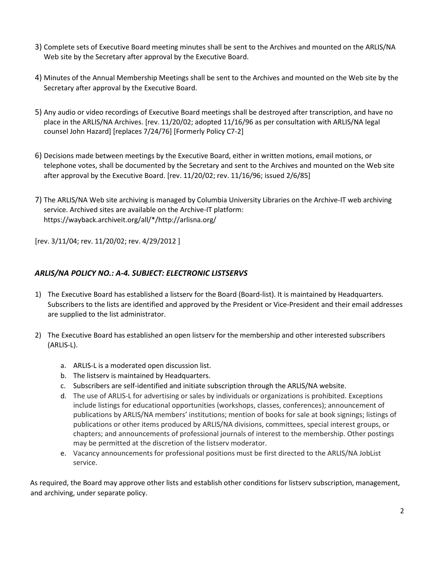- 3) Complete sets of Executive Board meeting minutes shall be sent to the Archives and mounted on the ARLIS/NA Web site by the Secretary after approval by the Executive Board.
- 4) Minutes of the Annual Membership Meetings shall be sent to the Archives and mounted on the Web site by the Secretary after approval by the Executive Board.
- 5) Any audio or video recordings of Executive Board meetings shall be destroyed after transcription, and have no place in the ARLIS/NA Archives. [rev. 11/20/02; adopted 11/16/96 as per consultation with ARLIS/NA legal counsel John Hazard] [replaces 7/24/76] [Formerly Policy C7-2]
- 6) Decisions made between meetings by the Executive Board, either in written motions, email motions, or telephone votes, shall be documented by the Secretary and sent to the Archives and mounted on the Web site after approval by the Executive Board. [rev. 11/20/02; rev. 11/16/96; issued 2/6/85]
- 7) The ARLIS/NA Web site archiving is managed by Columbia University Libraries on the Archive-IT web archiving service. Archived sites are available on the Archive-IT platform: https://wayback.archiveit.org/all/\*/http://arlisna.org/

[rev. 3/11/04; rev. 11/20/02; rev. 4/29/2012 ]

# *ARLIS/NA POLICY NO.: A-4. SUBJECT: ELECTRONIC LISTSERVS*

- 1) The Executive Board has established a listserv for the Board (Board-list). It is maintained by Headquarters. Subscribers to the lists are identified and approved by the President or Vice-President and their email addresses are supplied to the list administrator.
- 2) The Executive Board has established an open listserv for the membership and other interested subscribers (ARLIS-L).
	- a. ARLIS-L is a moderated open discussion list.
	- b. The listserv is maintained by Headquarters.
	- c. Subscribers are self-identified and initiate subscription through the ARLIS/NA website.
	- d. The use of ARLIS-L for advertising or sales by individuals or organizations is prohibited. Exceptions include listings for educational opportunities (workshops, classes, conferences); announcement of publications by ARLIS/NA members' institutions; mention of books for sale at book signings; listings of publications or other items produced by ARLIS/NA divisions, committees, special interest groups, or chapters; and announcements of professional journals of interest to the membership. Other postings may be permitted at the discretion of the listserv moderator.
	- e. Vacancy announcements for professional positions must be first directed to the ARLIS/NA JobList service.

As required, the Board may approve other lists and establish other conditions for listserv subscription, management, and archiving, under separate policy.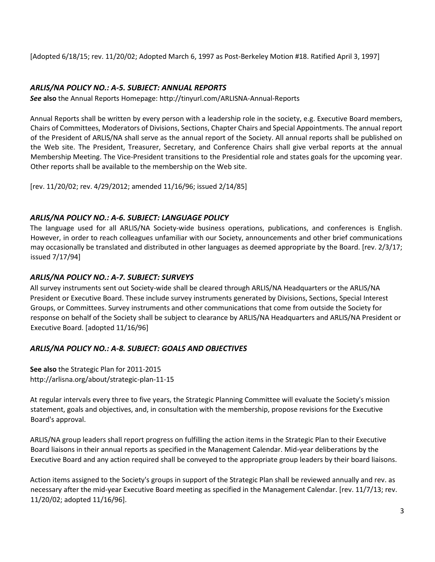[Adopted 6/18/15; rev. 11/20/02; Adopted March 6, 1997 as Post-Berkeley Motion #18. Ratified April 3, 1997]

# *ARLIS/NA POLICY NO.: A-5. SUBJECT: ANNUAL REPORTS*

*See* **also** the Annual Reports Homepage: http://tinyurl.com/ARLISNA-Annual-Reports

Annual Reports shall be written by every person with a leadership role in the society, e.g. Executive Board members, Chairs of Committees, Moderators of Divisions, Sections, Chapter Chairs and Special Appointments. The annual report of the President of ARLIS/NA shall serve as the annual report of the Society. All annual reports shall be published on the Web site. The President, Treasurer, Secretary, and Conference Chairs shall give verbal reports at the annual Membership Meeting. The Vice-President transitions to the Presidential role and states goals for the upcoming year. Other reports shall be available to the membership on the Web site.

[rev. 11/20/02; rev. 4/29/2012; amended 11/16/96; issued 2/14/85]

### *ARLIS/NA POLICY NO.: A-6. SUBJECT: LANGUAGE POLICY*

The language used for all ARLIS/NA Society-wide business operations, publications, and conferences is English. However, in order to reach colleagues unfamiliar with our Society, announcements and other brief communications may occasionally be translated and distributed in other languages as deemed appropriate by the Board. [rev. 2/3/17; issued 7/17/94]

## *ARLIS/NA POLICY NO.: A-7. SUBJECT: SURVEYS*

All survey instruments sent out Society-wide shall be cleared through ARLIS/NA Headquarters or the ARLIS/NA President or Executive Board. These include survey instruments generated by Divisions, Sections, Special Interest Groups, or Committees. Survey instruments and other communications that come from outside the Society for response on behalf of the Society shall be subject to clearance by ARLIS/NA Headquarters and ARLIS/NA President or Executive Board. [adopted 11/16/96]

# *ARLIS/NA POLICY NO.: A-8. SUBJECT: GOALS AND OBJECTIVES*

**See also** the Strategic Plan for 2011-2015 http://arlisna.org/about/strategic-plan-11-15

At regular intervals every three to five years, the Strategic Planning Committee will evaluate the Society's mission statement, goals and objectives, and, in consultation with the membership, propose revisions for the Executive Board's approval.

ARLIS/NA group leaders shall report progress on fulfilling the action items in the Strategic Plan to their Executive Board liaisons in their annual reports as specified in the Management Calendar. Mid-year deliberations by the Executive Board and any action required shall be conveyed to the appropriate group leaders by their board liaisons.

Action items assigned to the Society's groups in support of the Strategic Plan shall be reviewed annually and rev. as necessary after the mid-year Executive Board meeting as specified in the Management Calendar. [rev. 11/7/13; rev. 11/20/02; adopted 11/16/96].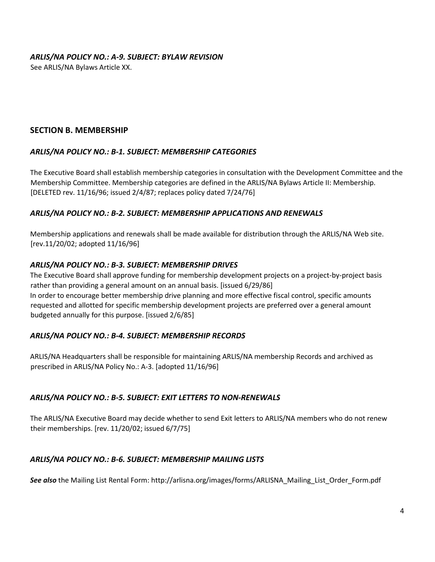### *ARLIS/NA POLICY NO.: A-9. SUBJECT: BYLAW REVISION*

See ARLIS/NA Bylaws Article XX.

## **SECTION B. MEMBERSHIP**

### *ARLIS/NA POLICY NO.: B-1. SUBJECT: MEMBERSHIP CATEGORIES*

The Executive Board shall establish membership categories in consultation with the Development Committee and the Membership Committee. Membership categories are defined in the ARLIS/NA Bylaws Article II: Membership. [DELETED rev. 11/16/96; issued 2/4/87; replaces policy dated 7/24/76]

### *ARLIS/NA POLICY NO.: B-2. SUBJECT: MEMBERSHIP APPLICATIONS AND RENEWALS*

Membership applications and renewals shall be made available for distribution through the ARLIS/NA Web site. [rev.11/20/02; adopted 11/16/96]

### *ARLIS/NA POLICY NO.: B-3. SUBJECT: MEMBERSHIP DRIVES*

The Executive Board shall approve funding for membership development projects on a project-by-project basis rather than providing a general amount on an annual basis. [issued 6/29/86] In order to encourage better membership drive planning and more effective fiscal control, specific amounts requested and allotted for specific membership development projects are preferred over a general amount budgeted annually for this purpose. [issued 2/6/85]

### *ARLIS/NA POLICY NO.: B-4. SUBJECT: MEMBERSHIP RECORDS*

ARLIS/NA Headquarters shall be responsible for maintaining ARLIS/NA membership Records and archived as prescribed in ARLIS/NA Policy No.: A-3. [adopted 11/16/96]

### *ARLIS/NA POLICY NO.: B-5. SUBJECT: EXIT LETTERS TO NON-RENEWALS*

The ARLIS/NA Executive Board may decide whether to send Exit letters to ARLIS/NA members who do not renew their memberships. [rev. 11/20/02; issued 6/7/75]

### *ARLIS/NA POLICY NO.: B-6. SUBJECT: MEMBERSHIP MAILING LISTS*

*See also* the Mailing List Rental Form: http://arlisna.org/images/forms/ARLISNA\_Mailing\_List\_Order\_Form.pdf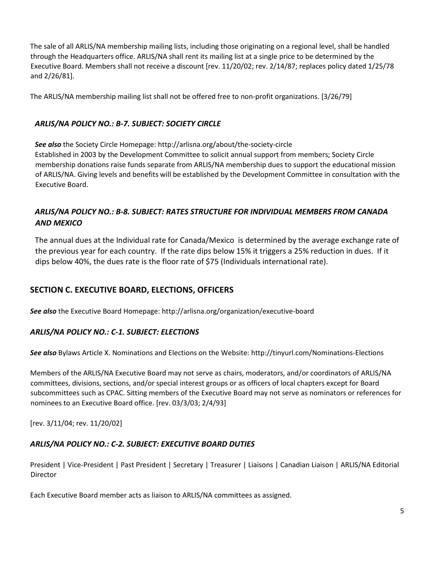The sale of all ARLIS/NA membership mailing lists, including those originating on a regional level, shall be handled through the Headquarters office. ARLIS/NA shall rent its mailing list at a single price to be determined by the Executive Board. Members shall not receive a discount [rev. 11/20/02; rev. 2/14/87; replaces policy dated 1/25/78 and 2/26/81].

The ARLIS/NA membership mailing list shall not be offered free to non-profit organizations. [3/26/79]

# *ARLIS/NA POLICY NO.: B-7. SUBJECT: SOCIETY CIRCLE*

*See also* the Society Circle Homepage: http://arlisna.org/about/the-society-circle Established in 2003 by the Development Committee to solicit annual support from members; Society Circle membership donations raise funds separate from ARLIS/NA membership dues to support the educational mission of ARLIS/NA. Giving levels and benefits will be established by the Development Committee in consultation with the Executive Board.

# *ARLIS/NA POLICY NO.: B-8. SUBJECT: RATES STRUCTURE FOR INDIVIDUAL MEMBERS FROM CANADA AND MEXICO*

The annual dues at the Individual rate for Canada/Mexico is determined by the average exchange rate of the previous year for each country. If the rate dips below 15% it triggers a 25% reduction in dues. If it dips below 40%, the dues rate is the floor rate of \$75 (Individuals international rate).

# **SECTION C. EXECUTIVE BOARD, ELECTIONS, OFFICERS**

*See also* the Executive Board Homepage: http://arlisna.org/organization/executive-board

# *ARLIS/NA POLICY NO.: C-1. SUBJECT: ELECTIONS*

*See also* Bylaws Article X. Nominations and Elections on the Website: http://tinyurl.com/Nominations-Elections

Members of the ARLIS/NA Executive Board may not serve as chairs, moderators, and/or coordinators of ARLIS/NA committees, divisions, sections, and/or special interest groups or as officers of local chapters except for Board subcommittees such as CPAC. Sitting members of the Executive Board may not serve as nominators or references for nominees to an Executive Board office. [rev. 03/3/03; 2/4/93]

[rev. 3/11/04; rev. 11/20/02]

# *ARLIS/NA POLICY NO.: C-2. SUBJECT: EXECUTIVE BOARD DUTIES*

President | Vice-President | Past President | Secretary | Treasurer | Liaisons | Canadian Liaison | ARLIS/NA Editorial **Director** 

Each Executive Board member acts as liaison to ARLIS/NA committees as assigned.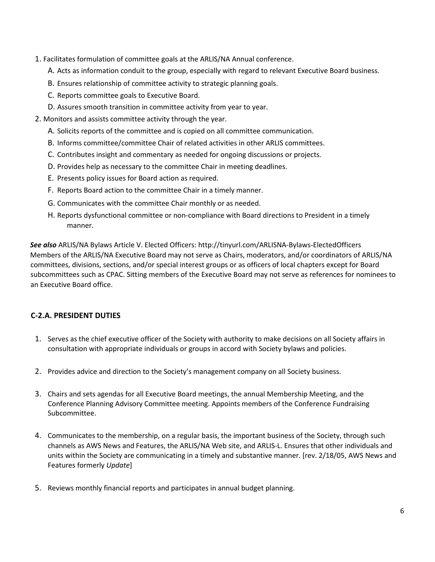- 1. Facilitates formulation of committee goals at the ARLIS/NA Annual conference.
	- A. Acts as information conduit to the group, especially with regard to relevant Executive Board business.
	- B. Ensures relationship of committee activity to strategic planning goals.
	- C. Reports committee goals to Executive Board.
	- D. Assures smooth transition in committee activity from year to year.
- 2. Monitors and assists committee activity through the year.
	- A. Solicits reports of the committee and is copied on all committee communication.
	- B. Informs committee/committee Chair of related activities in other ARLIS committees.
	- C. Contributes insight and commentary as needed for ongoing discussions or projects.
	- D. Provides help as necessary to the committee Chair in meeting deadlines.
	- E. Presents policy issues for Board action as required.
	- F. Reports Board action to the committee Chair in a timely manner.
	- G. Communicates with the committee Chair monthly or as needed.
	- H. Reports dysfunctional committee or non-compliance with Board directions to President in a timely manner.

*See also* ARLIS/NA Bylaws Article V. Elected Officers: http://tinyurl.com/ARLISNA-Bylaws-ElectedOfficers Members of the ARLIS/NA Executive Board may not serve as Chairs, moderators, and/or coordinators of ARLIS/NA committees, divisions, sections, and/or special interest groups or as officers of local chapters except for Board subcommittees such as CPAC. Sitting members of the Executive Board may not serve as references for nominees to an Executive Board office.

# **C-2.A. PRESIDENT DUTIES**

- 1. Serves as the chief executive officer of the Society with authority to make decisions on all Society affairs in consultation with appropriate individuals or groups in accord with Society bylaws and policies.
- 2. Provides advice and direction to the Society's management company on all Society business.
- 3. Chairs and sets agendas for all Executive Board meetings, the annual Membership Meeting, and the Conference Planning Advisory Committee meeting. Appoints members of the Conference Fundraising Subcommittee.
- 4. Communicates to the membership, on a regular basis, the important business of the Society, through such channels as AWS News and Features, the ARLIS/NA Web site, and ARLIS-L. Ensures that other individuals and units within the Society are communicating in a timely and substantive manner. [rev. 2/18/05, AWS News and Features formerly *Update*]
- 5. Reviews monthly financial reports and participates in annual budget planning.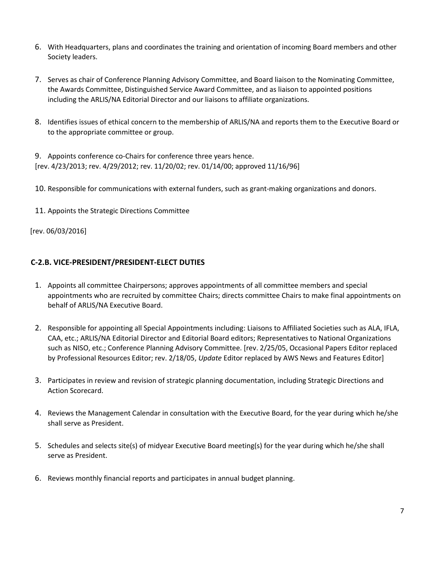- 6. With Headquarters, plans and coordinates the training and orientation of incoming Board members and other Society leaders.
- 7. Serves as chair of Conference Planning Advisory Committee, and Board liaison to the Nominating Committee, the Awards Committee, Distinguished Service Award Committee, and as liaison to appointed positions including the ARLIS/NA Editorial Director and our liaisons to affiliate organizations.
- 8. Identifies issues of ethical concern to the membership of ARLIS/NA and reports them to the Executive Board or to the appropriate committee or group.

9. Appoints conference co-Chairs for conference three years hence. [rev. 4/23/2013; rev. 4/29/2012; rev. 11/20/02; rev. 01/14/00; approved 11/16/96]

10. Responsible for communications with external funders, such as grant-making organizations and donors.

11. Appoints the Strategic Directions Committee

[rev. 06/03/2016]

### **C-2.B. VICE-PRESIDENT/PRESIDENT-ELECT DUTIES**

- 1. Appoints all committee Chairpersons; approves appointments of all committee members and special appointments who are recruited by committee Chairs; directs committee Chairs to make final appointments on behalf of ARLIS/NA Executive Board.
- 2. Responsible for appointing all Special Appointments including: Liaisons to Affiliated Societies such as ALA, IFLA, CAA, etc.; ARLIS/NA Editorial Director and Editorial Board editors; Representatives to National Organizations such as NISO, etc.; Conference Planning Advisory Committee. [rev. 2/25/05, Occasional Papers Editor replaced by Professional Resources Editor; rev. 2/18/05, *Update* Editor replaced by AWS News and Features Editor]
- 3. Participates in review and revision of strategic planning documentation, including Strategic Directions and Action Scorecard.
- 4. Reviews the Management Calendar in consultation with the Executive Board, for the year during which he/she shall serve as President.
- 5. Schedules and selects site(s) of midyear Executive Board meeting(s) for the year during which he/she shall serve as President.
- 6. Reviews monthly financial reports and participates in annual budget planning.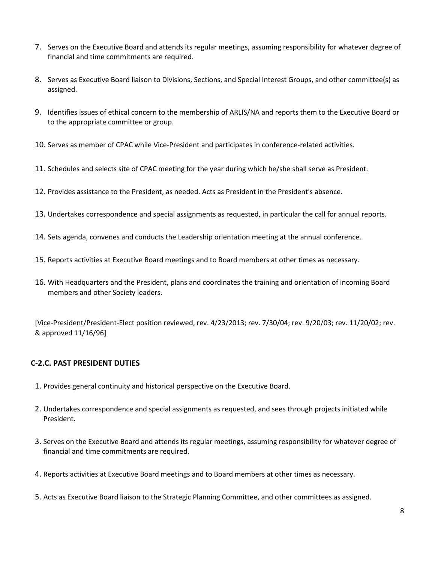- 7. Serves on the Executive Board and attends its regular meetings, assuming responsibility for whatever degree of financial and time commitments are required.
- 8. Serves as Executive Board liaison to Divisions, Sections, and Special Interest Groups, and other committee(s) as assigned.
- 9. Identifies issues of ethical concern to the membership of ARLIS/NA and reports them to the Executive Board or to the appropriate committee or group.
- 10. Serves as member of CPAC while Vice-President and participates in conference-related activities.
- 11. Schedules and selects site of CPAC meeting for the year during which he/she shall serve as President.
- 12. Provides assistance to the President, as needed. Acts as President in the President's absence.
- 13. Undertakes correspondence and special assignments as requested, in particular the call for annual reports.
- 14. Sets agenda, convenes and conducts the Leadership orientation meeting at the annual conference.
- 15. Reports activities at Executive Board meetings and to Board members at other times as necessary.
- 16. With Headquarters and the President, plans and coordinates the training and orientation of incoming Board members and other Society leaders.

[Vice-President/President-Elect position reviewed, rev. 4/23/2013; rev. 7/30/04; rev. 9/20/03; rev. 11/20/02; rev. & approved 11/16/96]

### **C-2.C. PAST PRESIDENT DUTIES**

- 1. Provides general continuity and historical perspective on the Executive Board.
- 2. Undertakes correspondence and special assignments as requested, and sees through projects initiated while President.
- 3. Serves on the Executive Board and attends its regular meetings, assuming responsibility for whatever degree of financial and time commitments are required.
- 4. Reports activities at Executive Board meetings and to Board members at other times as necessary.
- 5. Acts as Executive Board liaison to the Strategic Planning Committee, and other committees as assigned.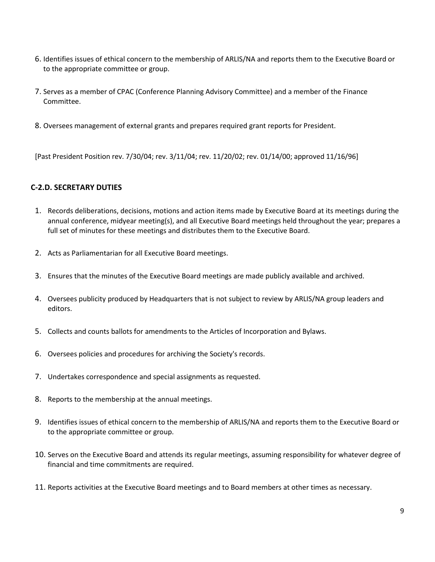- 6. Identifies issues of ethical concern to the membership of ARLIS/NA and reports them to the Executive Board or to the appropriate committee or group.
- 7. Serves as a member of CPAC (Conference Planning Advisory Committee) and a member of the Finance Committee.
- 8. Oversees management of external grants and prepares required grant reports for President.

[Past President Position rev. 7/30/04; rev. 3/11/04; rev. 11/20/02; rev. 01/14/00; approved 11/16/96]

## **C-2.D. SECRETARY DUTIES**

- 1. Records deliberations, decisions, motions and action items made by Executive Board at its meetings during the annual conference, midyear meeting(s), and all Executive Board meetings held throughout the year; prepares a full set of minutes for these meetings and distributes them to the Executive Board.
- 2. Acts as Parliamentarian for all Executive Board meetings.
- 3. Ensures that the minutes of the Executive Board meetings are made publicly available and archived.
- 4. Oversees publicity produced by Headquarters that is not subject to review by ARLIS/NA group leaders and editors.
- 5. Collects and counts ballots for amendments to the Articles of Incorporation and Bylaws.
- 6. Oversees policies and procedures for archiving the Society's records.
- 7. Undertakes correspondence and special assignments as requested.
- 8. Reports to the membership at the annual meetings.
- 9. Identifies issues of ethical concern to the membership of ARLIS/NA and reports them to the Executive Board or to the appropriate committee or group.
- 10. Serves on the Executive Board and attends its regular meetings, assuming responsibility for whatever degree of financial and time commitments are required.
- 11. Reports activities at the Executive Board meetings and to Board members at other times as necessary.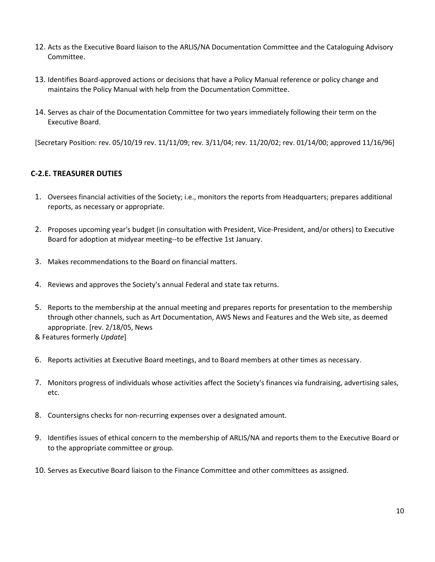- 12. Acts as the Executive Board liaison to the ARLIS/NA Documentation Committee and the Cataloguing Advisory Committee.
- 13. Identifies Board-approved actions or decisions that have a Policy Manual reference or policy change and maintains the Policy Manual with help from the Documentation Committee.
- 14. Serves as chair of the Documentation Committee for two years immediately following their term on the Executive Board.

[Secretary Position: rev. 05/10/19 rev. 11/11/09; rev. 3/11/04; rev. 11/20/02; rev. 01/14/00; approved 11/16/96]

### **C-2.E. TREASURER DUTIES**

- 1. Oversees financial activities of the Society; i.e., monitors the reports from Headquarters; prepares additional reports, as necessary or appropriate.
- 2. Proposes upcoming year's budget (in consultation with President, Vice-President, and/or others) to Executive Board for adoption at midyear meeting--to be effective 1st January.
- 3. Makes recommendations to the Board on financial matters.
- 4. Reviews and approves the Society's annual Federal and state tax returns.
- 5. Reports to the membership at the annual meeting and prepares reports for presentation to the membership through other channels, such as Art Documentation, AWS News and Features and the Web site, as deemed appropriate. [rev. 2/18/05, News
- & Features formerly *Update*]
- 6. Reports activities at Executive Board meetings, and to Board members at other times as necessary.
- 7. Monitors progress of individuals whose activities affect the Society's finances via fundraising, advertising sales, etc.
- 8. Countersigns checks for non-recurring expenses over a designated amount.
- 9. Identifies issues of ethical concern to the membership of ARLIS/NA and reports them to the Executive Board or to the appropriate committee or group.
- 10. Serves as Executive Board liaison to the Finance Committee and other committees as assigned.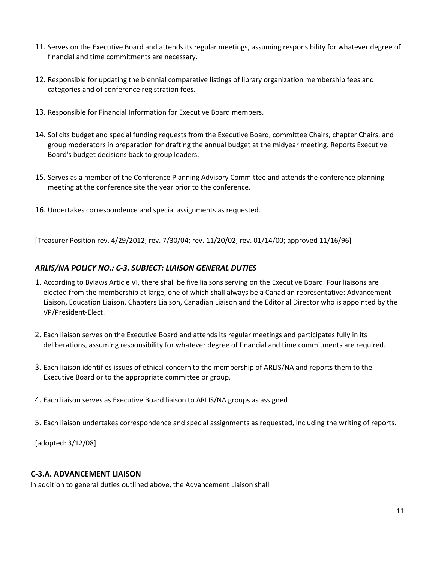- 11. Serves on the Executive Board and attends its regular meetings, assuming responsibility for whatever degree of financial and time commitments are necessary.
- 12. Responsible for updating the biennial comparative listings of library organization membership fees and categories and of conference registration fees.
- 13. Responsible for Financial Information for Executive Board members.
- 14. Solicits budget and special funding requests from the Executive Board, committee Chairs, chapter Chairs, and group moderators in preparation for drafting the annual budget at the midyear meeting. Reports Executive Board's budget decisions back to group leaders.
- 15. Serves as a member of the Conference Planning Advisory Committee and attends the conference planning meeting at the conference site the year prior to the conference.
- 16. Undertakes correspondence and special assignments as requested.

[Treasurer Position rev. 4/29/2012; rev. 7/30/04; rev. 11/20/02; rev. 01/14/00; approved 11/16/96]

### *ARLIS/NA POLICY NO.: C-3. SUBJECT: LIAISON GENERAL DUTIES*

- 1. According to Bylaws Article VI, there shall be five liaisons serving on the Executive Board. Four liaisons are elected from the membership at large, one of which shall always be a Canadian representative: Advancement Liaison, Education Liaison, Chapters Liaison, Canadian Liaison and the Editorial Director who is appointed by the VP/President-Elect.
- 2. Each liaison serves on the Executive Board and attends its regular meetings and participates fully in its deliberations, assuming responsibility for whatever degree of financial and time commitments are required.
- 3. Each liaison identifies issues of ethical concern to the membership of ARLIS/NA and reports them to the Executive Board or to the appropriate committee or group.
- 4. Each liaison serves as Executive Board liaison to ARLIS/NA groups as assigned
- 5. Each liaison undertakes correspondence and special assignments as requested, including the writing of reports.

[adopted: 3/12/08]

### **C-3.A. ADVANCEMENT LIAISON**

In addition to general duties outlined above, the Advancement Liaison shall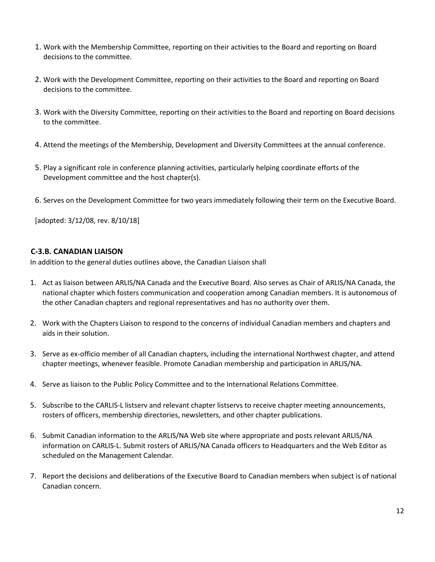- 1. Work with the Membership Committee, reporting on their activities to the Board and reporting on Board decisions to the committee.
- 2. Work with the Development Committee, reporting on their activities to the Board and reporting on Board decisions to the committee.
- 3. Work with the Diversity Committee, reporting on their activities to the Board and reporting on Board decisions to the committee.
- 4. Attend the meetings of the Membership, Development and Diversity Committees at the annual conference.
- 5. Play a significant role in conference planning activities, particularly helping coordinate efforts of the Development committee and the host chapter(s).
- 6. Serves on the Development Committee for two years immediately following their term on the Executive Board.

[adopted: 3/12/08, rev. 8/10/18]

## **C-3.B. CANADIAN LIAISON**

In addition to the general duties outlines above, the Canadian Liaison shall

- 1. Act as liaison between ARLIS/NA Canada and the Executive Board. Also serves as Chair of ARLIS/NA Canada, the national chapter which fosters communication and cooperation among Canadian members. It is autonomous of the other Canadian chapters and regional representatives and has no authority over them.
- 2. Work with the Chapters Liaison to respond to the concerns of individual Canadian members and chapters and aids in their solution.
- 3. Serve as ex-officio member of all Canadian chapters, including the international Northwest chapter, and attend chapter meetings, whenever feasible. Promote Canadian membership and participation in ARLIS/NA.
- 4. Serve as liaison to the Public Policy Committee and to the International Relations Committee.
- 5. Subscribe to the CARLIS-L listserv and relevant chapter listservs to receive chapter meeting announcements, rosters of officers, membership directories, newsletters, and other chapter publications.
- 6. Submit Canadian information to the ARLIS/NA Web site where appropriate and posts relevant ARLIS/NA information on CARLIS-L. Submit rosters of ARLIS/NA Canada officers to Headquarters and the Web Editor as scheduled on the Management Calendar.
- 7. Report the decisions and deliberations of the Executive Board to Canadian members when subject is of national Canadian concern.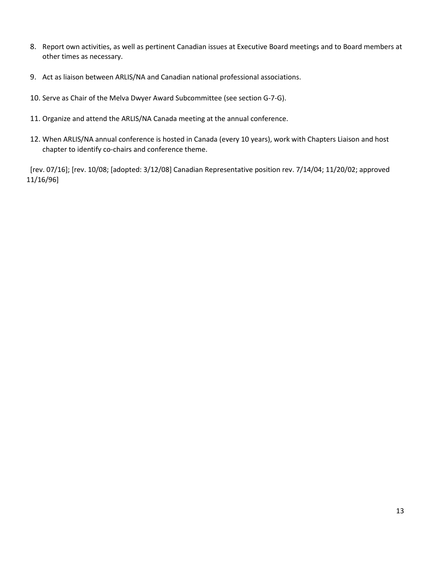- 8. Report own activities, as well as pertinent Canadian issues at Executive Board meetings and to Board members at other times as necessary.
- 9. Act as liaison between ARLIS/NA and Canadian national professional associations.
- 10. Serve as Chair of the Melva Dwyer Award Subcommittee (see section G-7-G).
- 11. Organize and attend the ARLIS/NA Canada meeting at the annual conference.
- 12. When ARLIS/NA annual conference is hosted in Canada (every 10 years), work with Chapters Liaison and host chapter to identify co-chairs and conference theme.

[rev. 07/16]; [rev. 10/08; [adopted: 3/12/08] Canadian Representative position rev. 7/14/04; 11/20/02; approved 11/16/96]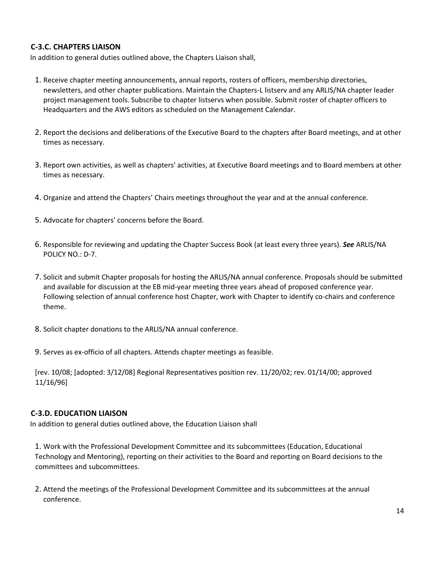# **C-3.C. CHAPTERS LIAISON**

In addition to general duties outlined above, the Chapters Liaison shall,

- 1. Receive chapter meeting announcements, annual reports, rosters of officers, membership directories, newsletters, and other chapter publications. Maintain the Chapters-L listserv and any ARLIS/NA chapter leader project management tools. Subscribe to chapter listservs when possible. Submit roster of chapter officers to Headquarters and the AWS editors as scheduled on the Management Calendar.
- 2. Report the decisions and deliberations of the Executive Board to the chapters after Board meetings, and at other times as necessary.
- 3. Report own activities, as well as chapters' activities, at Executive Board meetings and to Board members at other times as necessary.
- 4. Organize and attend the Chapters' Chairs meetings throughout the year and at the annual conference.
- 5. Advocate for chapters' concerns before the Board.
- 6. Responsible for reviewing and updating the Chapter Success Book (at least every three years). *See* ARLIS/NA POLICY NO.: D-7.
- 7. Solicit and submit Chapter proposals for hosting the ARLIS/NA annual conference. Proposals should be submitted and available for discussion at the EB mid-year meeting three years ahead of proposed conference year. Following selection of annual conference host Chapter, work with Chapter to identify co-chairs and conference theme.
- 8. Solicit chapter donations to the ARLIS/NA annual conference.
- 9. Serves as ex-officio of all chapters. Attends chapter meetings as feasible.

[rev. 10/08; [adopted: 3/12/08] Regional Representatives position rev. 11/20/02; rev. 01/14/00; approved 11/16/96]

### **C-3.D. EDUCATION LIAISON**

In addition to general duties outlined above, the Education Liaison shall

1. Work with the Professional Development Committee and its subcommittees (Education, Educational Technology and Mentoring), reporting on their activities to the Board and reporting on Board decisions to the committees and subcommittees.

2. Attend the meetings of the Professional Development Committee and its subcommittees at the annual conference.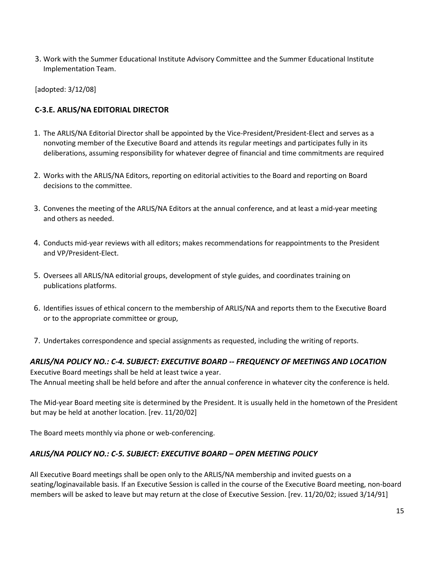3. Work with the Summer Educational Institute Advisory Committee and the Summer Educational Institute Implementation Team.

[adopted: 3/12/08]

# **C-3.E. ARLIS/NA EDITORIAL DIRECTOR**

- 1. The ARLIS/NA Editorial Director shall be appointed by the Vice-President/President-Elect and serves as a nonvoting member of the Executive Board and attends its regular meetings and participates fully in its deliberations, assuming responsibility for whatever degree of financial and time commitments are required
- 2. Works with the ARLIS/NA Editors, reporting on editorial activities to the Board and reporting on Board decisions to the committee.
- 3. Convenes the meeting of the ARLIS/NA Editors at the annual conference, and at least a mid-year meeting and others as needed.
- 4. Conducts mid-year reviews with all editors; makes recommendations for reappointments to the President and VP/President-Elect.
- 5. Oversees all ARLIS/NA editorial groups, development of style guides, and coordinates training on publications platforms.
- 6. Identifies issues of ethical concern to the membership of ARLIS/NA and reports them to the Executive Board or to the appropriate committee or group,
- 7. Undertakes correspondence and special assignments as requested, including the writing of reports.

# *ARLIS/NA POLICY NO.: C-4. SUBJECT: EXECUTIVE BOARD -- FREQUENCY OF MEETINGS AND LOCATION*

Executive Board meetings shall be held at least twice a year. The Annual meeting shall be held before and after the annual conference in whatever city the conference is held.

The Mid-year Board meeting site is determined by the President. It is usually held in the hometown of the President but may be held at another location. [rev. 11/20/02]

The Board meets monthly via phone or web-conferencing.

# *ARLIS/NA POLICY NO.: C-5. SUBJECT: EXECUTIVE BOARD – OPEN MEETING POLICY*

All Executive Board meetings shall be open only to the ARLIS/NA membership and invited guests on a seating/loginavailable basis. If an Executive Session is called in the course of the Executive Board meeting, non-board members will be asked to leave but may return at the close of Executive Session. [rev. 11/20/02; issued 3/14/91]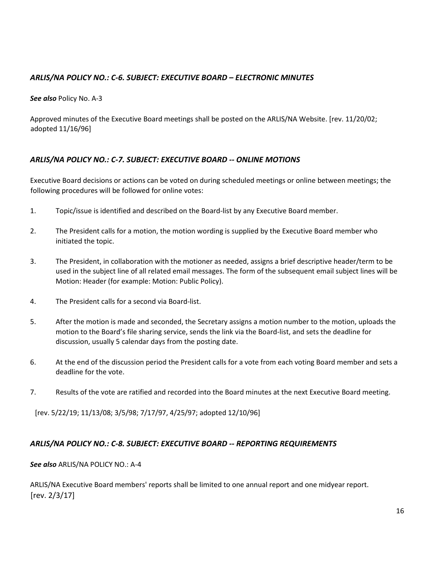# *ARLIS/NA POLICY NO.: C-6. SUBJECT: EXECUTIVE BOARD – ELECTRONIC MINUTES*

*See also* Policy No. A-3

Approved minutes of the Executive Board meetings shall be posted on the ARLIS/NA Website. [rev. 11/20/02; adopted 11/16/96]

## *ARLIS/NA POLICY NO.: C-7. SUBJECT: EXECUTIVE BOARD -- ONLINE MOTIONS*

Executive Board decisions or actions can be voted on during scheduled meetings or online between meetings; the following procedures will be followed for online votes:

- 1. Topic/issue is identified and described on the Board-list by any Executive Board member.
- 2. The President calls for a motion, the motion wording is supplied by the Executive Board member who initiated the topic.
- 3. The President, in collaboration with the motioner as needed, assigns a brief descriptive header/term to be used in the subject line of all related email messages. The form of the subsequent email subject lines will be Motion: Header (for example: Motion: Public Policy).
- 4. The President calls for a second via Board-list.
- 5. After the motion is made and seconded, the Secretary assigns a motion number to the motion, uploads the motion to the Board's file sharing service, sends the link via the Board-list, and sets the deadline for discussion, usually 5 calendar days from the posting date.
- 6. At the end of the discussion period the President calls for a vote from each voting Board member and sets a deadline for the vote.
- 7. Results of the vote are ratified and recorded into the Board minutes at the next Executive Board meeting.

[rev. 5/22/19; 11/13/08; 3/5/98; 7/17/97, 4/25/97; adopted 12/10/96]

### *ARLIS/NA POLICY NO.: C-8. SUBJECT: EXECUTIVE BOARD -- REPORTING REQUIREMENTS*

#### *See also* ARLIS/NA POLICY NO.: A-4

ARLIS/NA Executive Board members' reports shall be limited to one annual report and one midyear report. [rev. 2/3/17]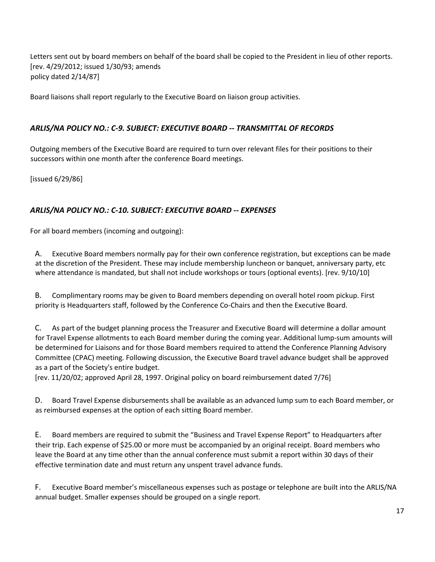Letters sent out by board members on behalf of the board shall be copied to the President in lieu of other reports. [rev. 4/29/2012; issued 1/30/93; amends policy dated 2/14/87]

Board liaisons shall report regularly to the Executive Board on liaison group activities.

# *ARLIS/NA POLICY NO.: C-9. SUBJECT: EXECUTIVE BOARD -- TRANSMITTAL OF RECORDS*

Outgoing members of the Executive Board are required to turn over relevant files for their positions to their successors within one month after the conference Board meetings.

[issued 6/29/86]

## *ARLIS/NA POLICY NO.: C-10. SUBJECT: EXECUTIVE BOARD -- EXPENSES*

For all board members (incoming and outgoing):

A. Executive Board members normally pay for their own conference registration, but exceptions can be made at the discretion of the President. These may include membership luncheon or banquet, anniversary party, etc where attendance is mandated, but shall not include workshops or tours (optional events). [rev. 9/10/10]

B. Complimentary rooms may be given to Board members depending on overall hotel room pickup. First priority is Headquarters staff, followed by the Conference Co-Chairs and then the Executive Board.

C. As part of the budget planning process the Treasurer and Executive Board will determine a dollar amount for Travel Expense allotments to each Board member during the coming year. Additional lump-sum amounts will be determined for Liaisons and for those Board members required to attend the Conference Planning Advisory Committee (CPAC) meeting. Following discussion, the Executive Board travel advance budget shall be approved as a part of the Society's entire budget.

[rev. 11/20/02; approved April 28, 1997. Original policy on board reimbursement dated 7/76]

D. Board Travel Expense disbursements shall be available as an advanced lump sum to each Board member, or as reimbursed expenses at the option of each sitting Board member.

E. Board members are required to submit the "Business and Travel Expense Report" to Headquarters after their trip. Each expense of \$25.00 or more must be accompanied by an original receipt. Board members who leave the Board at any time other than the annual conference must submit a report within 30 days of their effective termination date and must return any unspent travel advance funds.

F. Executive Board member's miscellaneous expenses such as postage or telephone are built into the ARLIS/NA annual budget. Smaller expenses should be grouped on a single report.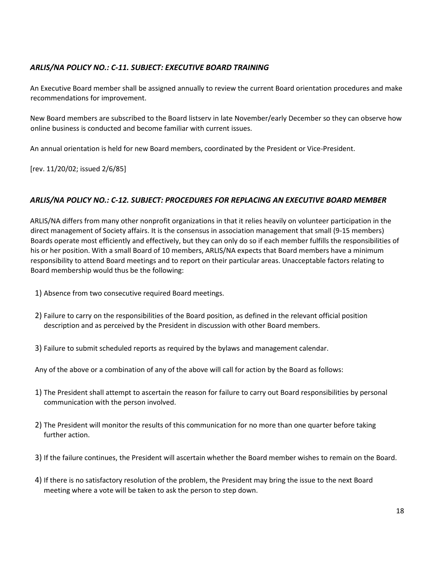# *ARLIS/NA POLICY NO.: C-11. SUBJECT: EXECUTIVE BOARD TRAINING*

An Executive Board member shall be assigned annually to review the current Board orientation procedures and make recommendations for improvement.

New Board members are subscribed to the Board listserv in late November/early December so they can observe how online business is conducted and become familiar with current issues.

An annual orientation is held for new Board members, coordinated by the President or Vice-President.

[rev. 11/20/02; issued 2/6/85]

#### *ARLIS/NA POLICY NO.: C-12. SUBJECT: PROCEDURES FOR REPLACING AN EXECUTIVE BOARD MEMBER*

ARLIS/NA differs from many other nonprofit organizations in that it relies heavily on volunteer participation in the direct management of Society affairs. It is the consensus in association management that small (9-15 members) Boards operate most efficiently and effectively, but they can only do so if each member fulfills the responsibilities of his or her position. With a small Board of 10 members, ARLIS/NA expects that Board members have a minimum responsibility to attend Board meetings and to report on their particular areas. Unacceptable factors relating to Board membership would thus be the following:

- 1) Absence from two consecutive required Board meetings.
- 2) Failure to carry on the responsibilities of the Board position, as defined in the relevant official position description and as perceived by the President in discussion with other Board members.
- 3) Failure to submit scheduled reports as required by the bylaws and management calendar.
- Any of the above or a combination of any of the above will call for action by the Board as follows:
- 1) The President shall attempt to ascertain the reason for failure to carry out Board responsibilities by personal communication with the person involved.
- 2) The President will monitor the results of this communication for no more than one quarter before taking further action.
- 3) If the failure continues, the President will ascertain whether the Board member wishes to remain on the Board.
- 4) If there is no satisfactory resolution of the problem, the President may bring the issue to the next Board meeting where a vote will be taken to ask the person to step down.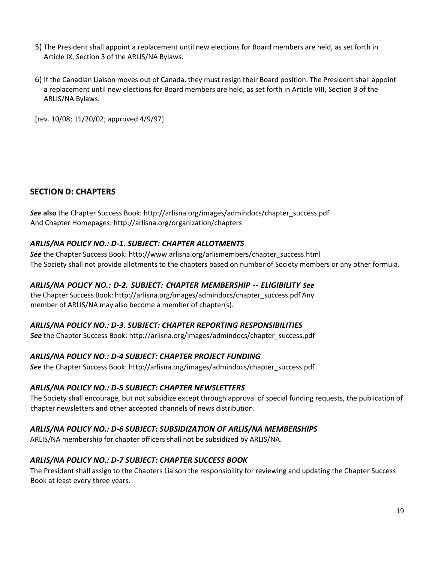- 5) The President shall appoint a replacement until new elections for Board members are held, as set forth in Article IX, Section 3 of the ARLIS/NA Bylaws.
- 6) If the Canadian Liaison moves out of Canada, they must resign their Board position. The President shall appoint a replacement until new elections for Board members are held, as set forth in Article VIII, Section 3 of the ARLIS/NA Bylaws.

[rev. 10/08; 11/20/02; approved 4/9/97]

## **SECTION D: CHAPTERS**

*See* **also** the Chapter Success Book: http://arlisna.org/images/admindocs/chapter\_success.pdf And Chapter Homepages: http://arlisna.org/organization/chapters

### *ARLIS/NA POLICY NO.: D-1. SUBJECT: CHAPTER ALLOTMENTS*

**See** the Chapter Success Book[:](http://www.arlisna.org/arlismembers/chapter_success.html) [http://www.arlisna.org/arlismembers/chapter\\_success.html](http://www.arlisna.org/arlismembers/chapter_success.html) The Society shall not provide allotments to the chapters based on number of Society members or any other formula.

### *ARLIS/NA POLICY NO.: D-2. SUBJECT: CHAPTER MEMBERSHIP -- ELIGIBILITY See*

the Chapter Success Book: http://arlisna.org/images/admindocs/chapter\_success.pdf Any member of ARLIS/NA may also become a member of chapter(s).

### *ARLIS/NA POLICY NO.: D-3. SUBJECT: CHAPTER REPORTING RESPONSIBILITIES*

*See* the Chapter Success Book: http://arlisna.org/images/admindocs/chapter\_success.pdf

### *ARLIS/NA POLICY NO.: D-4 SUBJECT: CHAPTER PROJECT FUNDING*

*See* the Chapter Success Book: http://arlisna.org/images/admindocs/chapter\_success.pdf

### *ARLIS/NA POLICY NO.: D-5 SUBJECT: CHAPTER NEWSLETTERS*

The Society shall encourage, but not subsidize except through approval of special funding requests, the publication of chapter newsletters and other accepted channels of news distribution.

# *ARLIS/NA POLICY NO.: D-6 SUBJECT: SUBSIDIZATION OF ARLIS/NA MEMBERSHIPS*

ARLIS/NA membership for chapter officers shall not be subsidized by ARLIS/NA.

### *ARLIS/NA POLICY NO.: D-7 SUBJECT: CHAPTER SUCCESS BOOK*

The President shall assign to the Chapters Liaison the responsibility for reviewing and updating the Chapter Success Book at least every three years.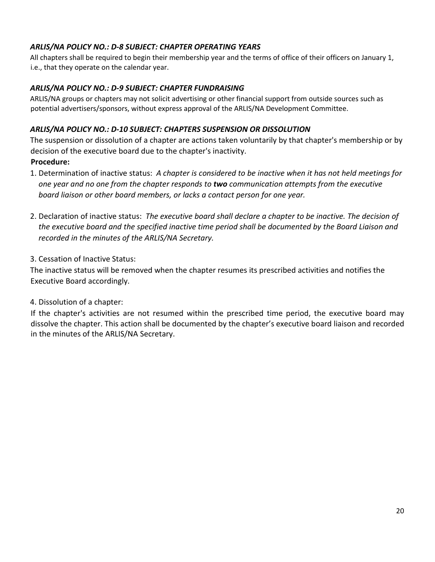# *ARLIS/NA POLICY NO.: D-8 SUBJECT: CHAPTER OPERATING YEARS*

All chapters shall be required to begin their membership year and the terms of office of their officers on January 1, i.e., that they operate on the calendar year.

# *ARLIS/NA POLICY NO.: D-9 SUBJECT: CHAPTER FUNDRAISING*

ARLIS/NA groups or chapters may not solicit advertising or other financial support from outside sources such as potential advertisers/sponsors, without express approval of the ARLIS/NA Development Committee.

# *ARLIS/NA POLICY NO.: D-10 SUBJECT: CHAPTERS SUSPENSION OR DISSOLUTION*

The suspension or dissolution of a chapter are actions taken voluntarily by that chapter's membership or by decision of the executive board due to the chapter's inactivity.

## **Procedure:**

- 1. Determination of inactive status: *A chapter is considered to be inactive when it has not held meetings for one year and no one from the chapter responds to two communication attempts from the executive board liaison or other board members, or lacks a contact person for one year.*
- 2. Declaration of inactive status: *The executive board shall declare a chapter to be inactive. The decision of the executive board and the specified inactive time period shall be documented by the Board Liaison and recorded in the minutes of the ARLIS/NA Secretary.*
- 3. Cessation of Inactive Status:

The inactive status will be removed when the chapter resumes its prescribed activities and notifies the Executive Board accordingly.

4. Dissolution of a chapter:

If the chapter's activities are not resumed within the prescribed time period, the executive board may dissolve the chapter. This action shall be documented by the chapter's executive board liaison and recorded in the minutes of the ARLIS/NA Secretary.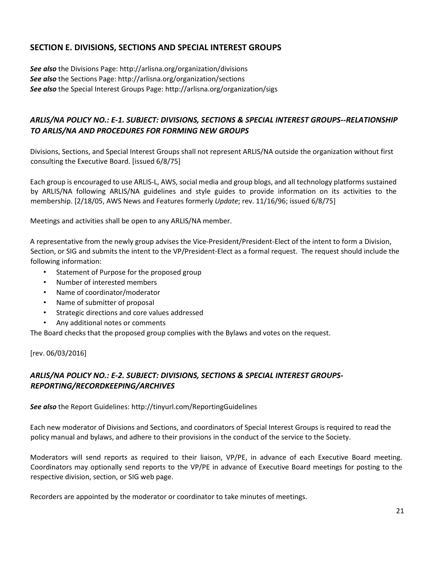# **SECTION E. DIVISIONS, SECTIONS AND SPECIAL INTEREST GROUPS**

*See also* the Divisions Page: http://arlisna.org/organization/divisions *See also* the Sections Page: http://arlisna.org/organization/sections *See also* the Special Interest Groups Page: http://arlisna.org/organization/sigs

# *ARLIS/NA POLICY NO.: E-1. SUBJECT: DIVISIONS, SECTIONS & SPECIAL INTEREST GROUPS--RELATIONSHIP TO ARLIS/NA AND PROCEDURES FOR FORMING NEW GROUPS*

Divisions, Sections, and Special Interest Groups shall not represent ARLIS/NA outside the organization without first consulting the Executive Board. [issued 6/8/75]

Each group is encouraged to use ARLIS-L, AWS, social media and group blogs, and all technology platforms sustained by ARLIS/NA following ARLIS/NA guidelines and style guides to provide information on its activities to the membership. [2/18/05, AWS News and Features formerly *Update*; rev. 11/16/96; issued 6/8/75]

Meetings and activities shall be open to any ARLIS/NA member.

A representative from the newly group advises the Vice-President/President-Elect of the intent to form a Division, Section, or SIG and submits the intent to the VP/President-Elect as a formal request. The request should include the following information:

- Statement of Purpose for the proposed group
- Number of interested members
- Name of coordinator/moderator
- Name of submitter of proposal
- Strategic directions and core values addressed
- Any additional notes or comments

The Board checks that the proposed group complies with the Bylaws and votes on the request.

[rev. 06/03/2016]

# *ARLIS/NA POLICY NO.: E-2. SUBJECT: DIVISIONS, SECTIONS & SPECIAL INTEREST GROUPS-REPORTING/RECORDKEEPING/ARCHIVES*

*See also* the Report Guidelines: http://tinyurl.com/ReportingGuidelines

Each new moderator of Divisions and Sections, and coordinators of Special Interest Groups is required to read the policy manual and bylaws, and adhere to their provisions in the conduct of the service to the Society.

Moderators will send reports as required to their liaison, VP/PE, in advance of each Executive Board meeting. Coordinators may optionally send reports to the VP/PE in advance of Executive Board meetings for posting to the respective division, section, or SIG web page.

Recorders are appointed by the moderator or coordinator to take minutes of meetings.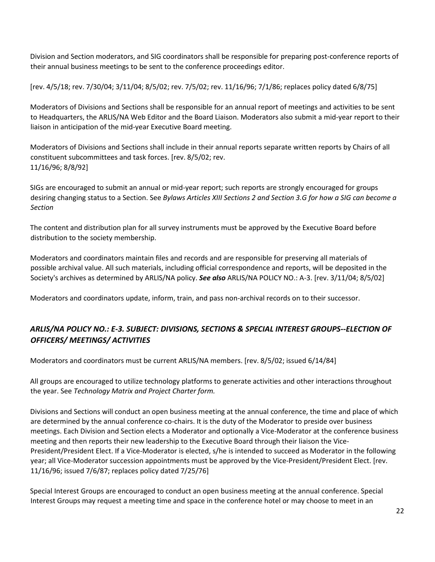Division and Section moderators, and SIG coordinators shall be responsible for preparing post-conference reports of their annual business meetings to be sent to the conference proceedings editor.

[rev. 4/5/18; rev. 7/30/04; 3/11/04; 8/5/02; rev. 7/5/02; rev. 11/16/96; 7/1/86; replaces policy dated 6/8/75]

Moderators of Divisions and Sections shall be responsible for an annual report of meetings and activities to be sent to Headquarters, the ARLIS/NA Web Editor and the Board Liaison. Moderators also submit a mid-year report to their liaison in anticipation of the mid-year Executive Board meeting.

Moderators of Divisions and Sections shall include in their annual reports separate written reports by Chairs of all constituent subcommittees and task forces. [rev. 8/5/02; rev. 11/16/96; 8/8/92]

SIGs are encouraged to submit an annual or mid-year report; such reports are strongly encouraged for groups desiring changing status to a Section. See *Bylaws Articles XIII Sections 2 and Section 3.G for how a SIG can become a Section*

The content and distribution plan for all survey instruments must be approved by the Executive Board before distribution to the society membership.

Moderators and coordinators maintain files and records and are responsible for preserving all materials of possible archival value. All such materials, including official correspondence and reports, will be deposited in the Society's archives as determined by ARLIS/NA policy. *See also* ARLIS/NA POLICY NO.: A-3. [rev. 3/11/04; 8/5/02]

Moderators and coordinators update, inform, train, and pass non-archival records on to their successor.

# *ARLIS/NA POLICY NO.: E-3. SUBJECT: DIVISIONS, SECTIONS & SPECIAL INTEREST GROUPS--ELECTION OF OFFICERS/ MEETINGS/ ACTIVITIES*

Moderators and coordinators must be current ARLIS/NA members. [rev. 8/5/02; issued 6/14/84]

All groups are encouraged to utilize technology platforms to generate activities and other interactions throughout the year. See *Technology Matrix and Project Charter form.*

Divisions and Sections will conduct an open business meeting at the annual conference, the time and place of which are determined by the annual conference co-chairs. It is the duty of the Moderator to preside over business meetings. Each Division and Section elects a Moderator and optionally a Vice-Moderator at the conference business meeting and then reports their new leadership to the Executive Board through their liaison the Vice-President/President Elect. If a Vice-Moderator is elected, s/he is intended to succeed as Moderator in the following year; all Vice-Moderator succession appointments must be approved by the Vice-President/President Elect. [rev. 11/16/96; issued 7/6/87; replaces policy dated 7/25/76]

Special Interest Groups are encouraged to conduct an open business meeting at the annual conference. Special Interest Groups may request a meeting time and space in the conference hotel or may choose to meet in an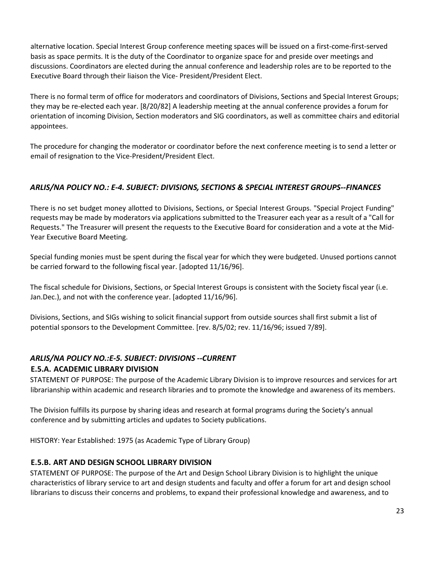alternative location. Special Interest Group conference meeting spaces will be issued on a first-come-first-served basis as space permits. It is the duty of the Coordinator to organize space for and preside over meetings and discussions. Coordinators are elected during the annual conference and leadership roles are to be reported to the Executive Board through their liaison the Vice- President/President Elect.

There is no formal term of office for moderators and coordinators of Divisions, Sections and Special Interest Groups; they may be re-elected each year. [8/20/82] A leadership meeting at the annual conference provides a forum for orientation of incoming Division, Section moderators and SIG coordinators, as well as committee chairs and editorial appointees.

The procedure for changing the moderator or coordinator before the next conference meeting is to send a letter or email of resignation to the Vice-President/President Elect.

# *ARLIS/NA POLICY NO.: E-4. SUBJECT: DIVISIONS, SECTIONS & SPECIAL INTEREST GROUPS--FINANCES*

There is no set budget money allotted to Divisions, Sections, or Special Interest Groups. "Special Project Funding" requests may be made by moderators via applications submitted to the Treasurer each year as a result of a "Call for Requests." The Treasurer will present the requests to the Executive Board for consideration and a vote at the Mid-Year Executive Board Meeting.

Special funding monies must be spent during the fiscal year for which they were budgeted. Unused portions cannot be carried forward to the following fiscal year. [adopted 11/16/96].

The fiscal schedule for Divisions, Sections, or Special Interest Groups is consistent with the Society fiscal year (i.e. Jan.Dec.), and not with the conference year. [adopted 11/16/96].

Divisions, Sections, and SIGs wishing to solicit financial support from outside sources shall first submit a list of potential sponsors to the Development Committee. [rev. 8/5/02; rev. 11/16/96; issued 7/89].

# *ARLIS/NA POLICY NO.:E-5. SUBJECT: DIVISIONS --CURRENT* **E.5.A. ACADEMIC LIBRARY DIVISION**

STATEMENT OF PURPOSE: The purpose of the Academic Library Division is to improve resources and services for art librarianship within academic and research libraries and to promote the knowledge and awareness of its members.

The Division fulfills its purpose by sharing ideas and research at formal programs during the Society's annual conference and by submitting articles and updates to Society publications.

HISTORY: Year Established: 1975 (as Academic Type of Library Group)

# **E.5.B. ART AND DESIGN SCHOOL LIBRARY DIVISION**

STATEMENT OF PURPOSE: The purpose of the Art and Design School Library Division is to highlight the unique characteristics of library service to art and design students and faculty and offer a forum for art and design school librarians to discuss their concerns and problems, to expand their professional knowledge and awareness, and to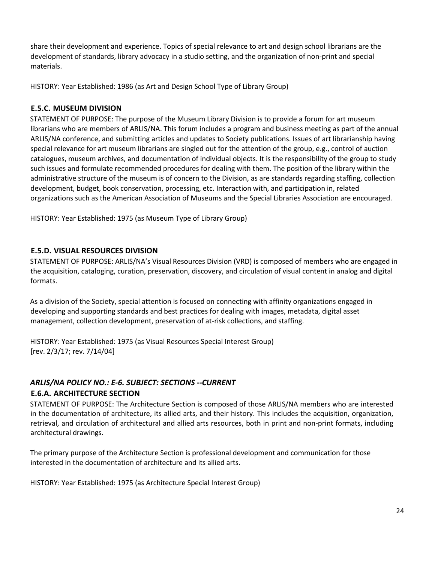share their development and experience. Topics of special relevance to art and design school librarians are the development of standards, library advocacy in a studio setting, and the organization of non-print and special materials.

HISTORY: Year Established: 1986 (as Art and Design School Type of Library Group)

### **E.5.C. MUSEUM DIVISION**

STATEMENT OF PURPOSE: The purpose of the Museum Library Division is to provide a forum for art museum librarians who are members of ARLIS/NA. This forum includes a program and business meeting as part of the annual ARLIS/NA conference, and submitting articles and updates to Society publications. Issues of art librarianship having special relevance for art museum librarians are singled out for the attention of the group, e.g., control of auction catalogues, museum archives, and documentation of individual objects. It is the responsibility of the group to study such issues and formulate recommended procedures for dealing with them. The position of the library within the administrative structure of the museum is of concern to the Division, as are standards regarding staffing, collection development, budget, book conservation, processing, etc. Interaction with, and participation in, related organizations such as the American Association of Museums and the Special Libraries Association are encouraged.

HISTORY: Year Established: 1975 (as Museum Type of Library Group)

#### **E.5.D. VISUAL RESOURCES DIVISION**

STATEMENT OF PURPOSE: ARLIS/NA's Visual Resources Division (VRD) is composed of members who are engaged in the acquisition, cataloging, curation, preservation, discovery, and circulation of visual content in analog and digital formats.

As a division of the Society, special attention is focused on connecting with affinity organizations engaged in developing and supporting standards and best practices for dealing with images, metadata, digital asset management, collection development, preservation of at-risk collections, and staffing.

HISTORY: Year Established: 1975 (as Visual Resources Special Interest Group) [rev. 2/3/17; rev. 7/14/04]

# *ARLIS/NA POLICY NO.: E-6. SUBJECT: SECTIONS --CURRENT* **E.6.A. ARCHITECTURE SECTION**

STATEMENT OF PURPOSE: The Architecture Section is composed of those ARLIS/NA members who are interested in the documentation of architecture, its allied arts, and their history. This includes the acquisition, organization, retrieval, and circulation of architectural and allied arts resources, both in print and non-print formats, including architectural drawings.

The primary purpose of the Architecture Section is professional development and communication for those interested in the documentation of architecture and its allied arts.

HISTORY: Year Established: 1975 (as Architecture Special Interest Group)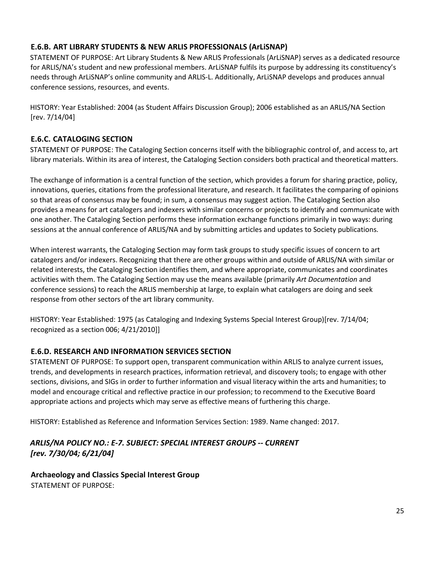# **E.6.B. ART LIBRARY STUDENTS & NEW ARLIS PROFESSIONALS (ArLiSNAP)**

STATEMENT OF PURPOSE: Art Library Students & New ARLIS Professionals (ArLiSNAP) serves as a dedicated resource for ARLIS/NA's student and new professional members. ArLiSNAP fulfils its purpose by addressing its constituency's needs through ArLiSNAP's online community and ARLIS-L. Additionally, ArLiSNAP develops and produces annual conference sessions, resources, and events.

HISTORY: Year Established: 2004 (as Student Affairs Discussion Group); 2006 established as an ARLIS/NA Section [rev. 7/14/04]

# **E.6.C. CATALOGING SECTION**

STATEMENT OF PURPOSE: The Cataloging Section concerns itself with the bibliographic control of, and access to, art library materials. Within its area of interest, the Cataloging Section considers both practical and theoretical matters.

The exchange of information is a central function of the section, which provides a forum for sharing practice, policy, innovations, queries, citations from the professional literature, and research. It facilitates the comparing of opinions so that areas of consensus may be found; in sum, a consensus may suggest action. The Cataloging Section also provides a means for art catalogers and indexers with similar concerns or projects to identify and communicate with one another. The Cataloging Section performs these information exchange functions primarily in two ways: during sessions at the annual conference of ARLIS/NA and by submitting articles and updates to Society publications.

When interest warrants, the Cataloging Section may form task groups to study specific issues of concern to art catalogers and/or indexers. Recognizing that there are other groups within and outside of ARLIS/NA with similar or related interests, the Cataloging Section identifies them, and where appropriate, communicates and coordinates activities with them. The Cataloging Section may use the means available (primarily *Art Documentation* and conference sessions) to reach the ARLIS membership at large, to explain what catalogers are doing and seek response from other sectors of the art library community.

HISTORY: Year Established: 1975 (as Cataloging and Indexing Systems Special Interest Group)[rev. 7/14/04; recognized as a section 006; 4/21/2010]]

# **E.6.D. RESEARCH AND INFORMATION SERVICES SECTION**

STATEMENT OF PURPOSE: To support open, transparent communication within ARLIS to analyze current issues, trends, and developments in research practices, information retrieval, and discovery tools; to engage with other sections, divisions, and SIGs in order to further information and visual literacy within the arts and humanities; to model and encourage critical and reflective practice in our profession; to recommend to the Executive Board appropriate actions and projects which may serve as effective means of furthering this charge.

HISTORY: Established as Reference and Information Services Section: 1989. Name changed: 2017.

# *ARLIS/NA POLICY NO.: E-7. SUBJECT: SPECIAL INTEREST GROUPS -- CURRENT [rev. 7/30/04; 6/21/04]*

**Archaeology and Classics Special Interest Group** STATEMENT OF PURPOSE: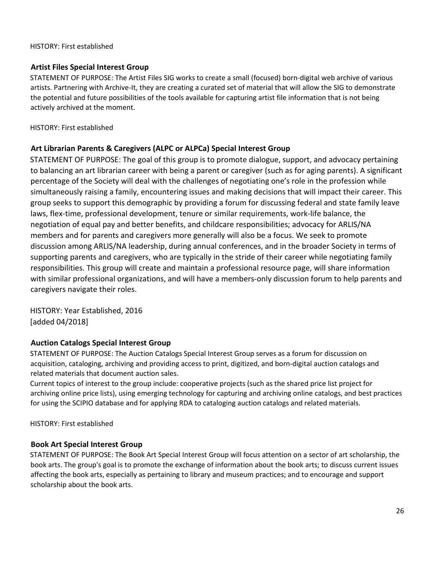#### HISTORY: First established

## **Artist Files Special Interest Group**

STATEMENT OF PURPOSE: The Artist Files SIG works to create a small (focused) born-digital web archive of various artists. Partnering with Archive-It, they are creating a curated set of material that will allow the SIG to demonstrate the potential and future possibilities of the tools available for capturing artist file information that is not being actively archived at the moment.

HISTORY: First established

# **Art Librarian Parents & Caregivers (ALPC or ALPCa) Special Interest Group**

STATEMENT OF PURPOSE: The goal of this group is to promote dialogue, support, and advocacy pertaining to balancing an art librarian career with being a parent or caregiver (such as for aging parents). A significant percentage of the Society will deal with the challenges of negotiating one's role in the profession while simultaneously raising a family, encountering issues and making decisions that will impact their career. This group seeks to support this demographic by providing a forum for discussing federal and state family leave laws, flex-time, professional development, tenure or similar requirements, work-life balance, the negotiation of equal pay and better benefits, and childcare responsibilities; advocacy for ARLIS/NA members and for parents and caregivers more generally will also be a focus. We seek to promote discussion among ARLIS/NA leadership, during annual conferences, and in the broader Society in terms of supporting parents and caregivers, who are typically in the stride of their career while negotiating family responsibilities. This group will create and maintain a professional resource page, will share information with similar professional organizations, and will have a members-only discussion forum to help parents and caregivers navigate their roles.

HISTORY: Year Established, 2016 [added 04/2018]

### **Auction Catalogs Special Interest Group**

STATEMENT OF PURPOSE: The Auction Catalogs Special Interest Group serves as a forum for discussion on acquisition, cataloging, archiving and providing access to print, digitized, and born-digital auction catalogs and related materials that document auction sales.

Current topics of interest to the group include: cooperative projects (such as the shared price list project for archiving online price lists), using emerging technology for capturing and archiving online catalogs, and best practices for using the SCIPIO database and for applying RDA to cataloging auction catalogs and related materials.

HISTORY: First established

# **Book Art Special Interest Group**

STATEMENT OF PURPOSE: The Book Art Special Interest Group will focus attention on a sector of art scholarship, the book arts. The group's goal is to promote the exchange of information about the book arts; to discuss current issues affecting the book arts, especially as pertaining to library and museum practices; and to encourage and support scholarship about the book arts.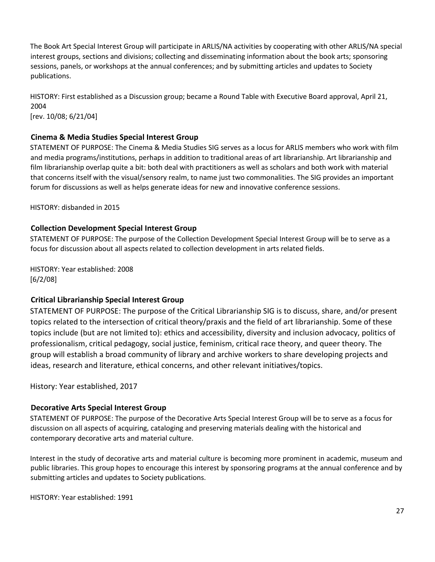The Book Art Special Interest Group will participate in ARLIS/NA activities by cooperating with other ARLIS/NA special interest groups, sections and divisions; collecting and disseminating information about the book arts; sponsoring sessions, panels, or workshops at the annual conferences; and by submitting articles and updates to Society publications.

HISTORY: First established as a Discussion group; became a Round Table with Executive Board approval, April 21, 2004 [rev. 10/08; 6/21/04]

### **Cinema & Media Studies Special Interest Group**

STATEMENT OF PURPOSE: The Cinema & Media Studies SIG serves as a locus for ARLIS members who work with film and media programs/institutions, perhaps in addition to traditional areas of art librarianship. Art librarianship and film librarianship overlap quite a bit: both deal with practitioners as well as scholars and both work with material that concerns itself with the visual/sensory realm, to name just two commonalities. The SIG provides an important forum for discussions as well as helps generate ideas for new and innovative conference sessions.

HISTORY: disbanded in 2015

### **Collection Development Special Interest Group**

STATEMENT OF PURPOSE: The purpose of the Collection Development Special Interest Group will be to serve as a focus for discussion about all aspects related to collection development in arts related fields.

HISTORY: Year established: 2008 [6/2/08]

### **Critical Librarianship Special Interest Group**

STATEMENT OF PURPOSE: The purpose of the Critical Librarianship SIG is to discuss, share, and/or present topics related to the intersection of critical theory/praxis and the field of art librarianship. Some of these topics include (but are not limited to): ethics and accessibility, diversity and inclusion advocacy, politics of professionalism, critical pedagogy, social justice, feminism, critical race theory, and queer theory. The group will establish a broad community of library and archive workers to share developing projects and ideas, research and literature, ethical concerns, and other relevant initiatives/topics.

History: Year established, 2017

### **Decorative Arts Special Interest Group**

STATEMENT OF PURPOSE: The purpose of the Decorative Arts Special Interest Group will be to serve as a focus for discussion on all aspects of acquiring, cataloging and preserving materials dealing with the historical and contemporary decorative arts and material culture.

Interest in the study of decorative arts and material culture is becoming more prominent in academic, museum and public libraries. This group hopes to encourage this interest by sponsoring programs at the annual conference and by submitting articles and updates to Society publications.

HISTORY: Year established: 1991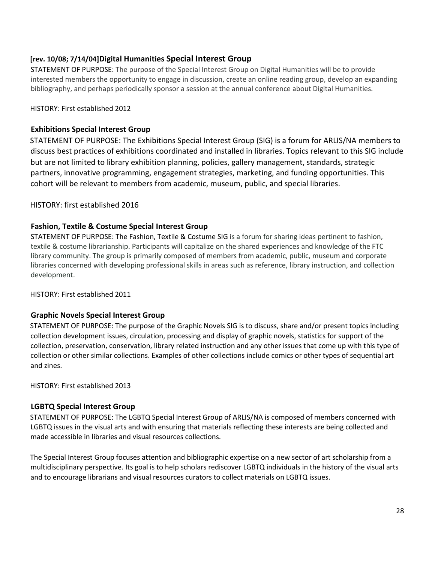# **[rev. 10/08; 7/14/04]Digital Humanities Special Interest Group**

STATEMENT OF PURPOSE: The purpose of the Special Interest Group on Digital Humanities will be to provide interested members the opportunity to engage in discussion, create an online reading group, develop an expanding bibliography, and perhaps periodically sponsor a session at the annual conference about Digital Humanities*.*

HISTORY: First established 2012

# **Exhibitions Special Interest Group**

STATEMENT OF PURPOSE: The Exhibitions Special Interest Group (SIG) is a forum for ARLIS/NA members to discuss best practices of exhibitions coordinated and installed in libraries. Topics relevant to this SIG include but are not limited to library exhibition planning, policies, gallery management, standards, strategic partners, innovative programming, engagement strategies, marketing, and funding opportunities. This cohort will be relevant to members from academic, museum, public, and special libraries.

HISTORY: first established 2016

# **Fashion, Textile & Costume Special Interest Group**

STATEMENT OF PURPOSE: The Fashion, Textile & Costume SIG is a forum for sharing ideas pertinent to fashion, textile & costume librarianship. Participants will capitalize on the shared experiences and knowledge of the FTC library community. The group is primarily composed of members from academic, public, museum and corporate libraries concerned with developing professional skills in areas such as reference, library instruction, and collection development.

HISTORY: First established 2011

# **Graphic Novels Special Interest Group**

STATEMENT OF PURPOSE: The purpose of the Graphic Novels SIG is to discuss, share and/or present topics including collection development issues, circulation, processing and display of graphic novels, statistics for support of the collection, preservation, conservation, library related instruction and any other issues that come up with this type of collection or other similar collections. Examples of other collections include comics or other types of sequential art and zines.

HISTORY: First established 2013

### **LGBTQ Special Interest Group**

STATEMENT OF PURPOSE: The LGBTQ Special Interest Group of ARLIS/NA is composed of members concerned with LGBTQ issues in the visual arts and with ensuring that materials reflecting these interests are being collected and made accessible in libraries and visual resources collections.

The Special Interest Group focuses attention and bibliographic expertise on a new sector of art scholarship from a multidisciplinary perspective. Its goal is to help scholars rediscover LGBTQ individuals in the history of the visual arts and to encourage librarians and visual resources curators to collect materials on LGBTQ issues.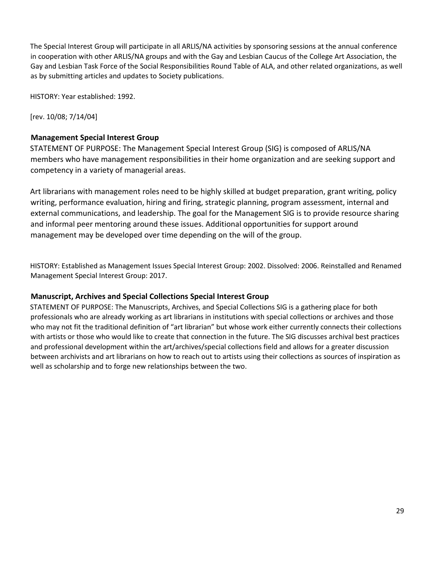The Special Interest Group will participate in all ARLIS/NA activities by sponsoring sessions at the annual conference in cooperation with other ARLIS/NA groups and with the Gay and Lesbian Caucus of the College Art Association, the Gay and Lesbian Task Force of the Social Responsibilities Round Table of ALA, and other related organizations, as well as by submitting articles and updates to Society publications.

HISTORY: Year established: 1992.

[rev. 10/08; 7/14/04]

### **Management Special Interest Group**

STATEMENT OF PURPOSE: The Management Special Interest Group (SIG) is composed of ARLIS/NA members who have management responsibilities in their home organization and are seeking support and competency in a variety of managerial areas.

Art librarians with management roles need to be highly skilled at budget preparation, grant writing, policy writing, performance evaluation, hiring and firing, strategic planning, program assessment, internal and external communications, and leadership. The goal for the Management SIG is to provide resource sharing and informal peer mentoring around these issues. Additional opportunities for support around management may be developed over time depending on the will of the group.

HISTORY: Established as Management Issues Special Interest Group: 2002. Dissolved: 2006. Reinstalled and Renamed Management Special Interest Group: 2017.

### **Manuscript, Archives and Special Collections Special Interest Group**

STATEMENT OF PURPOSE: The Manuscripts, Archives, and Special Collections SIG is a gathering place for both professionals who are already working as art librarians in institutions with special collections or archives and those who may not fit the traditional definition of "art librarian" but whose work either currently connects their collections with artists or those who would like to create that connection in the future. The SIG discusses archival best practices and professional development within the art/archives/special collections field and allows for a greater discussion between archivists and art librarians on how to reach out to artists using their collections as sources of inspiration as well as scholarship and to forge new relationships between the two.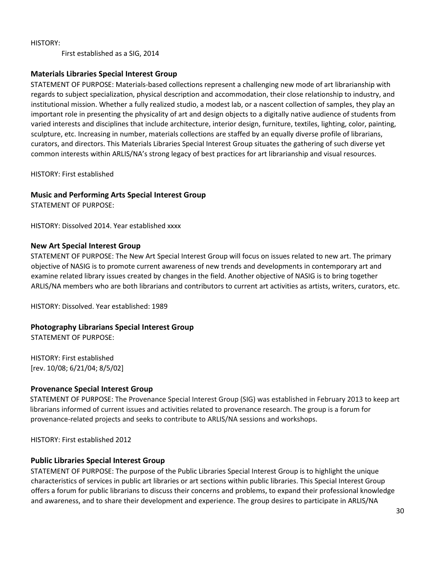First established as a SIG, 2014

#### **Materials Libraries Special Interest Group**

STATEMENT OF PURPOSE: Materials-based collections represent a challenging new mode of art librarianship with regards to subject specialization, physical description and accommodation, their close relationship to industry, and institutional mission. Whether a fully realized studio, a modest lab, or a nascent collection of samples, they play an important role in presenting the physicality of art and design objects to a digitally native audience of students from varied interests and disciplines that include architecture, interior design, furniture, textiles, lighting, color, painting, sculpture, etc. Increasing in number, materials collections are staffed by an equally diverse profile of librarians, curators, and directors. This Materials Libraries Special Interest Group situates the gathering of such diverse yet common interests within ARLIS/NA's strong legacy of best practices for art librarianship and visual resources.

HISTORY: First established

#### **Music and Performing Arts Special Interest Group**

STATEMENT OF PURPOSE:

HISTORY: Dissolved 2014. Year established xxxx

#### **New Art Special Interest Group**

STATEMENT OF PURPOSE: The New Art Special Interest Group will focus on issues related to new art. The primary objective of NASIG is to promote current awareness of new trends and developments in contemporary art and examine related library issues created by changes in the field. Another objective of NASIG is to bring together ARLIS/NA members who are both librarians and contributors to current art activities as artists, writers, curators, etc.

HISTORY: Dissolved. Year established: 1989

### **Photography Librarians Special Interest Group**

STATEMENT OF PURPOSE:

HISTORY: First established [rev. 10/08; 6/21/04; 8/5/02]

#### **Provenance Special Interest Group**

STATEMENT OF PURPOSE: The Provenance Special Interest Group (SIG) was established in February 2013 to keep art librarians informed of current issues and activities related to provenance research. The group is a forum for provenance-related projects and seeks to contribute to ARLIS/NA sessions and workshops.

HISTORY: First established 2012

#### **Public Libraries Special Interest Group**

STATEMENT OF PURPOSE: The purpose of the Public Libraries Special Interest Group is to highlight the unique characteristics of services in public art libraries or art sections within public libraries. This Special Interest Group offers a forum for public librarians to discuss their concerns and problems, to expand their professional knowledge and awareness, and to share their development and experience. The group desires to participate in ARLIS/NA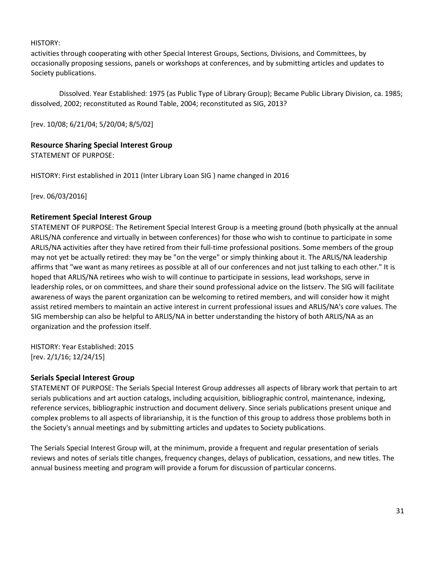activities through cooperating with other Special Interest Groups, Sections, Divisions, and Committees, by occasionally proposing sessions, panels or workshops at conferences, and by submitting articles and updates to Society publications.

Dissolved. Year Established: 1975 (as Public Type of Library Group); Became Public Library Division, ca. 1985; dissolved, 2002; reconstituted as Round Table, 2004; reconstituted as SIG, 2013?

[rev. 10/08; 6/21/04; 5/20/04; 8/5/02]

### **Resource Sharing Special Interest Group**

STATEMENT OF PURPOSE:

HISTORY: First established in 2011 (Inter Library Loan SIG ) name changed in 2016

[rev. 06/03/2016]

#### **Retirement Special Interest Group**

STATEMENT OF PURPOSE: The Retirement Special Interest Group is a meeting ground (both physically at the annual ARLIS/NA conference and virtually in between conferences) for those who wish to continue to participate in some ARLIS/NA activities after they have retired from their full-time professional positions. Some members of the group may not yet be actually retired: they may be "on the verge" or simply thinking about it. The ARLIS/NA leadership affirms that "we want as many retirees as possible at all of our conferences and not just talking to each other." It is hoped that ARLIS/NA retirees who wish to will continue to participate in sessions, lead workshops, serve in leadership roles, or on committees, and share their sound professional advice on the listserv. The SIG will facilitate awareness of ways the parent organization can be welcoming to retired members, and will consider how it might assist retired members to maintain an active interest in current professional issues and ARLIS/NA's core values. The SIG membership can also be helpful to ARLIS/NA in better understanding the history of both ARLIS/NA as an organization and the profession itself.

HISTORY: Year Established: 2015 [rev. 2/1/16; 12/24/15]

#### **Serials Special Interest Group**

STATEMENT OF PURPOSE: The Serials Special Interest Group addresses all aspects of library work that pertain to art serials publications and art auction catalogs, including acquisition, bibliographic control, maintenance, indexing, reference services, bibliographic instruction and document delivery. Since serials publications present unique and complex problems to all aspects of librarianship, it is the function of this group to address those problems both in the Society's annual meetings and by submitting articles and updates to Society publications.

The Serials Special Interest Group will, at the minimum, provide a frequent and regular presentation of serials reviews and notes of serials title changes, frequency changes, delays of publication, cessations, and new titles. The annual business meeting and program will provide a forum for discussion of particular concerns.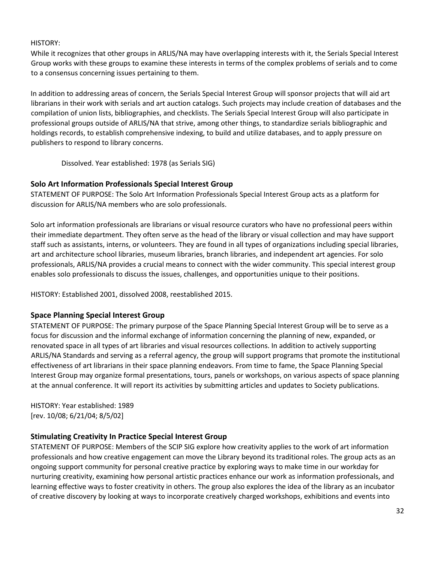While it recognizes that other groups in ARLIS/NA may have overlapping interests with it, the Serials Special Interest Group works with these groups to examine these interests in terms of the complex problems of serials and to come to a consensus concerning issues pertaining to them.

In addition to addressing areas of concern, the Serials Special Interest Group will sponsor projects that will aid art librarians in their work with serials and art auction catalogs. Such projects may include creation of databases and the compilation of union lists, bibliographies, and checklists. The Serials Special Interest Group will also participate in professional groups outside of ARLIS/NA that strive, among other things, to standardize serials bibliographic and holdings records, to establish comprehensive indexing, to build and utilize databases, and to apply pressure on publishers to respond to library concerns.

Dissolved. Year established: 1978 (as Serials SIG)

### **Solo Art Information Professionals Special Interest Group**

STATEMENT OF PURPOSE: The Solo Art Information Professionals Special Interest Group acts as a platform for discussion for ARLIS/NA members who are solo professionals.

Solo art information professionals are librarians or visual resource curators who have no professional peers within their immediate department. They often serve as the head of the library or visual collection and may have support staff such as assistants, interns, or volunteers. They are found in all types of organizations including special libraries, art and architecture school libraries, museum libraries, branch libraries, and independent art agencies. For solo professionals, ARLIS/NA provides a crucial means to connect with the wider community. This special interest group enables solo professionals to discuss the issues, challenges, and opportunities unique to their positions.

HISTORY: Established 2001, dissolved 2008, reestablished 2015.

### **Space Planning Special Interest Group**

STATEMENT OF PURPOSE: The primary purpose of the Space Planning Special Interest Group will be to serve as a focus for discussion and the informal exchange of information concerning the planning of new, expanded, or renovated space in all types of art libraries and visual resources collections. In addition to actively supporting ARLIS/NA Standards and serving as a referral agency, the group will support programs that promote the institutional effectiveness of art librarians in their space planning endeavors. From time to fame, the Space Planning Special Interest Group may organize formal presentations, tours, panels or workshops, on various aspects of space planning at the annual conference. It will report its activities by submitting articles and updates to Society publications.

HISTORY: Year established: 1989 [rev. 10/08; 6/21/04; 8/5/02]

### **Stimulating Creativity In Practice Special Interest Group**

STATEMENT OF PURPOSE: Members of the SCIP SIG explore how creativity applies to the work of art information professionals and how creative engagement can move the Library beyond its traditional roles. The group acts as an ongoing support community for personal creative practice by exploring ways to make time in our workday for nurturing creativity, examining how personal artistic practices enhance our work as information professionals, and learning effective ways to foster creativity in others. The group also explores the idea of the library as an incubator of creative discovery by looking at ways to incorporate creatively charged workshops, exhibitions and events into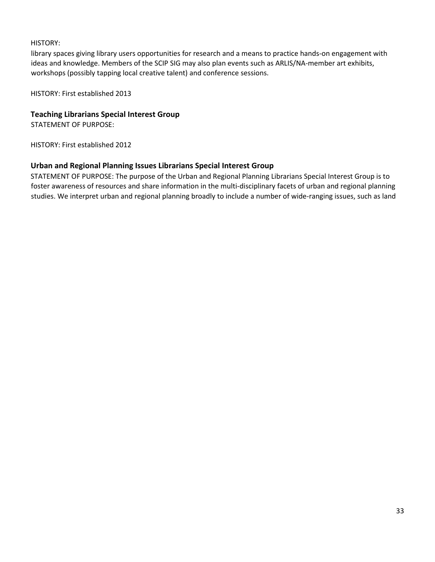library spaces giving library users opportunities for research and a means to practice hands-on engagement with ideas and knowledge. Members of the SCIP SIG may also plan events such as ARLIS/NA-member art exhibits, workshops (possibly tapping local creative talent) and conference sessions.

HISTORY: First established 2013

### **Teaching Librarians Special Interest Group**

STATEMENT OF PURPOSE:

HISTORY: First established 2012

### **Urban and Regional Planning Issues Librarians Special Interest Group**

STATEMENT OF PURPOSE: The purpose of the Urban and Regional Planning Librarians Special Interest Group is to foster awareness of resources and share information in the multi-disciplinary facets of urban and regional planning studies. We interpret urban and regional planning broadly to include a number of wide-ranging issues, such as land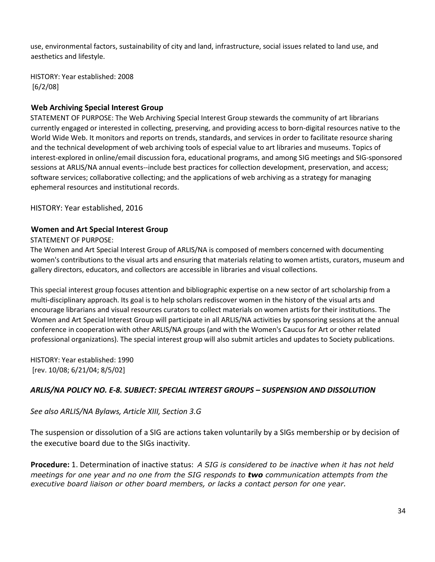use, environmental factors, sustainability of city and land, infrastructure, social issues related to land use, and aesthetics and lifestyle.

HISTORY: Year established: 2008 [6/2/08]

# **Web Archiving Special Interest Group**

STATEMENT OF PURPOSE: The Web Archiving Special Interest Group stewards the community of art librarians currently engaged or interested in collecting, preserving, and providing access to born-digital resources native to the World Wide Web. It monitors and reports on trends, standards, and services in order to facilitate resource sharing and the technical development of web archiving tools of especial value to art libraries and museums. Topics of interest-explored in online/email discussion fora, educational programs, and among SIG meetings and SIG-sponsored sessions at ARLIS/NA annual events--include best practices for collection development, preservation, and access; software services; collaborative collecting; and the applications of web archiving as a strategy for managing ephemeral resources and institutional records.

HISTORY: Year established, 2016

### **Women and Art Special Interest Group**

#### STATEMENT OF PURPOSE:

The Women and Art Special Interest Group of ARLIS/NA is composed of members concerned with documenting women's contributions to the visual arts and ensuring that materials relating to women artists, curators, museum and gallery directors, educators, and collectors are accessible in libraries and visual collections.

This special interest group focuses attention and bibliographic expertise on a new sector of art scholarship from a multi-disciplinary approach. Its goal is to help scholars rediscover women in the history of the visual arts and encourage librarians and visual resources curators to collect materials on women artists for their institutions. The Women and Art Special Interest Group will participate in all ARLIS/NA activities by sponsoring sessions at the annual conference in cooperation with other ARLIS/NA groups (and with the Women's Caucus for Art or other related professional organizations). The special interest group will also submit articles and updates to Society publications.

HISTORY: Year established: 1990 [rev. 10/08; 6/21/04; 8/5/02]

# *ARLIS/NA POLICY NO. E-8. SUBJECT: SPECIAL INTEREST GROUPS – SUSPENSION AND DISSOLUTION*

*See also ARLIS/NA Bylaws, Article XIII, Section 3.G* 

The suspension or dissolution of a SIG are actions taken voluntarily by a SIGs membership or by decision of the executive board due to the SIGs inactivity.

**Procedure:** 1. Determination of inactive status: *A SIG is considered to be inactive when it has not held meetings for one year and no one from the SIG responds to two communication attempts from the executive board liaison or other board members, or lacks a contact person for one year.*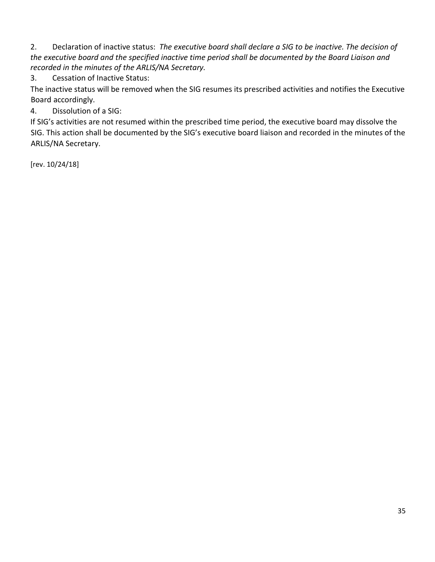2. Declaration of inactive status: *The executive board shall declare a SIG to be inactive. The decision of the executive board and the specified inactive time period shall be documented by the Board Liaison and recorded in the minutes of the ARLIS/NA Secretary.* 

3. Cessation of Inactive Status:

The inactive status will be removed when the SIG resumes its prescribed activities and notifies the Executive Board accordingly.

4. Dissolution of a SIG:

If SIG's activities are not resumed within the prescribed time period, the executive board may dissolve the SIG. This action shall be documented by the SIG's executive board liaison and recorded in the minutes of the ARLIS/NA Secretary.

[rev. 10/24/18]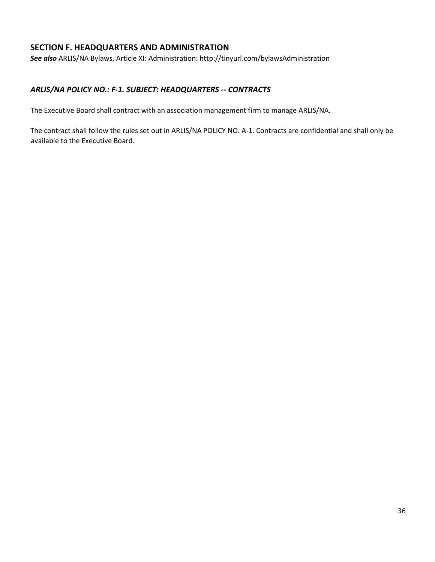# **SECTION F. HEADQUARTERS AND ADMINISTRATION**

*See also* ARLIS/NA Bylaws, Article XI: Administration: http://tinyurl.com/bylawsAdministration

## *ARLIS/NA POLICY NO.: F-1. SUBJECT: HEADQUARTERS -- CONTRACTS*

The Executive Board shall contract with an association management firm to manage ARLIS/NA.

The contract shall follow the rules set out in ARLIS/NA POLICY NO. A-1. Contracts are confidential and shall only be available to the Executive Board.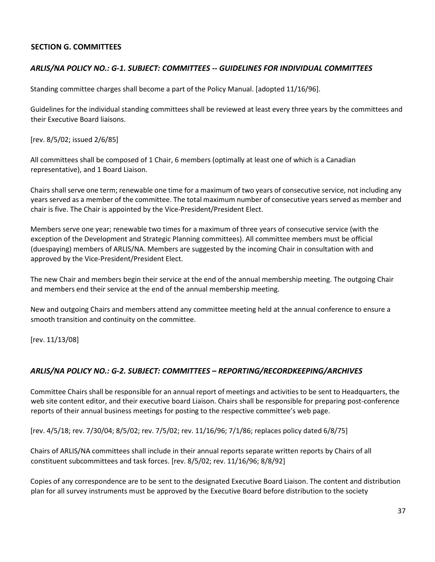## **SECTION G. COMMITTEES**

## *ARLIS/NA POLICY NO.: G-1. SUBJECT: COMMITTEES -- GUIDELINES FOR INDIVIDUAL COMMITTEES*

Standing committee charges shall become a part of the Policy Manual. [adopted 11/16/96].

Guidelines for the individual standing committees shall be reviewed at least every three years by the committees and their Executive Board liaisons.

[rev. 8/5/02; issued 2/6/85]

All committees shall be composed of 1 Chair, 6 members (optimally at least one of which is a Canadian representative), and 1 Board Liaison.

Chairs shall serve one term; renewable one time for a maximum of two years of consecutive service, not including any years served as a member of the committee. The total maximum number of consecutive years served as member and chair is five. The Chair is appointed by the Vice-President/President Elect.

Members serve one year; renewable two times for a maximum of three years of consecutive service (with the exception of the Development and Strategic Planning committees). All committee members must be official (duespaying) members of ARLIS/NA. Members are suggested by the incoming Chair in consultation with and approved by the Vice-President/President Elect.

The new Chair and members begin their service at the end of the annual membership meeting. The outgoing Chair and members end their service at the end of the annual membership meeting.

New and outgoing Chairs and members attend any committee meeting held at the annual conference to ensure a smooth transition and continuity on the committee.

[rev. 11/13/08]

#### *ARLIS/NA POLICY NO.: G-2. SUBJECT: COMMITTEES – REPORTING/RECORDKEEPING/ARCHIVES*

Committee Chairs shall be responsible for an annual report of meetings and activities to be sent to Headquarters, the web site content editor, and their executive board Liaison. Chairs shall be responsible for preparing post-conference reports of their annual business meetings for posting to the respective committee's web page.

[rev. 4/5/18; rev. 7/30/04; 8/5/02; rev. 7/5/02; rev. 11/16/96; 7/1/86; replaces policy dated 6/8/75]

Chairs of ARLIS/NA committees shall include in their annual reports separate written reports by Chairs of all constituent subcommittees and task forces. [rev. 8/5/02; rev. 11/16/96; 8/8/92]

Copies of any correspondence are to be sent to the designated Executive Board Liaison. The content and distribution plan for all survey instruments must be approved by the Executive Board before distribution to the society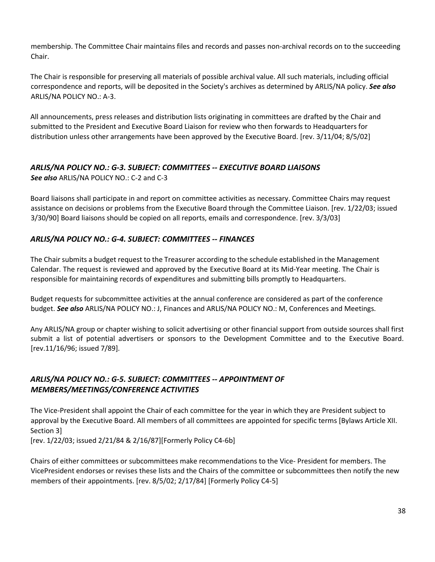membership. The Committee Chair maintains files and records and passes non-archival records on to the succeeding Chair.

The Chair is responsible for preserving all materials of possible archival value. All such materials, including official correspondence and reports, will be deposited in the Society's archives as determined by ARLIS/NA policy. *See also*  ARLIS/NA POLICY NO.: A-3.

All announcements, press releases and distribution lists originating in committees are drafted by the Chair and submitted to the President and Executive Board Liaison for review who then forwards to Headquarters for distribution unless other arrangements have been approved by the Executive Board. [rev. 3/11/04; 8/5/02]

# *ARLIS/NA POLICY NO.: G-3. SUBJECT: COMMITTEES -- EXECUTIVE BOARD LIAISONS*

*See also* ARLIS/NA POLICY NO.: C-2 and C-3

Board liaisons shall participate in and report on committee activities as necessary. Committee Chairs may request assistance on decisions or problems from the Executive Board through the Committee Liaison. [rev. 1/22/03; issued 3/30/90] Board liaisons should be copied on all reports, emails and correspondence. [rev. 3/3/03]

# *ARLIS/NA POLICY NO.: G-4. SUBJECT: COMMITTEES -- FINANCES*

The Chair submits a budget request to the Treasurer according to the schedule established in the Management Calendar. The request is reviewed and approved by the Executive Board at its Mid-Year meeting. The Chair is responsible for maintaining records of expenditures and submitting bills promptly to Headquarters.

Budget requests for subcommittee activities at the annual conference are considered as part of the conference budget. *See also* ARLIS/NA POLICY NO.: J, Finances and ARLIS/NA POLICY NO.: M, Conferences and Meetings.

Any ARLIS/NA group or chapter wishing to solicit advertising or other financial support from outside sources shall first submit a list of potential advertisers or sponsors to the Development Committee and to the Executive Board. [rev.11/16/96; issued 7/89].

# *ARLIS/NA POLICY NO.: G-5. SUBJECT: COMMITTEES -- APPOINTMENT OF MEMBERS/MEETINGS/CONFERENCE ACTIVITIES*

The Vice-President shall appoint the Chair of each committee for the year in which they are President subject to approval by the Executive Board. All members of all committees are appointed for specific terms [Bylaws Article XII. Section 3]

[rev. 1/22/03; issued 2/21/84 & 2/16/87][Formerly Policy C4-6b]

Chairs of either committees or subcommittees make recommendations to the Vice- President for members. The VicePresident endorses or revises these lists and the Chairs of the committee or subcommittees then notify the new members of their appointments. [rev. 8/5/02; 2/17/84] [Formerly Policy C4-5]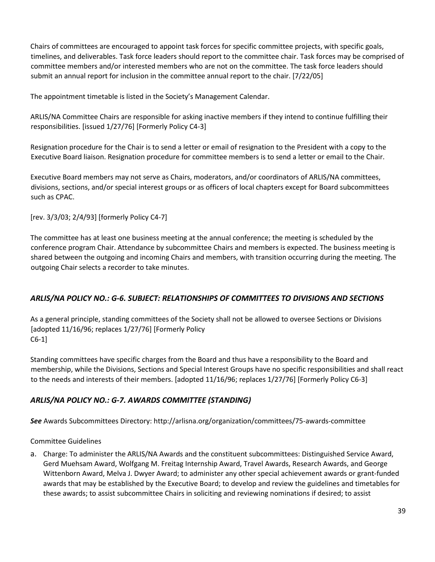Chairs of committees are encouraged to appoint task forces for specific committee projects, with specific goals, timelines, and deliverables. Task force leaders should report to the committee chair. Task forces may be comprised of committee members and/or interested members who are not on the committee. The task force leaders should submit an annual report for inclusion in the committee annual report to the chair. [7/22/05]

The appointment timetable is listed in the Society's Management Calendar.

ARLIS/NA Committee Chairs are responsible for asking inactive members if they intend to continue fulfilling their responsibilities. [issued 1/27/76] [Formerly Policy C4-3]

Resignation procedure for the Chair is to send a letter or email of resignation to the President with a copy to the Executive Board liaison. Resignation procedure for committee members is to send a letter or email to the Chair.

Executive Board members may not serve as Chairs, moderators, and/or coordinators of ARLIS/NA committees, divisions, sections, and/or special interest groups or as officers of local chapters except for Board subcommittees such as CPAC.

[rev. 3/3/03; 2/4/93] [formerly Policy C4-7]

The committee has at least one business meeting at the annual conference; the meeting is scheduled by the conference program Chair. Attendance by subcommittee Chairs and members is expected. The business meeting is shared between the outgoing and incoming Chairs and members, with transition occurring during the meeting. The outgoing Chair selects a recorder to take minutes.

# *ARLIS/NA POLICY NO.: G-6. SUBJECT: RELATIONSHIPS OF COMMITTEES TO DIVISIONS AND SECTIONS*

As a general principle, standing committees of the Society shall not be allowed to oversee Sections or Divisions [adopted 11/16/96; replaces 1/27/76] [Formerly Policy C6-1]

Standing committees have specific charges from the Board and thus have a responsibility to the Board and membership, while the Divisions, Sections and Special Interest Groups have no specific responsibilities and shall react to the needs and interests of their members. [adopted 11/16/96; replaces 1/27/76] [Formerly Policy C6-3]

# *ARLIS/NA POLICY NO.: G-7. AWARDS COMMITTEE (STANDING)*

*See* Awards Subcommittees Directory: http://arlisna.org/organization/committees/75-awards-committee

Committee Guidelines

a. Charge: To administer the ARLIS/NA Awards and the constituent subcommittees: Distinguished Service Award, Gerd Muehsam Award, Wolfgang M. Freitag Internship Award, Travel Awards, Research Awards, and George Wittenborn Award, Melva J. Dwyer Award; to administer any other special achievement awards or grant-funded awards that may be established by the Executive Board; to develop and review the guidelines and timetables for these awards; to assist subcommittee Chairs in soliciting and reviewing nominations if desired; to assist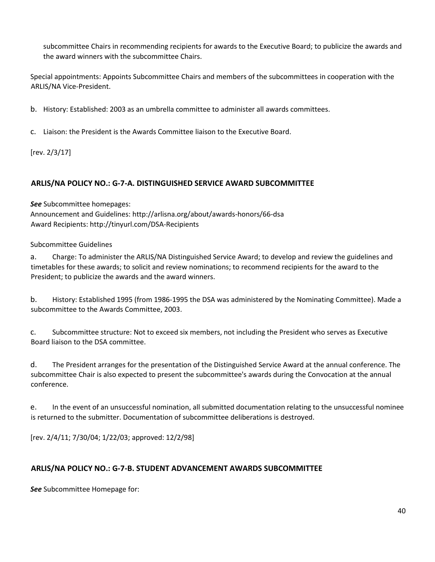subcommittee Chairs in recommending recipients for awards to the Executive Board; to publicize the awards and the award winners with the subcommittee Chairs.

Special appointments: Appoints Subcommittee Chairs and members of the subcommittees in cooperation with the ARLIS/NA Vice-President.

b. History: Established: 2003 as an umbrella committee to administer all awards committees.

c. Liaison: the President is the Awards Committee liaison to the Executive Board.

[rev. 2/3/17]

# **ARLIS/NA POLICY NO.: G-7-A. DISTINGUISHED SERVICE AWARD SUBCOMMITTEE**

*See* Subcommittee homepages:

Announcement and Guidelines: http://arlisna.org/about/awards-honors/66-dsa Award Recipients: http://tinyurl.com/DSA-Recipients

Subcommittee Guidelines

a. Charge: To administer the ARLIS/NA Distinguished Service Award; to develop and review the guidelines and timetables for these awards; to solicit and review nominations; to recommend recipients for the award to the President; to publicize the awards and the award winners.

b. History: Established 1995 (from 1986-1995 the DSA was administered by the Nominating Committee). Made a subcommittee to the Awards Committee, 2003.

c. Subcommittee structure: Not to exceed six members, not including the President who serves as Executive Board liaison to the DSA committee.

d. The President arranges for the presentation of the Distinguished Service Award at the annual conference. The subcommittee Chair is also expected to present the subcommittee's awards during the Convocation at the annual conference.

e. In the event of an unsuccessful nomination, all submitted documentation relating to the unsuccessful nominee is returned to the submitter. Documentation of subcommittee deliberations is destroyed.

[rev. 2/4/11; 7/30/04; 1/22/03; approved: 12/2/98]

# **ARLIS/NA POLICY NO.: G-7-B. STUDENT ADVANCEMENT AWARDS SUBCOMMITTEE**

*See* Subcommittee Homepage for: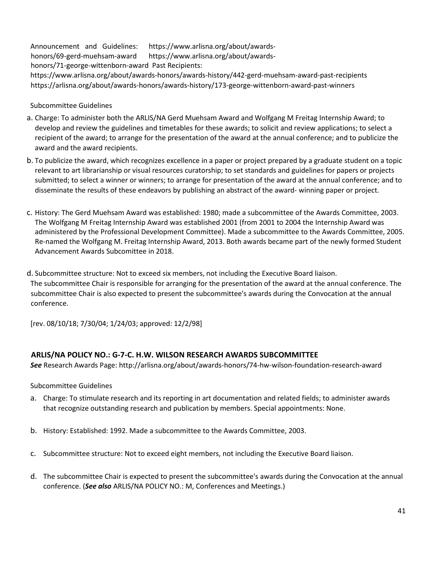Announcement and Guidelines: https://www.arlisna.org/about/awardshonors/69-gerd-muehsam-award https://www.arlisna.org/about/awardshonors/71-george-wittenborn-award Past Recipients:

https://www.arlisna.org/about/awards-honors/awards-history/442-gerd-muehsam-award-past-recipients https://arlisna.org/about/awards-honors/awards-history/173-george-wittenborn-award-past-winners

#### Subcommittee Guidelines

- a. Charge: To administer both the ARLIS/NA Gerd Muehsam Award and Wolfgang M Freitag Internship Award; to develop and review the guidelines and timetables for these awards; to solicit and review applications; to select a recipient of the award; to arrange for the presentation of the award at the annual conference; and to publicize the award and the award recipients.
- b. To publicize the award, which recognizes excellence in a paper or project prepared by a graduate student on a topic relevant to art librarianship or visual resources curatorship; to set standards and guidelines for papers or projects submitted; to select a winner or winners; to arrange for presentation of the award at the annual conference; and to disseminate the results of these endeavors by publishing an abstract of the award- winning paper or project.
- c. History: The Gerd Muehsam Award was established: 1980; made a subcommittee of the Awards Committee, 2003. The Wolfgang M Freitag Internship Award was established 2001 (from 2001 to 2004 the Internship Award was administered by the Professional Development Committee). Made a subcommittee to the Awards Committee, 2005. Re-named the Wolfgang M. Freitag Internship Award, 2013. Both awards became part of the newly formed Student Advancement Awards Subcomittee in 2018.
- d. Subcommittee structure: Not to exceed six members, not including the Executive Board liaison. The subcommittee Chair is responsible for arranging for the presentation of the award at the annual conference. The subcommittee Chair is also expected to present the subcommittee's awards during the Convocation at the annual conference.

[rev. 08/10/18; 7/30/04; 1/24/03; approved: 12/2/98]

#### **ARLIS/NA POLICY NO.: G-7-C. H.W. WILSON RESEARCH AWARDS SUBCOMMITTEE**

*See* Research Awards Page: http://arlisna.org/about/awards-honors/74-hw-wilson-foundation-research-award

Subcommittee Guidelines

- a. Charge: To stimulate research and its reporting in art documentation and related fields; to administer awards that recognize outstanding research and publication by members. Special appointments: None.
- b. History: Established: 1992. Made a subcommittee to the Awards Committee, 2003.
- c. Subcommittee structure: Not to exceed eight members, not including the Executive Board liaison.
- d. The subcommittee Chair is expected to present the subcommittee's awards during the Convocation at the annual conference. (*See also* ARLIS/NA POLICY NO.: M, Conferences and Meetings.)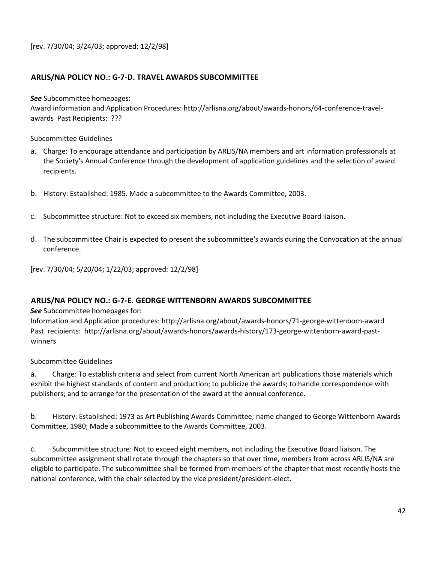[rev. 7/30/04; 3/24/03; approved: 12/2/98]

#### **ARLIS/NA POLICY NO.: G-7-D. TRAVEL AWARDS SUBCOMMITTEE**

*See* Subcommittee homepages:

Award information and Application Procedures: http://arlisna.org/about/awards-honors/64-conference-travelawards Past Recipients: ???

Subcommittee Guidelines

- a. Charge: To encourage attendance and participation by ARLIS/NA members and art information professionals at the Society's Annual Conference through the development of application guidelines and the selection of award recipients.
- b. History: Established: 1985. Made a subcommittee to the Awards Committee, 2003.
- c. Subcommittee structure: Not to exceed six members, not including the Executive Board liaison.
- d. The subcommittee Chair is expected to present the subcommittee's awards during the Convocation at the annual conference.

[rev. 7/30/04; 5/20/04; 1/22/03; approved: 12/2/98]

#### **ARLIS/NA POLICY NO.: G-7-E. GEORGE WITTENBORN AWARDS SUBCOMMITTEE**

#### *See* Subcommittee homepages for:

Information and Application procedures: http://arlisna.org/about/awards-honors/71-george-wittenborn-award Past recipients: http://arlisna.org/about/awards-honors/awards-history/173-george-wittenborn-award-pastwinners

Subcommittee Guidelines

a. Charge: To establish criteria and select from current North American art publications those materials which exhibit the highest standards of content and production; to publicize the awards; to handle correspondence with publishers; and to arrange for the presentation of the award at the annual conference.

b. History: Established: 1973 as Art Publishing Awards Committee; name changed to George Wittenborn Awards Committee, 1980; Made a subcommittee to the Awards Committee, 2003.

c. Subcommittee structure: Not to exceed eight members, not including the Executive Board liaison. The subcommittee assignment shall rotate through the chapters so that over time, members from across ARLIS/NA are eligible to participate. The subcommittee shall be formed from members of the chapter that most recently hosts the national conference, with the chair selected by the vice president/president-elect.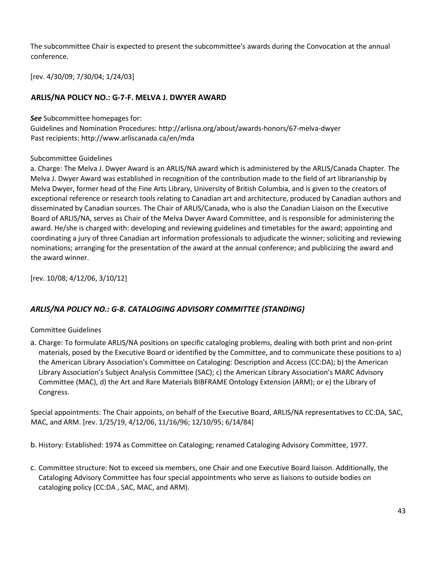The subcommittee Chair is expected to present the subcommittee's awards during the Convocation at the annual conference.

[rev. 4/30/09; 7/30/04; 1/24/03]

# **ARLIS/NA POLICY NO.: G-7-F. MELVA J. DWYER AWARD**

*See* Subcommittee homepages for:

Guidelines and Nomination Procedures: http://arlisna.org/about/awards-honors/67-melva-dwyer Past recipients: http://www.arliscanada.ca/en/mda

#### Subcommittee Guidelines

a. Charge: The Melva J. Dwyer Award is an ARLIS/NA award which is administered by the ARLIS/Canada Chapter. The Melva J. Dwyer Award was established in recognition of the contribution made to the field of art librarianship by Melva Dwyer, former head of the Fine Arts Library, University of British Columbia, and is given to the creators of exceptional reference or research tools relating to Canadian art and architecture, produced by Canadian authors and disseminated by Canadian sources. The Chair of ARLIS/Canada, who is also the Canadian Liaison on the Executive Board of ARLIS/NA, serves as Chair of the Melva Dwyer Award Committee, and is responsible for administering the award. He/she is charged with: developing and reviewing guidelines and timetables for the award; appointing and coordinating a jury of three Canadian art information professionals to adjudicate the winner; soliciting and reviewing nominations; arranging for the presentation of the award at the annual conference; and publicizing the award and the award winner.

[rev. 10/08; 4/12/06, 3/10/12]

#### *ARLIS/NA POLICY NO.: G-8. CATALOGING ADVISORY COMMITTEE (STANDING)*

#### Committee Guidelines

a. Charge: To formulate ARLIS/NA positions on specific cataloging problems, dealing with both print and non-print materials, posed by the Executive Board or identified by the Committee, and to communicate these positions to a) the American Library Association's Committee on Cataloging: Description and Access (CC:DA); b) the American Library Association's Subject Analysis Committee (SAC); c) the American Library Association's MARC Advisory Committee (MAC), d) the Art and Rare Materials BIBFRAME Ontology Extension (ARM); or e) the Library of Congress.

Special appointments: The Chair appoints, on behalf of the Executive Board, ARLIS/NA representatives to CC:DA, SAC, MAC, and ARM. [rev. 1/25/19, 4/12/06, 11/16/96; 12/10/95; 6/14/84]

b. History: Established: 1974 as Committee on Cataloging; renamed Cataloging Advisory Committee, 1977.

c. Committee structure: Not to exceed six members, one Chair and one Executive Board liaison. Additionally, the Cataloging Advisory Committee has four special appointments who serve as liaisons to outside bodies on cataloging policy (CC:DA , SAC, MAC, and ARM).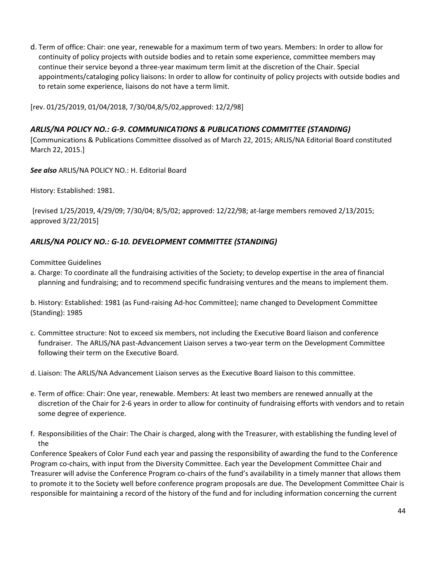d. Term of office: Chair: one year, renewable for a maximum term of two years. Members: In order to allow for continuity of policy projects with outside bodies and to retain some experience, committee members may continue their service beyond a three-year maximum term limit at the discretion of the Chair. Special appointments/cataloging policy liaisons: In order to allow for continuity of policy projects with outside bodies and to retain some experience, liaisons do not have a term limit.

[rev. 01/25/2019, 01/04/2018, 7/30/04,8/5/02,approved: 12/2/98]

## *ARLIS/NA POLICY NO.: G-9. COMMUNICATIONS & PUBLICATIONS COMMITTEE (STANDING)*

[Communications & Publications Committee dissolved as of March 22, 2015; ARLIS/NA Editorial Board constituted March 22, 2015.]

*See also* ARLIS/NA POLICY NO.: H. Editorial Board

History: Established: 1981.

[revised 1/25/2019, 4/29/09; 7/30/04; 8/5/02; approved: 12/22/98; at-large members removed 2/13/2015; approved 3/22/2015]

## *ARLIS/NA POLICY NO.: G-10. DEVELOPMENT COMMITTEE (STANDING)*

Committee Guidelines

a. Charge: To coordinate all the fundraising activities of the Society; to develop expertise in the area of financial planning and fundraising; and to recommend specific fundraising ventures and the means to implement them.

b. History: Established: 1981 (as Fund-raising Ad-hoc Committee); name changed to Development Committee (Standing): 1985

- c. Committee structure: Not to exceed six members, not including the Executive Board liaison and conference fundraiser. The ARLIS/NA past-Advancement Liaison serves a two-year term on the Development Committee following their term on the Executive Board.
- d. Liaison: The ARLIS/NA Advancement Liaison serves as the Executive Board liaison to this committee.
- e. Term of office: Chair: One year, renewable. Members: At least two members are renewed annually at the discretion of the Chair for 2-6 years in order to allow for continuity of fundraising efforts with vendors and to retain some degree of experience.
- f. Responsibilities of the Chair: The Chair is charged, along with the Treasurer, with establishing the funding level of the

Conference Speakers of Color Fund each year and passing the responsibility of awarding the fund to the Conference Program co-chairs, with input from the Diversity Committee. Each year the Development Committee Chair and Treasurer will advise the Conference Program co-chairs of the fund's availability in a timely manner that allows them to promote it to the Society well before conference program proposals are due. The Development Committee Chair is responsible for maintaining a record of the history of the fund and for including information concerning the current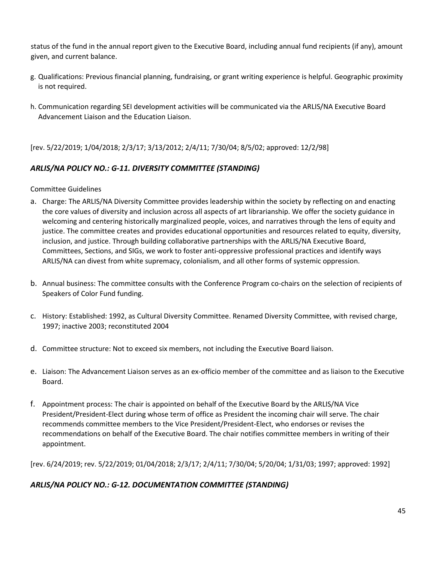status of the fund in the annual report given to the Executive Board, including annual fund recipients (if any), amount given, and current balance.

- g. Qualifications: Previous financial planning, fundraising, or grant writing experience is helpful. Geographic proximity is not required.
- h. Communication regarding SEI development activities will be communicated via the ARLIS/NA Executive Board Advancement Liaison and the Education Liaison.

[rev. 5/22/2019; 1/04/2018; 2/3/17; 3/13/2012; 2/4/11; 7/30/04; 8/5/02; approved: 12/2/98]

# *ARLIS/NA POLICY NO.: G-11. DIVERSITY COMMITTEE (STANDING)*

Committee Guidelines

- a. Charge: The ARLIS/NA Diversity Committee provides leadership within the society by reflecting on and enacting the core values of diversity and inclusion across all aspects of art librarianship. We offer the society guidance in welcoming and centering historically marginalized people, voices, and narratives through the lens of equity and justice. The committee creates and provides educational opportunities and resources related to equity, diversity, inclusion, and justice. Through building collaborative partnerships with the ARLIS/NA Executive Board, Committees, Sections, and SIGs, we work to foster anti-oppressive professional practices and identify ways ARLIS/NA can divest from white supremacy, colonialism, and all other forms of systemic oppression.
- b. Annual business: The committee consults with the Conference Program co-chairs on the selection of recipients of Speakers of Color Fund funding.
- c. History: Established: 1992, as Cultural Diversity Committee. Renamed Diversity Committee, with revised charge, 1997; inactive 2003; reconstituted 2004
- d. Committee structure: Not to exceed six members, not including the Executive Board liaison.
- e. Liaison: The Advancement Liaison serves as an ex-officio member of the committee and as liaison to the Executive Board.
- f. Appointment process: The chair is appointed on behalf of the Executive Board by the ARLIS/NA Vice President/President-Elect during whose term of office as President the incoming chair will serve. The chair recommends committee members to the Vice President/President-Elect, who endorses or revises the recommendations on behalf of the Executive Board. The chair notifies committee members in writing of their appointment.

[rev. 6/24/2019; rev. 5/22/2019; 01/04/2018; 2/3/17; 2/4/11; 7/30/04; 5/20/04; 1/31/03; 1997; approved: 1992]

# *ARLIS/NA POLICY NO.: G-12. DOCUMENTATION COMMITTEE (STANDING)*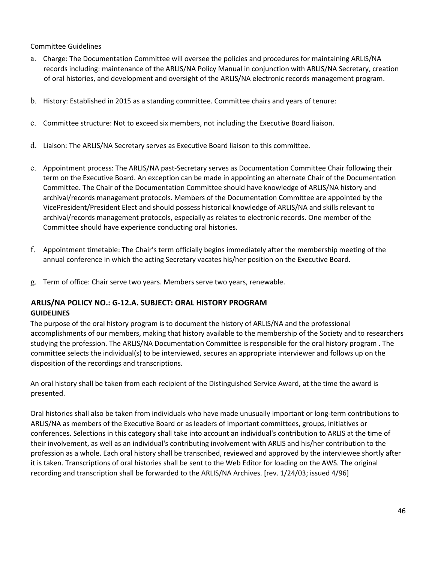#### Committee Guidelines

- a. Charge: The Documentation Committee will oversee the policies and procedures for maintaining ARLIS/NA records including: maintenance of the ARLIS/NA Policy Manual in conjunction with ARLIS/NA Secretary, creation of oral histories, and development and oversight of the ARLIS/NA electronic records management program.
- b. History: Established in 2015 as a standing committee. Committee chairs and years of tenure:
- c. Committee structure: Not to exceed six members, not including the Executive Board liaison.
- d. Liaison: The ARLIS/NA Secretary serves as Executive Board liaison to this committee.
- e. Appointment process: The ARLIS/NA past-Secretary serves as Documentation Committee Chair following their term on the Executive Board. An exception can be made in appointing an alternate Chair of the Documentation Committee. The Chair of the Documentation Committee should have knowledge of ARLIS/NA history and archival/records management protocols. Members of the Documentation Committee are appointed by the VicePresident/President Elect and should possess historical knowledge of ARLIS/NA and skills relevant to archival/records management protocols, especially as relates to electronic records. One member of the Committee should have experience conducting oral histories.
- f. Appointment timetable: The Chair's term officially begins immediately after the membership meeting of the annual conference in which the acting Secretary vacates his/her position on the Executive Board.
- g. Term of office: Chair serve two years. Members serve two years, renewable.

#### **ARLIS/NA POLICY NO.: G-12.A. SUBJECT: ORAL HISTORY PROGRAM GUIDELINES**

The purpose of the oral history program is to document the history of ARLIS/NA and the professional accomplishments of our members, making that history available to the membership of the Society and to researchers studying the profession. The ARLIS/NA Documentation Committee is responsible for the oral history program . The committee selects the individual(s) to be interviewed, secures an appropriate interviewer and follows up on the disposition of the recordings and transcriptions.

An oral history shall be taken from each recipient of the Distinguished Service Award, at the time the award is presented.

Oral histories shall also be taken from individuals who have made unusually important or long-term contributions to ARLIS/NA as members of the Executive Board or as leaders of important committees, groups, initiatives or conferences. Selections in this category shall take into account an individual's contribution to ARLIS at the time of their involvement, as well as an individual's contributing involvement with ARLIS and his/her contribution to the profession as a whole. Each oral history shall be transcribed, reviewed and approved by the interviewee shortly after it is taken. Transcriptions of oral histories shall be sent to the Web Editor for loading on the AWS. The original recording and transcription shall be forwarded to the ARLIS/NA Archives. [rev. 1/24/03; issued 4/96]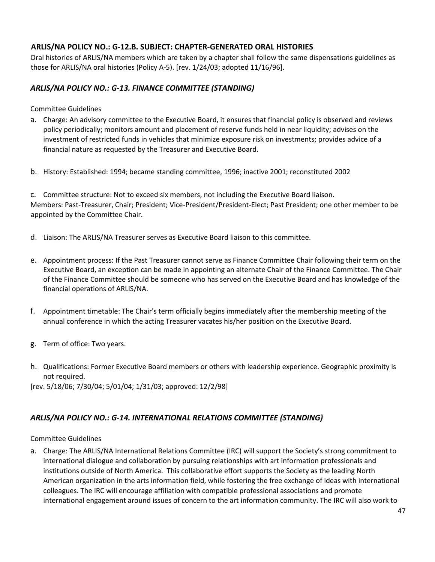# **ARLIS/NA POLICY NO.: G-12.B. SUBJECT: CHAPTER-GENERATED ORAL HISTORIES**

Oral histories of ARLIS/NA members which are taken by a chapter shall follow the same dispensations guidelines as those for ARLIS/NA oral histories (Policy A-5). [rev. 1/24/03; adopted 11/16/96].

# *ARLIS/NA POLICY NO.: G-13. FINANCE COMMITTEE (STANDING)*

Committee Guidelines

- a. Charge: An advisory committee to the Executive Board, it ensures that financial policy is observed and reviews policy periodically; monitors amount and placement of reserve funds held in near liquidity; advises on the investment of restricted funds in vehicles that minimize exposure risk on investments; provides advice of a financial nature as requested by the Treasurer and Executive Board.
- b. History: Established: 1994; became standing committee, 1996; inactive 2001; reconstituted 2002

c. Committee structure: Not to exceed six members, not including the Executive Board liaison. Members: Past-Treasurer, Chair; President; Vice-President/President-Elect; Past President; one other member to be appointed by the Committee Chair.

- d. Liaison: The ARLIS/NA Treasurer serves as Executive Board liaison to this committee.
- e. Appointment process: If the Past Treasurer cannot serve as Finance Committee Chair following their term on the Executive Board, an exception can be made in appointing an alternate Chair of the Finance Committee. The Chair of the Finance Committee should be someone who has served on the Executive Board and has knowledge of the financial operations of ARLIS/NA.
- f. Appointment timetable: The Chair's term officially begins immediately after the membership meeting of the annual conference in which the acting Treasurer vacates his/her position on the Executive Board.
- g. Term of office: Two years.
- h. Qualifications: Former Executive Board members or others with leadership experience. Geographic proximity is not required.

[rev. 5/18/06; 7/30/04; 5/01/04; 1/31/03; approved: 12/2/98]

# *ARLIS/NA POLICY NO.: G-14. INTERNATIONAL RELATIONS COMMITTEE (STANDING)*

Committee Guidelines

a. Charge: The ARLIS/NA International Relations Committee (IRC) will support the Society's strong commitment to international dialogue and collaboration by pursuing relationships with art information professionals and institutions outside of North America. This collaborative effort supports the Society as the leading North American organization in the arts information field, while fostering the free exchange of ideas with international colleagues. The IRC will encourage affiliation with compatible professional associations and promote international engagement around issues of concern to the art information community. The IRC will also work to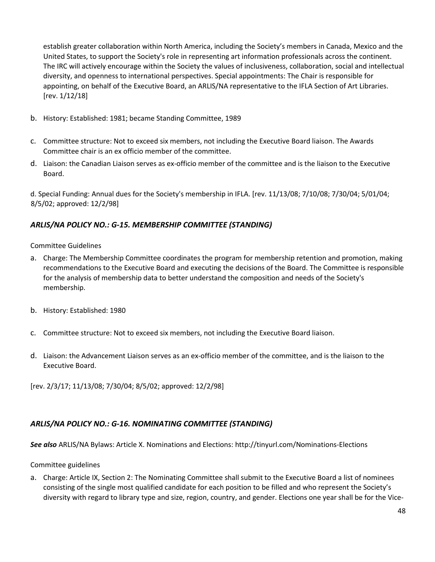establish greater collaboration within North America, including the Society's members in Canada, Mexico and the United States, to support the Society's role in representing art information professionals across the continent. The IRC will actively encourage within the Society the values of inclusiveness, collaboration, social and intellectual diversity, and openness to international perspectives. Special appointments: The Chair is responsible for appointing, on behalf of the Executive Board, an ARLIS/NA representative to the IFLA Section of Art Libraries. [rev. 1/12/18]

- b. History: Established: 1981; became Standing Committee, 1989
- c. Committee structure: Not to exceed six members, not including the Executive Board liaison. The Awards Committee chair is an ex officio member of the committee.
- d. Liaison: the Canadian Liaison serves as ex-officio member of the committee and is the liaison to the Executive Board.

d. Special Funding: Annual dues for the Society's membership in IFLA. [rev. 11/13/08; 7/10/08; 7/30/04; 5/01/04; 8/5/02; approved: 12/2/98]

# *ARLIS/NA POLICY NO.: G-15. MEMBERSHIP COMMITTEE (STANDING)*

Committee Guidelines

- a. Charge: The Membership Committee coordinates the program for membership retention and promotion, making recommendations to the Executive Board and executing the decisions of the Board. The Committee is responsible for the analysis of membership data to better understand the composition and needs of the Society's membership.
- b. History: Established: 1980
- c. Committee structure: Not to exceed six members, not including the Executive Board liaison.
- d. Liaison: the Advancement Liaison serves as an ex-officio member of the committee, and is the liaison to the Executive Board.

[rev. 2/3/17; 11/13/08; 7/30/04; 8/5/02; approved: 12/2/98]

# *ARLIS/NA POLICY NO.: G-16. NOMINATING COMMITTEE (STANDING)*

*See also* ARLIS/NA Bylaws: Article X. Nominations and Elections: http://tinyurl.com/Nominations-Elections

Committee guidelines

a. Charge: Article IX, Section 2: The Nominating Committee shall submit to the Executive Board a list of nominees consisting of the single most qualified candidate for each position to be filled and who represent the Society's diversity with regard to library type and size, region, country, and gender. Elections one year shall be for the Vice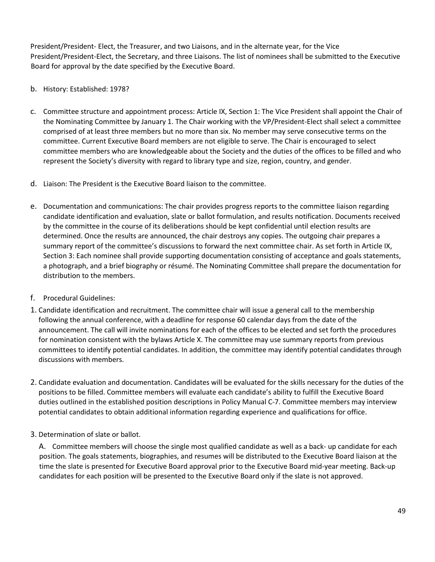President/President- Elect, the Treasurer, and two Liaisons, and in the alternate year, for the Vice President/President-Elect, the Secretary, and three Liaisons. The list of nominees shall be submitted to the Executive Board for approval by the date specified by the Executive Board.

#### b. History: Established: 1978?

- c. Committee structure and appointment process: Article IX, Section 1: The Vice President shall appoint the Chair of the Nominating Committee by January 1. The Chair working with the VP/President-Elect shall select a committee comprised of at least three members but no more than six. No member may serve consecutive terms on the committee. Current Executive Board members are not eligible to serve. The Chair is encouraged to select committee members who are knowledgeable about the Society and the duties of the offices to be filled and who represent the Society's diversity with regard to library type and size, region, country, and gender.
- d. Liaison: The President is the Executive Board liaison to the committee.
- e. Documentation and communications: The chair provides progress reports to the committee liaison regarding candidate identification and evaluation, slate or ballot formulation, and results notification. Documents received by the committee in the course of its deliberations should be kept confidential until election results are determined. Once the results are announced, the chair destroys any copies. The outgoing chair prepares a summary report of the committee's discussions to forward the next committee chair. As set forth in Article IX, Section 3: Each nominee shall provide supporting documentation consisting of acceptance and goals statements, a photograph, and a brief biography or résumé. The Nominating Committee shall prepare the documentation for distribution to the members.
- f. Procedural Guidelines:
- 1. Candidate identification and recruitment. The committee chair will issue a general call to the membership following the annual conference, with a deadline for response 60 calendar days from the date of the announcement. The call will invite nominations for each of the offices to be elected and set forth the procedures for nomination consistent with the bylaws Article X. The committee may use summary reports from previous committees to identify potential candidates. In addition, the committee may identify potential candidates through discussions with members.
- 2. Candidate evaluation and documentation. Candidates will be evaluated for the skills necessary for the duties of the positions to be filled. Committee members will evaluate each candidate's ability to fulfill the Executive Board duties outlined in the established position descriptions in Policy Manual C-7. Committee members may interview potential candidates to obtain additional information regarding experience and qualifications for office.
- 3. Determination of slate or ballot.

A. Committee members will choose the single most qualified candidate as well as a back- up candidate for each position. The goals statements, biographies, and resumes will be distributed to the Executive Board liaison at the time the slate is presented for Executive Board approval prior to the Executive Board mid-year meeting. Back-up candidates for each position will be presented to the Executive Board only if the slate is not approved.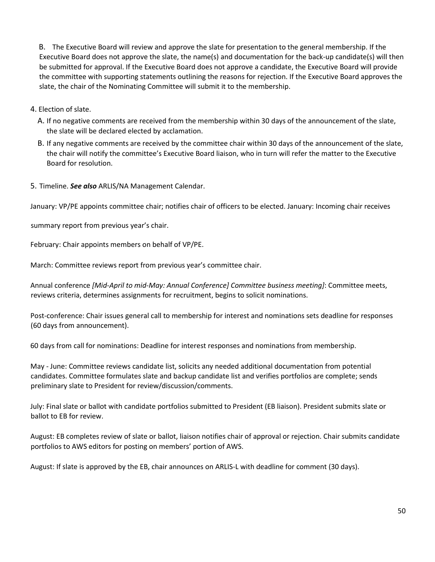B. The Executive Board will review and approve the slate for presentation to the general membership. If the Executive Board does not approve the slate, the name(s) and documentation for the back-up candidate(s) will then be submitted for approval. If the Executive Board does not approve a candidate, the Executive Board will provide the committee with supporting statements outlining the reasons for rejection. If the Executive Board approves the slate, the chair of the Nominating Committee will submit it to the membership.

4. Election of slate.

- A. If no negative comments are received from the membership within 30 days of the announcement of the slate, the slate will be declared elected by acclamation.
- B. If any negative comments are received by the committee chair within 30 days of the announcement of the slate, the chair will notify the committee's Executive Board liaison, who in turn will refer the matter to the Executive Board for resolution.
- 5. Timeline. *See also* ARLIS/NA Management Calendar.

January: VP/PE appoints committee chair; notifies chair of officers to be elected. January: Incoming chair receives

summary report from previous year's chair.

February: Chair appoints members on behalf of VP/PE.

March: Committee reviews report from previous year's committee chair.

Annual conference *[Mid-April to mid-May: Annual Conference] Committee business meeting]*: Committee meets, reviews criteria, determines assignments for recruitment, begins to solicit nominations.

Post-conference: Chair issues general call to membership for interest and nominations sets deadline for responses (60 days from announcement).

60 days from call for nominations: Deadline for interest responses and nominations from membership.

May - June: Committee reviews candidate list, solicits any needed additional documentation from potential candidates. Committee formulates slate and backup candidate list and verifies portfolios are complete; sends preliminary slate to President for review/discussion/comments.

July: Final slate or ballot with candidate portfolios submitted to President (EB liaison). President submits slate or ballot to EB for review.

August: EB completes review of slate or ballot, liaison notifies chair of approval or rejection. Chair submits candidate portfolios to AWS editors for posting on members' portion of AWS.

August: If slate is approved by the EB, chair announces on ARLIS-L with deadline for comment (30 days).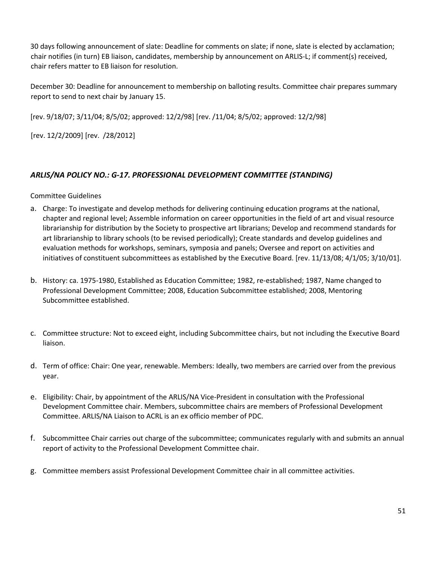30 days following announcement of slate: Deadline for comments on slate; if none, slate is elected by acclamation; chair notifies (in turn) EB liaison, candidates, membership by announcement on ARLIS-L; if comment(s) received, chair refers matter to EB liaison for resolution.

December 30: Deadline for announcement to membership on balloting results. Committee chair prepares summary report to send to next chair by January 15.

[rev. 9/18/07; 3/11/04; 8/5/02; approved: 12/2/98] [rev. /11/04; 8/5/02; approved: 12/2/98]

[rev. 12/2/2009] [rev. /28/2012]

# *ARLIS/NA POLICY NO.: G-17. PROFESSIONAL DEVELOPMENT COMMITTEE (STANDING)*

Committee Guidelines

- a. Charge: To investigate and develop methods for delivering continuing education programs at the national, chapter and regional level; Assemble information on career opportunities in the field of art and visual resource librarianship for distribution by the Society to prospective art librarians; Develop and recommend standards for art librarianship to library schools (to be revised periodically); Create standards and develop guidelines and evaluation methods for workshops, seminars, symposia and panels; Oversee and report on activities and initiatives of constituent subcommittees as established by the Executive Board. [rev. 11/13/08; 4/1/05; 3/10/01].
- b. History: ca. 1975-1980, Established as Education Committee; 1982, re-established; 1987, Name changed to Professional Development Committee; 2008, Education Subcommittee established; 2008, Mentoring Subcommittee established.
- c. Committee structure: Not to exceed eight, including Subcommittee chairs, but not including the Executive Board liaison.
- d. Term of office: Chair: One year, renewable. Members: Ideally, two members are carried over from the previous year.
- e. Eligibility: Chair, by appointment of the ARLIS/NA Vice-President in consultation with the Professional Development Committee chair. Members, subcommittee chairs are members of Professional Development Committee. ARLIS/NA Liaison to ACRL is an ex officio member of PDC.
- f. Subcommittee Chair carries out charge of the subcommittee; communicates regularly with and submits an annual report of activity to the Professional Development Committee chair.
- g. Committee members assist Professional Development Committee chair in all committee activities.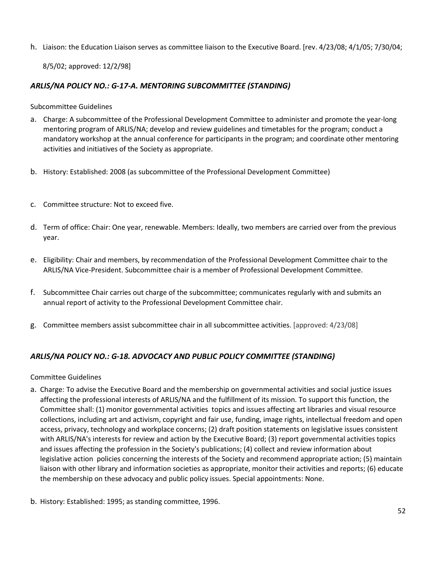h. Liaison: the Education Liaison serves as committee liaison to the Executive Board. [rev. 4/23/08; 4/1/05; 7/30/04;

8/5/02; approved: 12/2/98]

# *ARLIS/NA POLICY NO.: G-17-A. MENTORING SUBCOMMITTEE (STANDING)*

Subcommittee Guidelines

- a. Charge: A subcommittee of the Professional Development Committee to administer and promote the year-long mentoring program of ARLIS/NA; develop and review guidelines and timetables for the program; conduct a mandatory workshop at the annual conference for participants in the program; and coordinate other mentoring activities and initiatives of the Society as appropriate.
- b. History: Established: 2008 (as subcommittee of the Professional Development Committee)
- c. Committee structure: Not to exceed five.
- d. Term of office: Chair: One year, renewable. Members: Ideally, two members are carried over from the previous year.
- e. Eligibility: Chair and members, by recommendation of the Professional Development Committee chair to the ARLIS/NA Vice-President. Subcommittee chair is a member of Professional Development Committee.
- f. Subcommittee Chair carries out charge of the subcommittee; communicates regularly with and submits an annual report of activity to the Professional Development Committee chair.
- g. Committee members assist subcommittee chair in all subcommittee activities. [approved: 4/23/08]

# *ARLIS/NA POLICY NO.: G-18. ADVOCACY AND PUBLIC POLICY COMMITTEE (STANDING)*

Committee Guidelines

- a. Charge: To advise the Executive Board and the membership on governmental activities and social justice issues affecting the professional interests of ARLIS/NA and the fulfillment of its mission. To support this function, the Committee shall: (1) monitor governmental activities topics and issues affecting art libraries and visual resource collections, including art and activism, copyright and fair use, funding, image rights, intellectual freedom and open access, privacy, technology and workplace concerns; (2) draft position statements on legislative issues consistent with ARLIS/NA's interests for review and action by the Executive Board; (3) report governmental activities topics and issues affecting the profession in the Society's publications; (4) collect and review information about legislative action policies concerning the interests of the Society and recommend appropriate action; (5) maintain liaison with other library and information societies as appropriate, monitor their activities and reports; (6) educate the membership on these advocacy and public policy issues. Special appointments: None.
- b. History: Established: 1995; as standing committee, 1996.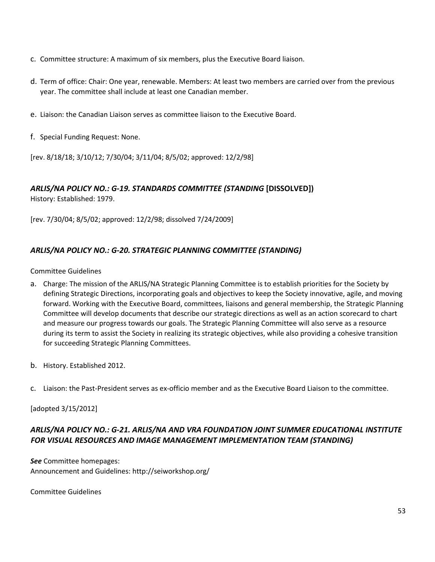- c. Committee structure: A maximum of six members, plus the Executive Board liaison.
- d. Term of office: Chair: One year, renewable. Members: At least two members are carried over from the previous year. The committee shall include at least one Canadian member.
- e. Liaison: the Canadian Liaison serves as committee liaison to the Executive Board.
- f. Special Funding Request: None.

[rev. 8/18/18; 3/10/12; 7/30/04; 3/11/04; 8/5/02; approved: 12/2/98]

#### *ARLIS/NA POLICY NO.: G-19. STANDARDS COMMITTEE (STANDING* **[DISSOLVED])**

History: Established: 1979.

[rev. 7/30/04; 8/5/02; approved: 12/2/98; dissolved 7/24/2009]

#### *ARLIS/NA POLICY NO.: G-20. STRATEGIC PLANNING COMMITTEE (STANDING)*

Committee Guidelines

- a. Charge: The mission of the ARLIS/NA Strategic Planning Committee is to establish priorities for the Society by defining Strategic Directions, incorporating goals and objectives to keep the Society innovative, agile, and moving forward. Working with the Executive Board, committees, liaisons and general membership, the Strategic Planning Committee will develop documents that describe our strategic directions as well as an action scorecard to chart and measure our progress towards our goals. The Strategic Planning Committee will also serve as a resource during its term to assist the Society in realizing its strategic objectives, while also providing a cohesive transition for succeeding Strategic Planning Committees.
- b. History. Established 2012.
- c. Liaison: the Past-President serves as ex-officio member and as the Executive Board Liaison to the committee.

[adopted 3/15/2012]

# *ARLIS/NA POLICY NO.: G-21. ARLIS/NA AND VRA FOUNDATION JOINT SUMMER EDUCATIONAL INSTITUTE FOR VISUAL RESOURCES AND IMAGE MANAGEMENT IMPLEMENTATION TEAM (STANDING)*

*See* Committee homepages: Announcement and Guidelines: http://seiworkshop.org/

Committee Guidelines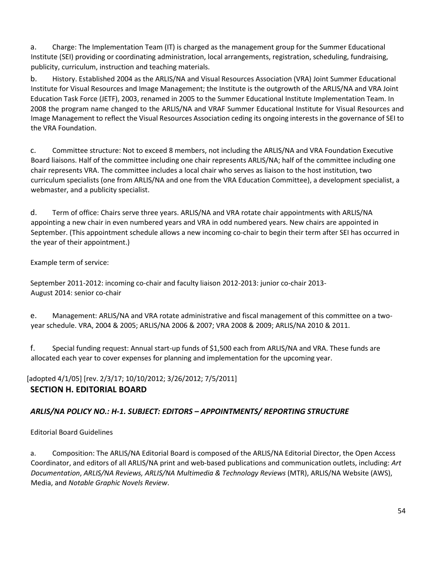a. Charge: The Implementation Team (IT) is charged as the management group for the Summer Educational Institute (SEI) providing or coordinating administration, local arrangements, registration, scheduling, fundraising, publicity, curriculum, instruction and teaching materials.

b. History. Established 2004 as the ARLIS/NA and Visual Resources Association (VRA) Joint Summer Educational Institute for Visual Resources and Image Management; the Institute is the outgrowth of the ARLIS/NA and VRA Joint Education Task Force (JETF), 2003, renamed in 2005 to the Summer Educational Institute Implementation Team. In 2008 the program name changed to the ARLIS/NA and VRAF Summer Educational Institute for Visual Resources and Image Management to reflect the Visual Resources Association ceding its ongoing interests in the governance of SEI to the VRA Foundation.

c. Committee structure: Not to exceed 8 members, not including the ARLIS/NA and VRA Foundation Executive Board liaisons. Half of the committee including one chair represents ARLIS/NA; half of the committee including one chair represents VRA. The committee includes a local chair who serves as liaison to the host institution, two curriculum specialists (one from ARLIS/NA and one from the VRA Education Committee), a development specialist, a webmaster, and a publicity specialist.

d. Term of office: Chairs serve three years. ARLIS/NA and VRA rotate chair appointments with ARLIS/NA appointing a new chair in even numbered years and VRA in odd numbered years. New chairs are appointed in September. (This appointment schedule allows a new incoming co-chair to begin their term after SEI has occurred in the year of their appointment.)

Example term of service:

September 2011-2012: incoming co-chair and faculty liaison 2012-2013: junior co-chair 2013- August 2014: senior co-chair

e. Management: ARLIS/NA and VRA rotate administrative and fiscal management of this committee on a twoyear schedule. VRA, 2004 & 2005; ARLIS/NA 2006 & 2007; VRA 2008 & 2009; ARLIS/NA 2010 & 2011.

f. Special funding request: Annual start-up funds of \$1,500 each from ARLIS/NA and VRA. These funds are allocated each year to cover expenses for planning and implementation for the upcoming year.

[adopted 4/1/05] [rev. 2/3/17; 10/10/2012; 3/26/2012; 7/5/2011]

# **SECTION H. EDITORIAL BOARD**

# *ARLIS/NA POLICY NO.: H-1. SUBJECT: EDITORS – APPOINTMENTS/ REPORTING STRUCTURE*

Editorial Board Guidelines

a. Composition: The ARLIS/NA Editorial Board is composed of the ARLIS/NA Editorial Director, the Open Access Coordinator, and editors of all ARLIS/NA print and web-based publications and communication outlets, including: *Art Documentation*, *ARLIS/NA Reviews, ARLIS/NA Multimedia & Technology Reviews* (MTR), ARLIS/NA Website (AWS), Media, and *Notable Graphic Novels Review*.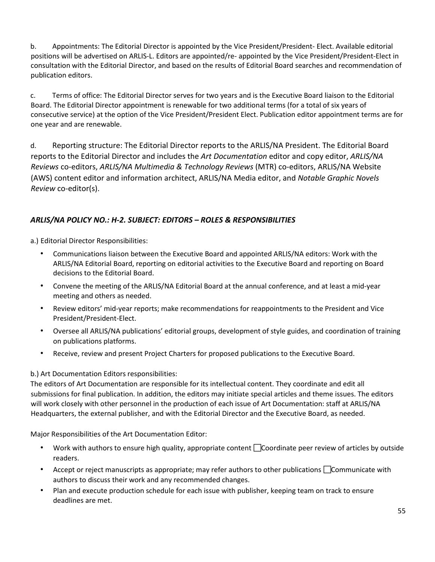b. Appointments: The Editorial Director is appointed by the Vice President/President- Elect. Available editorial positions will be advertised on ARLIS-L. Editors are appointed/re- appointed by the Vice President/President-Elect in consultation with the Editorial Director, and based on the results of Editorial Board searches and recommendation of publication editors.

c. Terms of office: The Editorial Director serves for two years and is the Executive Board liaison to the Editorial Board. The Editorial Director appointment is renewable for two additional terms (for a total of six years of consecutive service) at the option of the Vice President/President Elect. Publication editor appointment terms are for one year and are renewable.

d. Reporting structure: The Editorial Director reports to the ARLIS/NA President. The Editorial Board reports to the Editorial Director and includes the *Art Documentation* editor and copy editor, *ARLIS/NA Reviews* co-editors, *ARLIS/NA Multimedia & Technology Reviews* (MTR) co-editors, ARLIS/NA Website (AWS) content editor and information architect, ARLIS/NA Media editor, and *Notable Graphic Novels Review* co-editor(s).

# *ARLIS/NA POLICY NO.: H-2. SUBJECT: EDITORS – ROLES & RESPONSIBILITIES*

a.) Editorial Director Responsibilities:

- Communications liaison between the Executive Board and appointed ARLIS/NA editors: Work with the ARLIS/NA Editorial Board, reporting on editorial activities to the Executive Board and reporting on Board decisions to the Editorial Board.
- Convene the meeting of the ARLIS/NA Editorial Board at the annual conference, and at least a mid-year meeting and others as needed.
- Review editors' mid-year reports; make recommendations for reappointments to the President and Vice President/President-Elect.
- Oversee all ARLIS/NA publications' editorial groups, development of style guides, and coordination of training on publications platforms.
- Receive, review and present Project Charters for proposed publications to the Executive Board.

#### b.) Art Documentation Editors responsibilities:

The editors of Art Documentation are responsible for its intellectual content. They coordinate and edit all submissions for final publication. In addition, the editors may initiate special articles and theme issues. The editors will work closely with other personnel in the production of each issue of Art Documentation: staff at ARLIS/NA Headquarters, the external publisher, and with the Editorial Director and the Executive Board, as needed.

Major Responsibilities of the Art Documentation Editor:

- Work with authors to ensure high quality, appropriate content  $\Box$  Coordinate peer review of articles by outside readers.
- Accept or reject manuscripts as appropriate; may refer authors to other publications  $\Box$  Communicate with authors to discuss their work and any recommended changes.
- Plan and execute production schedule for each issue with publisher, keeping team on track to ensure deadlines are met.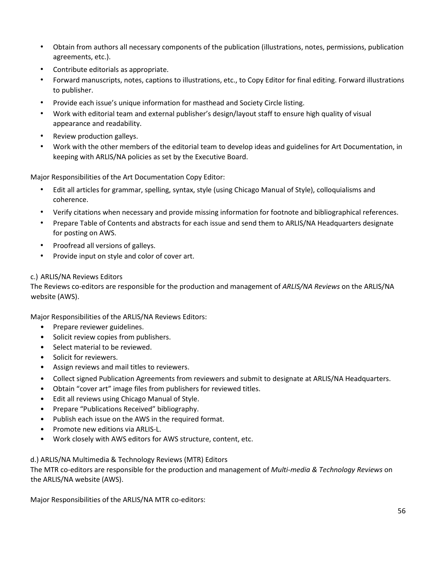- Obtain from authors all necessary components of the publication (illustrations, notes, permissions, publication agreements, etc.).
- Contribute editorials as appropriate.
- Forward manuscripts, notes, captions to illustrations, etc., to Copy Editor for final editing. Forward illustrations to publisher.
- Provide each issue's unique information for masthead and Society Circle listing.
- Work with editorial team and external publisher's design/layout staff to ensure high quality of visual appearance and readability.
- Review production galleys.
- Work with the other members of the editorial team to develop ideas and guidelines for Art Documentation, in keeping with ARLIS/NA policies as set by the Executive Board.

Major Responsibilities of the Art Documentation Copy Editor:

- Edit all articles for grammar, spelling, syntax, style (using Chicago Manual of Style), colloquialisms and coherence.
- Verify citations when necessary and provide missing information for footnote and bibliographical references.
- Prepare Table of Contents and abstracts for each issue and send them to ARLIS/NA Headquarters designate for posting on AWS.
- Proofread all versions of galleys.
- Provide input on style and color of cover art.

#### c.) ARLIS/NA Reviews Editors

The Reviews co-editors are responsible for the production and management of *ARLIS/NA Reviews* on the ARLIS/NA website (AWS).

Major Responsibilities of the ARLIS/NA Reviews Editors:

- Prepare reviewer guidelines.
- Solicit review copies from publishers.
- Select material to be reviewed.
- Solicit for reviewers.
- Assign reviews and mail titles to reviewers.
- Collect signed Publication Agreements from reviewers and submit to designate at ARLIS/NA Headquarters.
- Obtain "cover art" image files from publishers for reviewed titles.
- Edit all reviews using Chicago Manual of Style.
- Prepare "Publications Received" bibliography.
- Publish each issue on the AWS in the required format.
- Promote new editions via ARLIS-L.
- Work closely with AWS editors for AWS structure, content, etc.

d.) ARLIS/NA Multimedia & Technology Reviews (MTR) Editors

The MTR co-editors are responsible for the production and management of *Multi-media & Technology Reviews* on the ARLIS/NA website (AWS).

Major Responsibilities of the ARLIS/NA MTR co-editors: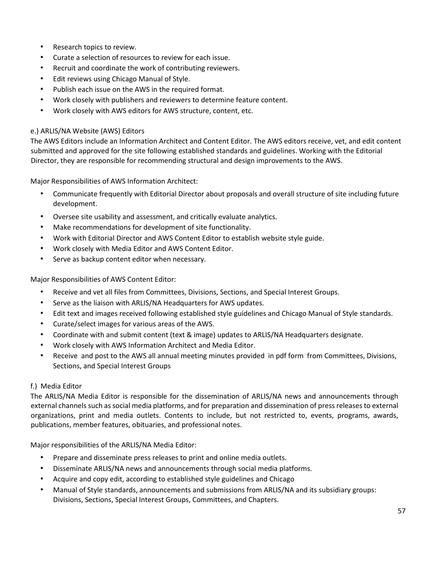- Research topics to review.
- Curate a selection of resources to review for each issue.
- Recruit and coordinate the work of contributing reviewers.
- Edit reviews using Chicago Manual of Style.
- Publish each issue on the AWS in the required format.
- Work closely with publishers and reviewers to determine feature content.
- Work closely with AWS editors for AWS structure, content, etc.

#### e.) ARLIS/NA Website (AWS) Editors

The AWS Editors include an Information Architect and Content Editor. The AWS editors receive, vet, and edit content submitted and approved for the site following established standards and guidelines. Working with the Editorial Director, they are responsible for recommending structural and design improvements to the AWS.

Major Responsibilities of AWS Information Architect:

- Communicate frequently with Editorial Director about proposals and overall structure of site including future development.
- Oversee site usability and assessment, and critically evaluate analytics.
- Make recommendations for development of site functionality.
- Work with Editorial Director and AWS Content Editor to establish website style guide.
- Work closely with Media Editor and AWS Content Editor.
- Serve as backup content editor when necessary.

Major Responsibilities of AWS Content Editor:

- Receive and vet all files from Committees, Divisions, Sections, and Special Interest Groups.
- Serve as the liaison with ARLIS/NA Headquarters for AWS updates.
- Edit text and images received following established style guidelines and Chicago Manual of Style standards.
- Curate/select images for various areas of the AWS.
- Coordinate with and submit content (text & image) updates to ARLIS/NA Headquarters designate.
- Work closely with AWS Information Architect and Media Editor.
- Receive and post to the AWS all annual meeting minutes provided in pdf form from Committees, Divisions, Sections, and Special Interest Groups

#### f.) Media Editor

The ARLIS/NA Media Editor is responsible for the dissemination of ARLIS/NA news and announcements through external channels such as social media platforms, and for preparation and dissemination of press releases to external organizations, print and media outlets. Contents to include, but not restricted to, events, programs, awards, publications, member features, obituaries, and professional notes.

Major responsibilities of the ARLIS/NA Media Editor:

- Prepare and disseminate press releases to print and online media outlets.
- Disseminate ARLIS/NA news and announcements through social media platforms.
- Acquire and copy edit, according to established style guidelines and Chicago
- Manual of Style standards, announcements and submissions from ARLIS/NA and its subsidiary groups: Divisions, Sections, Special Interest Groups, Committees, and Chapters.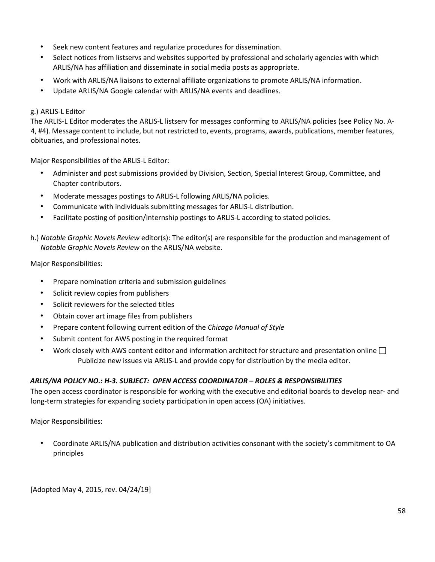- Seek new content features and regularize procedures for dissemination.
- Select notices from listservs and websites supported by professional and scholarly agencies with which ARLIS/NA has affiliation and disseminate in social media posts as appropriate.
- Work with ARLIS/NA liaisons to external affiliate organizations to promote ARLIS/NA information.
- Update ARLIS/NA Google calendar with ARLIS/NA events and deadlines.

#### g.) ARLIS-L Editor

The ARLIS-L Editor moderates the ARLIS-L listserv for messages conforming to ARLIS/NA policies (see Policy No. A-4, #4). Message content to include, but not restricted to, events, programs, awards, publications, member features, obituaries, and professional notes.

Major Responsibilities of the ARLIS-L Editor:

- Administer and post submissions provided by Division, Section, Special Interest Group, Committee, and Chapter contributors.
- Moderate messages postings to ARLIS-L following ARLIS/NA policies.
- Communicate with individuals submitting messages for ARLIS-L distribution.
- Facilitate posting of position/internship postings to ARLIS-L according to stated policies.
- h.) *Notable Graphic Novels Review* editor(s): The editor(s) are responsible for the production and management of *Notable Graphic Novels Review* on the ARLIS/NA website.

Major Responsibilities:

- Prepare nomination criteria and submission guidelines
- Solicit review copies from publishers
- Solicit reviewers for the selected titles
- Obtain cover art image files from publishers
- Prepare content following current edition of the *Chicago Manual of Style*
- Submit content for AWS posting in the required format
- Work closely with AWS content editor and information architect for structure and presentation online  $\square$ Publicize new issues via ARLIS-L and provide copy for distribution by the media editor.

#### *ARLIS/NA POLICY NO.: H-3. SUBJECT: OPEN ACCESS COORDINATOR – ROLES & RESPONSIBILITIES*

The open access coordinator is responsible for working with the executive and editorial boards to develop near- and long-term strategies for expanding society participation in open access (OA) initiatives.

Major Responsibilities:

• Coordinate ARLIS/NA publication and distribution activities consonant with the society's commitment to OA principles

[Adopted May 4, 2015, rev. 04/24/19]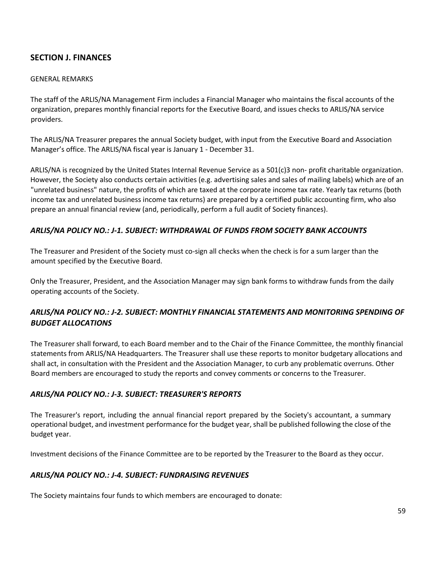# **SECTION J. FINANCES**

#### GENERAL REMARKS

The staff of the ARLIS/NA Management Firm includes a Financial Manager who maintains the fiscal accounts of the organization, prepares monthly financial reports for the Executive Board, and issues checks to ARLIS/NA service providers.

The ARLIS/NA Treasurer prepares the annual Society budget, with input from the Executive Board and Association Manager's office. The ARLIS/NA fiscal year is January 1 - December 31.

ARLIS/NA is recognized by the United States Internal Revenue Service as a 501(c)3 non- profit charitable organization. However, the Society also conducts certain activities (e.g. advertising sales and sales of mailing labels) which are of an "unrelated business" nature, the profits of which are taxed at the corporate income tax rate. Yearly tax returns (both income tax and unrelated business income tax returns) are prepared by a certified public accounting firm, who also prepare an annual financial review (and, periodically, perform a full audit of Society finances).

## *ARLIS/NA POLICY NO.: J-1. SUBJECT: WITHDRAWAL OF FUNDS FROM SOCIETY BANK ACCOUNTS*

The Treasurer and President of the Society must co-sign all checks when the check is for a sum larger than the amount specified by the Executive Board.

Only the Treasurer, President, and the Association Manager may sign bank forms to withdraw funds from the daily operating accounts of the Society.

# *ARLIS/NA POLICY NO.: J-2. SUBJECT: MONTHLY FINANCIAL STATEMENTS AND MONITORING SPENDING OF BUDGET ALLOCATIONS*

The Treasurer shall forward, to each Board member and to the Chair of the Finance Committee, the monthly financial statements from ARLIS/NA Headquarters. The Treasurer shall use these reports to monitor budgetary allocations and shall act, in consultation with the President and the Association Manager, to curb any problematic overruns. Other Board members are encouraged to study the reports and convey comments or concerns to the Treasurer.

#### *ARLIS/NA POLICY NO.: J-3. SUBJECT: TREASURER'S REPORTS*

The Treasurer's report, including the annual financial report prepared by the Society's accountant, a summary operational budget, and investment performance for the budget year, shall be published following the close of the budget year.

Investment decisions of the Finance Committee are to be reported by the Treasurer to the Board as they occur.

#### *ARLIS/NA POLICY NO.: J-4. SUBJECT: FUNDRAISING REVENUES*

The Society maintains four funds to which members are encouraged to donate: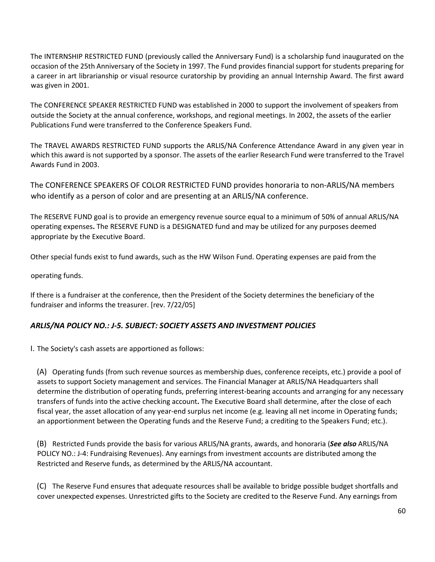The INTERNSHIP RESTRICTED FUND (previously called the Anniversary Fund) is a scholarship fund inaugurated on the occasion of the 25th Anniversary of the Society in 1997. The Fund provides financial support for students preparing for a career in art librarianship or visual resource curatorship by providing an annual Internship Award. The first award was given in 2001.

The CONFERENCE SPEAKER RESTRICTED FUND was established in 2000 to support the involvement of speakers from outside the Society at the annual conference, workshops, and regional meetings. In 2002, the assets of the earlier Publications Fund were transferred to the Conference Speakers Fund.

The TRAVEL AWARDS RESTRICTED FUND supports the ARLIS/NA Conference Attendance Award in any given year in which this award is not supported by a sponsor. The assets of the earlier Research Fund were transferred to the Travel Awards Fund in 2003.

The CONFERENCE SPEAKERS OF COLOR RESTRICTED FUND provides honoraria to non-ARLIS/NA members who identify as a person of color and are presenting at an ARLIS/NA conference.

The RESERVE FUND goal is to provide an emergency revenue source equal to a minimum of 50% of annual ARLIS/NA operating expenses**.** The RESERVE FUND is a DESIGNATED fund and may be utilized for any purposes deemed appropriate by the Executive Board.

Other special funds exist to fund awards, such as the HW Wilson Fund. Operating expenses are paid from the

operating funds.

If there is a fundraiser at the conference, then the President of the Society determines the beneficiary of the fundraiser and informs the treasurer. [rev. 7/22/05]

#### *ARLIS/NA POLICY NO.: J-5. SUBJECT: SOCIETY ASSETS AND INVESTMENT POLICIES*

I. The Society's cash assets are apportioned as follows:

(A) Operating funds (from such revenue sources as membership dues, conference receipts, etc.) provide a pool of assets to support Society management and services. The Financial Manager at ARLIS/NA Headquarters shall determine the distribution of operating funds, preferring interest-bearing accounts and arranging for any necessary transfers of funds into the active checking account**.** The Executive Board shall determine, after the close of each fiscal year, the asset allocation of any year-end surplus net income (e.g. leaving all net income in Operating funds; an apportionment between the Operating funds and the Reserve Fund; a crediting to the Speakers Fund; etc.).

(B) Restricted Funds provide the basis for various ARLIS/NA grants, awards, and honoraria (*See also* ARLIS/NA POLICY NO.: J-4: Fundraising Revenues). Any earnings from investment accounts are distributed among the Restricted and Reserve funds, as determined by the ARLIS/NA accountant.

(C) The Reserve Fund ensures that adequate resources shall be available to bridge possible budget shortfalls and cover unexpected expenses. Unrestricted gifts to the Society are credited to the Reserve Fund. Any earnings from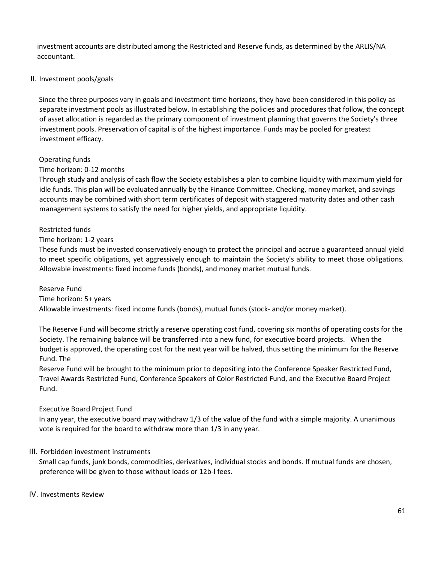investment accounts are distributed among the Restricted and Reserve funds, as determined by the ARLIS/NA accountant.

#### II. Investment pools/goals

Since the three purposes vary in goals and investment time horizons, they have been considered in this policy as separate investment pools as illustrated below. In establishing the policies and procedures that follow, the concept of asset allocation is regarded as the primary component of investment planning that governs the Society's three investment pools. Preservation of capital is of the highest importance. Funds may be pooled for greatest investment efficacy.

#### Operating funds

#### Time horizon: 0-12 months

Through study and analysis of cash flow the Society establishes a plan to combine liquidity with maximum yield for idle funds. This plan will be evaluated annually by the Finance Committee. Checking, money market, and savings accounts may be combined with short term certificates of deposit with staggered maturity dates and other cash management systems to satisfy the need for higher yields, and appropriate liquidity.

#### Restricted funds

#### Time horizon: 1-2 years

These funds must be invested conservatively enough to protect the principal and accrue a guaranteed annual yield to meet specific obligations, yet aggressively enough to maintain the Society's ability to meet those obligations. Allowable investments: fixed income funds (bonds), and money market mutual funds.

#### Reserve Fund

#### Time horizon: 5+ years

Allowable investments: fixed income funds (bonds), mutual funds (stock- and/or money market).

The Reserve Fund will become strictly a reserve operating cost fund, covering six months of operating costs for the Society. The remaining balance will be transferred into a new fund, for executive board projects. When the budget is approved, the operating cost for the next year will be halved, thus setting the minimum for the Reserve Fund. The

Reserve Fund will be brought to the minimum prior to depositing into the Conference Speaker Restricted Fund, Travel Awards Restricted Fund, Conference Speakers of Color Restricted Fund, and the Executive Board Project Fund.

#### Executive Board Project Fund

In any year, the executive board may withdraw 1/3 of the value of the fund with a simple majority. A unanimous vote is required for the board to withdraw more than 1/3 in any year.

#### III. Forbidden investment instruments

Small cap funds, junk bonds, commodities, derivatives, individual stocks and bonds. If mutual funds are chosen, preference will be given to those without loads or 12b-l fees.

#### IV. Investments Review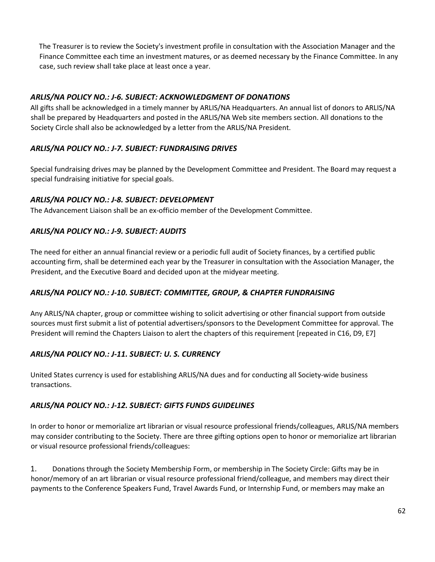The Treasurer is to review the Society's investment profile in consultation with the Association Manager and the Finance Committee each time an investment matures, or as deemed necessary by the Finance Committee. In any case, such review shall take place at least once a year.

## *ARLIS/NA POLICY NO.: J-6. SUBJECT: ACKNOWLEDGMENT OF DONATIONS*

All gifts shall be acknowledged in a timely manner by ARLIS/NA Headquarters. An annual list of donors to ARLIS/NA shall be prepared by Headquarters and posted in the ARLIS/NA Web site members section. All donations to the Society Circle shall also be acknowledged by a letter from the ARLIS/NA President.

## *ARLIS/NA POLICY NO.: J-7. SUBJECT: FUNDRAISING DRIVES*

Special fundraising drives may be planned by the Development Committee and President. The Board may request a special fundraising initiative for special goals.

#### *ARLIS/NA POLICY NO.: J-8. SUBJECT: DEVELOPMENT*

The Advancement Liaison shall be an ex-officio member of the Development Committee.

## *ARLIS/NA POLICY NO.: J-9. SUBJECT: AUDITS*

The need for either an annual financial review or a periodic full audit of Society finances, by a certified public accounting firm, shall be determined each year by the Treasurer in consultation with the Association Manager, the President, and the Executive Board and decided upon at the midyear meeting.

#### *ARLIS/NA POLICY NO.: J-10. SUBJECT: COMMITTEE, GROUP, & CHAPTER FUNDRAISING*

Any ARLIS/NA chapter, group or committee wishing to solicit advertising or other financial support from outside sources must first submit a list of potential advertisers/sponsors to the Development Committee for approval. The President will remind the Chapters Liaison to alert the chapters of this requirement [repeated in C16, D9, E7]

#### *ARLIS/NA POLICY NO.: J-11. SUBJECT: U. S. CURRENCY*

United States currency is used for establishing ARLIS/NA dues and for conducting all Society-wide business transactions.

#### *ARLIS/NA POLICY NO.: J-12. SUBJECT: GIFTS FUNDS GUIDELINES*

In order to honor or memorialize art librarian or visual resource professional friends/colleagues, ARLIS/NA members may consider contributing to the Society. There are three gifting options open to honor or memorialize art librarian or visual resource professional friends/colleagues:

1. Donations through the Society Membership Form, or membership in The Society Circle: Gifts may be in honor/memory of an art librarian or visual resource professional friend/colleague, and members may direct their payments to the Conference Speakers Fund, Travel Awards Fund, or Internship Fund, or members may make an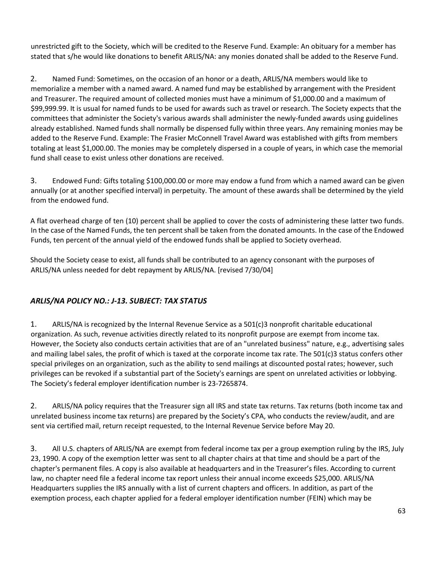unrestricted gift to the Society, which will be credited to the Reserve Fund. Example: An obituary for a member has stated that s/he would like donations to benefit ARLIS/NA: any monies donated shall be added to the Reserve Fund.

2. Named Fund: Sometimes, on the occasion of an honor or a death, ARLIS/NA members would like to memorialize a member with a named award. A named fund may be established by arrangement with the President and Treasurer. The required amount of collected monies must have a minimum of \$1,000.00 and a maximum of \$99,999.99. It is usual for named funds to be used for awards such as travel or research. The Society expects that the committees that administer the Society's various awards shall administer the newly-funded awards using guidelines already established. Named funds shall normally be dispensed fully within three years. Any remaining monies may be added to the Reserve Fund. Example: The Frasier McConnell Travel Award was established with gifts from members totaling at least \$1,000.00. The monies may be completely dispersed in a couple of years, in which case the memorial fund shall cease to exist unless other donations are received.

3. Endowed Fund: Gifts totaling \$100,000.00 or more may endow a fund from which a named award can be given annually (or at another specified interval) in perpetuity. The amount of these awards shall be determined by the yield from the endowed fund.

A flat overhead charge of ten (10) percent shall be applied to cover the costs of administering these latter two funds. In the case of the Named Funds, the ten percent shall be taken from the donated amounts. In the case of the Endowed Funds, ten percent of the annual yield of the endowed funds shall be applied to Society overhead.

Should the Society cease to exist, all funds shall be contributed to an agency consonant with the purposes of ARLIS/NA unless needed for debt repayment by ARLIS/NA. [revised 7/30/04]

# *ARLIS/NA POLICY NO.: J-13. SUBJECT: TAX STATUS*

1. ARLIS/NA is recognized by the Internal Revenue Service as a 501(c)3 nonprofit charitable educational organization. As such, revenue activities directly related to its nonprofit purpose are exempt from income tax. However, the Society also conducts certain activities that are of an "unrelated business" nature, e.g., advertising sales and mailing label sales, the profit of which is taxed at the corporate income tax rate. The 501(c)3 status confers other special privileges on an organization, such as the ability to send mailings at discounted postal rates; however, such privileges can be revoked if a substantial part of the Society's earnings are spent on unrelated activities or lobbying. The Society's federal employer identification number is 23-7265874.

2. ARLIS/NA policy requires that the Treasurer sign all IRS and state tax returns. Tax returns (both income tax and unrelated business income tax returns) are prepared by the Society's CPA, who conducts the review/audit, and are sent via certified mail, return receipt requested, to the Internal Revenue Service before May 20.

3. All U.S. chapters of ARLIS/NA are exempt from federal income tax per a group exemption ruling by the IRS, July 23, 1990. A copy of the exemption letter was sent to all chapter chairs at that time and should be a part of the chapter's permanent files. A copy is also available at headquarters and in the Treasurer's files. According to current law, no chapter need file a federal income tax report unless their annual income exceeds \$25,000. ARLIS/NA Headquarters supplies the IRS annually with a list of current chapters and officers. In addition, as part of the exemption process, each chapter applied for a federal employer identification number (FEIN) which may be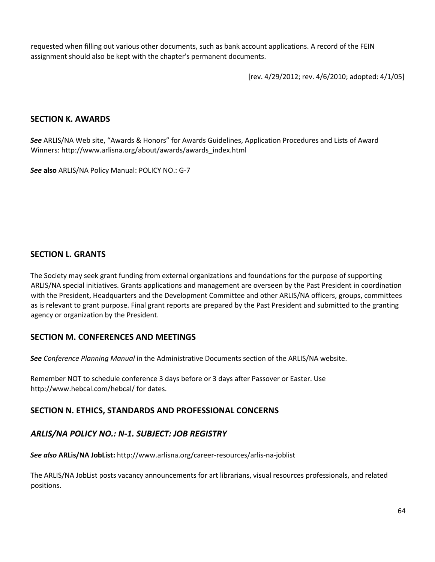requested when filling out various other documents, such as bank account applications. A record of the FEIN assignment should also be kept with the chapter's permanent documents.

[rev. 4/29/2012; rev. 4/6/2010; adopted: 4/1/05]

#### **SECTION K. AWARDS**

*See* ARLIS/NA Web site, "Awards & Honors" for Awards Guidelines, Application Procedures and Lists of Award Winners: [http://www.arlisna.org/about/awards/awards\\_index.html](http://www.arlisna.org/about/awards/awards_index.html)

*See* **also** ARLIS/NA Policy Manual: POLICY NO.: G-7

## **SECTION L. GRANTS**

The Society may seek grant funding from external organizations and foundations for the purpose of supporting ARLIS/NA special initiatives. Grants applications and management are overseen by the Past President in coordination with the President, Headquarters and the Development Committee and other ARLIS/NA officers, groups, committees as is relevant to grant purpose. Final grant reports are prepared by the Past President and submitted to the granting agency or organization by the President.

# **SECTION M. CONFERENCES AND MEETINGS**

*See Conference Planning Manual* in the Administrative Documents section of the ARLIS/NA website.

Remember NOT to schedule conference 3 days before or 3 days after Passover or Easter. Use <http://www.hebcal.com/hebcal/> [fo](http://www.hebcal.com/hebcal/)r dates.

# **SECTION N. ETHICS, STANDARDS AND PROFESSIONAL CONCERNS**

# *ARLIS/NA POLICY NO.: N-1. SUBJECT: JOB REGISTRY*

*See also* **ARLis/NA JobList:** <http://www.arlisna.org/career-resources/arlis-na-joblist>

The ARLIS/NA JobList posts vacancy announcements for art librarians, visual resources professionals, and related positions.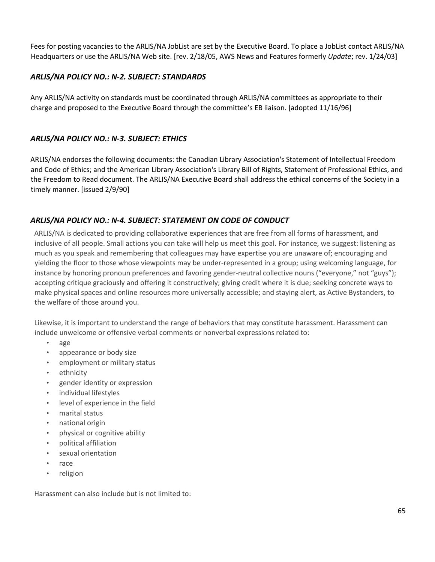Fees for posting vacancies to the ARLIS/NA JobList are set by the Executive Board. To place a JobList contact ARLIS/NA Headquarters or use the ARLIS/NA Web site. [rev. 2/18/05, AWS News and Features formerly *Update*; rev. 1/24/03]

#### *ARLIS/NA POLICY NO.: N-2. SUBJECT: STANDARDS*

Any ARLIS/NA activity on standards must be coordinated through ARLIS/NA committees as appropriate to their charge and proposed to the Executive Board through the committee's EB liaison. [adopted 11/16/96]

#### *ARLIS/NA POLICY NO.: N-3. SUBJECT: ETHICS*

ARLIS/NA endorses the following documents: the Canadian Library Association's Statement of Intellectual Freedom and Code of Ethics; and the American Library Association's Library Bill of Rights, Statement of Professional Ethics, and the Freedom to Read document. The ARLIS/NA Executive Board shall address the ethical concerns of the Society in a timely manner. [issued 2/9/90]

## *ARLIS/NA POLICY NO.: N-4. SUBJECT: STATEMENT ON CODE OF CONDUCT*

ARLIS/NA is dedicated to providing collaborative experiences that are free from all forms of harassment, and inclusive of all people. Small actions you can take will help us meet this goal. For instance, we suggest: listening as much as you speak and remembering that colleagues may have expertise you are unaware of; encouraging and yielding the floor to those whose viewpoints may be under-represented in a group; using welcoming language, for instance by honoring pronoun preferences and favoring gender-neutral collective nouns ("everyone," not "guys"); accepting critique graciously and offering it constructively; giving credit where it is due; seeking concrete ways to make physical spaces and online resources more universally accessible; and staying alert, as Active Bystanders, to the welfare of those around you.

Likewise, it is important to understand the range of behaviors that may constitute harassment. Harassment can include unwelcome or offensive verbal comments or nonverbal expressions related to:

- age
- appearance or body size
- employment or military status
- ethnicity
- gender identity or expression
- individual lifestyles
- level of experience in the field
- marital status
- national origin
- physical or cognitive ability
- political affiliation
- sexual orientation
- race
- religion

Harassment can also include but is not limited to: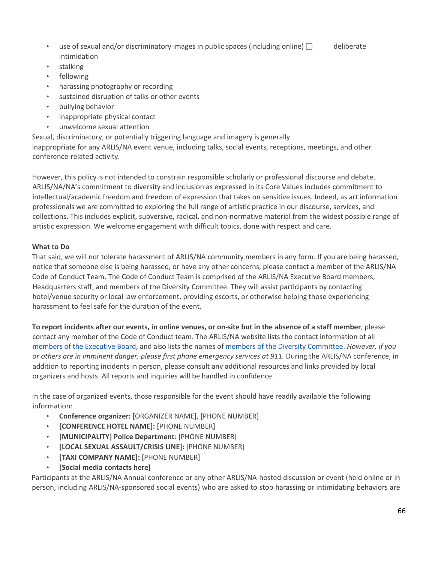- use of sexual and/or discriminatory images in public spaces (including online)  $\Box$  deliberate intimidation
- stalking
- following
- harassing photography or recording
- sustained disruption of talks or other events
- bullying behavior
- inappropriate physical contact
- unwelcome sexual attention

Sexual, discriminatory, or potentially triggering language and imagery is generally

inappropriate for any ARLIS/NA event venue, including talks, social events, receptions, meetings, and other conference-related activity.

However, this policy is not intended to constrain responsible scholarly or professional discourse and debate. ARLIS/NA/NA's commitment to diversity and inclusion as expressed in its Core Values includes commitment to intellectual/academic freedom and freedom of expression that takes on sensitive issues. Indeed, as art information professionals we are committed to exploring the full range of artistic practice in our discourse, services, and collections. This includes explicit, subversive, radical, and non-normative material from the widest possible range of artistic expression. We welcome engagement with difficult topics, done with respect and care.

#### **What to Do**

That said, we will not tolerate harassment of ARLIS/NA community members in any form. If you are being harassed, notice that someone else is being harassed, or have any other concerns, please contact a member of the ARLIS/NA Code of Conduct Team. The Code of Conduct Team is comprised of the ARLIS/NA Executive Board members, Headquarters staff, and members of the Diversity Committee. They will assist participants by contacting hotel/venue security or local law enforcement, providing escorts, or otherwise helping those experiencing harassment to feel safe for the duration of the event.

**To report incidents after our events, in online venues, or on-site but in the absence of a staff member**, please contact any member of the Code of Conduct team. The ARLIS/NA website lists the contact information of all [members](https://arlisna.org/organization/executive-board) [of](https://arlisna.org/organization/executive-board) [the](https://arlisna.org/organization/executive-board) [Executive](https://arlisna.org/organization/executive-board) [Board,](https://arlisna.org/organization/executive-board) and also lists the names of [members](https://arlisna.org/organization/committees/80-diversity-committee) [of](https://arlisna.org/organization/committees/80-diversity-committee) [the](https://arlisna.org/organization/committees/80-diversity-committee) [Diversity](https://arlisna.org/organization/committees/80-diversity-committee) [Committee.](https://arlisna.org/organization/committees/80-diversity-committee) *[Ho](https://arlisna.org/organization/committees/80-diversity-committee)wever, if you or others are in imminent danger, please first phone emergency services at 911.* During the ARLIS/NA conference, in addition to reporting incidents in person, please consult any additional resources and links provided by local organizers and hosts. All reports and inquiries will be handled in confidence.

In the case of organized events, those responsible for the event should have readily available the following information:

- **Conference organizer:** [ORGANIZER NAME], [PHONE NUMBER]
- **[CONFERENCE HOTEL NAME]:** [PHONE NUMBER]
- **[MUNICIPALITY] Police Department**: [PHONE NUMBER]
- **[LOCAL SEXUAL ASSAULT/CRISIS LINE]:** [PHONE NUMBER]
- **[TAXI COMPANY NAME]:** [PHONE NUMBER]
- **[Social media contacts here]**

Participants at the ARLIS/NA Annual conference or any other ARLIS/NA-hosted discussion or event (held online or in person, including ARLIS/NA-sponsored social events) who are asked to stop harassing or intimidating behaviors are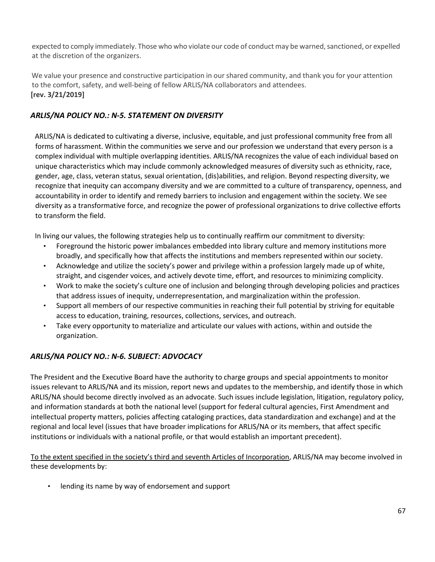expected to comply immediately. Those who who violate our code of conduct may be warned, sanctioned, or expelled at the discretion of the organizers.

We value your presence and constructive participation in our shared community, and thank you for your attention to the comfort, safety, and well-being of fellow ARLIS/NA collaborators and attendees. **[rev. 3/21/2019]** 

# *ARLIS/NA POLICY NO.: N-5. STATEMENT ON DIVERSITY*

ARLIS/NA is dedicated to cultivating a diverse, inclusive, equitable, and just professional community free from all forms of harassment. Within the communities we serve and our profession we understand that every person is a complex individual with multiple overlapping identities. ARLIS/NA recognizes the value of each individual based on unique characteristics which may include commonly acknowledged measures of diversity such as ethnicity, race, gender, age, class, veteran status, sexual orientation, (dis)abilities, and religion. Beyond respecting diversity, we recognize that inequity can accompany diversity and we are committed to a culture of transparency, openness, and accountability in order to identify and remedy barriers to inclusion and engagement within the society. We see diversity as a transformative force, and recognize the power of professional organizations to drive collective efforts to transform the field.

In living our values, the following strategies help us to continually reaffirm our commitment to diversity:

- Foreground the historic power imbalances embedded into library culture and memory institutions more broadly, and specifically how that affects the institutions and members represented within our society.
- Acknowledge and utilize the society's power and privilege within a profession largely made up of white, straight, and cisgender voices, and actively devote time, effort, and resources to minimizing complicity.
- Work to make the society's culture one of inclusion and belonging through developing policies and practices that address issues of inequity, underrepresentation, and marginalization within the profession.
- Support all members of our respective communities in reaching their full potential by striving for equitable access to education, training, resources, collections, services, and outreach.
- Take every opportunity to materialize and articulate our values with actions, within and outside the organization.

# *ARLIS/NA POLICY NO.: N-6. SUBJECT: ADVOCACY*

The President and the Executive Board have the authority to charge groups and special appointments to monitor issues relevant to ARLIS/NA and its mission, report news and updates to the membership, and identify those in which ARLIS/NA should become directly involved as an advocate. Such issues include legislation, litigation, regulatory policy, and information standards at both the national level (support for federal cultural agencies, First Amendment and intellectual property matters, policies affecting cataloging practices, data standardization and exchange) and at the regional and local level (issues that have broader implications for ARLIS/NA or its members, that affect specific institutions or individuals with a national profile, or that would establish an important precedent).

To the extent specified in the society's third and seventh Articles of Incorporation, ARLIS/NA may become involved in these developments by:

• lending its name by way of endorsement and support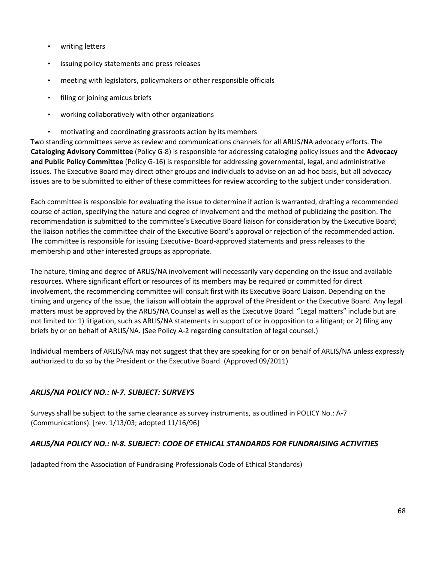- writing letters
- issuing policy statements and press releases
- meeting with legislators, policymakers or other responsible officials
- filing or joining amicus briefs
- working collaboratively with other organizations
- motivating and coordinating grassroots action by its members

Two standing committees serve as review and communications channels for all ARLIS/NA advocacy efforts. The **Cataloging Advisory Committee** (Policy G-8) is responsible for addressing cataloging policy issues and the **Advocacy and Public Policy Committee** (Policy G-16) is responsible for addressing governmental, legal, and administrative issues. The Executive Board may direct other groups and individuals to advise on an ad-hoc basis, but all advocacy issues are to be submitted to either of these committees for review according to the subject under consideration.

Each committee is responsible for evaluating the issue to determine if action is warranted, drafting a recommended course of action, specifying the nature and degree of involvement and the method of publicizing the position. The recommendation is submitted to the committee's Executive Board liaison for consideration by the Executive Board; the liaison notifies the committee chair of the Executive Board's approval or rejection of the recommended action. The committee is responsible for issuing Executive- Board-approved statements and press releases to the membership and other interested groups as appropriate.

The nature, timing and degree of ARLIS/NA involvement will necessarily vary depending on the issue and available resources. Where significant effort or resources of its members may be required or committed for direct involvement, the recommending committee will consult first with its Executive Board Liaison. Depending on the timing and urgency of the issue, the liaison will obtain the approval of the President or the Executive Board. Any legal matters must be approved by the ARLIS/NA Counsel as well as the Executive Board. "Legal matters" include but are not limited to: 1) litigation, such as ARLIS/NA statements in support of or in opposition to a litigant; or 2) filing any briefs by or on behalf of ARLIS/NA. (See Policy A-2 regarding consultation of legal counsel.)

Individual members of ARLIS/NA may not suggest that they are speaking for or on behalf of ARLIS/NA unless expressly authorized to do so by the President or the Executive Board. (Approved 09/2011)

# *ARLIS/NA POLICY NO.: N-7. SUBJECT: SURVEYS*

Surveys shall be subject to the same clearance as survey instruments, as outlined in POLICY No.: A-7 (Communications). [rev. 1/13/03; adopted 11/16/96]

#### *ARLIS/NA POLICY NO.: N-8. SUBJECT: CODE OF ETHICAL STANDARDS FOR FUNDRAISING ACTIVITIES*

(adapted from the Association of Fundraising Professionals Code of Ethical Standards)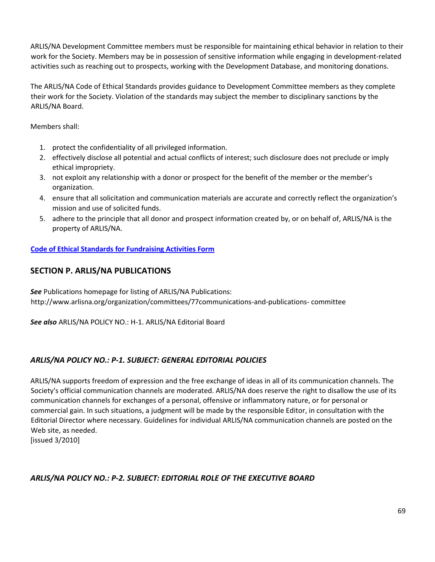ARLIS/NA Development Committee members must be responsible for maintaining ethical behavior in relation to their work for the Society. Members may be in possession of sensitive information while engaging in development-related activities such as reaching out to prospects, working with the Development Database, and monitoring donations.

The ARLIS/NA Code of Ethical Standards provides guidance to Development Committee members as they complete their work for the Society. Violation of the standards may subject the member to disciplinary sanctions by the ARLIS/NA Board.

Members shall:

- 1. protect the confidentiality of all privileged information.
- 2. effectively disclose all potential and actual conflicts of interest; such disclosure does not preclude or imply ethical impropriety.
- 3. not exploit any relationship with a donor or prospect for the benefit of the member or the member's organization.
- 4. ensure that all solicitation and communication materials are accurate and correctly reflect the organization's mission and use of solicited funds.
- 5. adhere to the principle that all donor and prospect information created by, or on behalf of, ARLIS/NA is the property of ARLIS/NA.

**[Code of Ethical Standards for Fundraising Activities Form](https://www.arlisna.org/images/admindocs/forms/ARLISNA_Code_of_Ethical_Standards_for_Fundraising_Activities.pdf)**

# **SECTION P. ARLIS/NA PUBLICATIONS**

*See* Publications homepage for listing of ARLIS/NA Publications: [http://www.arlisna.org/organization/committees/77communications-and-publications-](http://www.arlisna.org/organization/committees/77-communications-and-publications-) committee

*See also* ARLIS/NA POLICY NO.: H-1. ARLIS/NA Editorial Board

# *ARLIS/NA POLICY NO.: P-1. SUBJECT: GENERAL EDITORIAL POLICIES*

ARLIS/NA supports freedom of expression and the free exchange of ideas in all of its communication channels. The Society's official communication channels are moderated. ARLIS/NA does reserve the right to disallow the use of its communication channels for exchanges of a personal, offensive or inflammatory nature, or for personal or commercial gain. In such situations, a judgment will be made by the responsible Editor, in consultation with the Editorial Director where necessary. Guidelines for individual ARLIS/NA communication channels are posted on the Web site, as needed.

[issued 3/2010]

# *ARLIS/NA POLICY NO.: P-2. SUBJECT: EDITORIAL ROLE OF THE EXECUTIVE BOARD*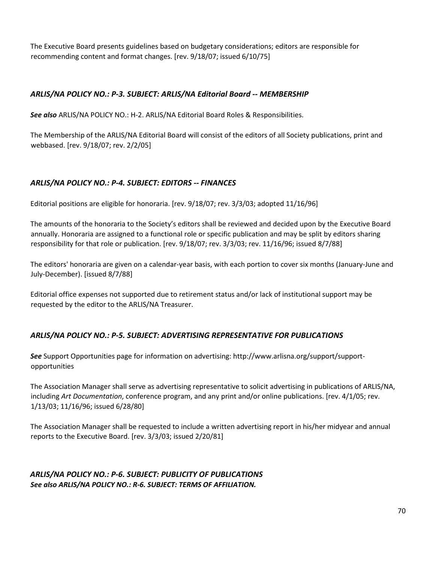The Executive Board presents guidelines based on budgetary considerations; editors are responsible for recommending content and format changes. [rev. 9/18/07; issued 6/10/75]

## *ARLIS/NA POLICY NO.: P-3. SUBJECT: ARLIS/NA Editorial Board -- MEMBERSHIP*

*See also* ARLIS/NA POLICY NO.: H-2. ARLIS/NA Editorial Board Roles & Responsibilities.

The Membership of the ARLIS/NA Editorial Board will consist of the editors of all Society publications, print and webbased. [rev. 9/18/07; rev. 2/2/05]

## *ARLIS/NA POLICY NO.: P-4. SUBJECT: EDITORS -- FINANCES*

Editorial positions are eligible for honoraria. [rev. 9/18/07; rev. 3/3/03; adopted 11/16/96]

The amounts of the honoraria to the Society's editors shall be reviewed and decided upon by the Executive Board annually. Honoraria are assigned to a functional role or specific publication and may be split by editors sharing responsibility for that role or publication. [rev. 9/18/07; rev. 3/3/03; rev. 11/16/96; issued 8/7/88]

The editors' honoraria are given on a calendar-year basis, with each portion to cover six months (January-June and July-December). [issued 8/7/88]

Editorial office expenses not supported due to retirement status and/or lack of institutional support may be requested by the editor to the ARLIS/NA Treasurer.

#### *ARLIS/NA POLICY NO.: P-5. SUBJECT: ADVERTISING REPRESENTATIVE FOR PUBLICATIONS*

*See* Support Opportunities page for information on advertising: http://www.arlisna.org/support/supportopportunities

The Association Manager shall serve as advertising representative to solicit advertising in publications of ARLIS/NA, including *Art Documentation*, conference program, and any print and/or online publications. [rev. 4/1/05; rev. 1/13/03; 11/16/96; issued 6/28/80]

The Association Manager shall be requested to include a written advertising report in his/her midyear and annual reports to the Executive Board. [rev. 3/3/03; issued 2/20/81]

# *ARLIS/NA POLICY NO.: P-6. SUBJECT: PUBLICITY OF PUBLICATIONS See also ARLIS/NA POLICY NO.: R-6. SUBJECT: TERMS OF AFFILIATION.*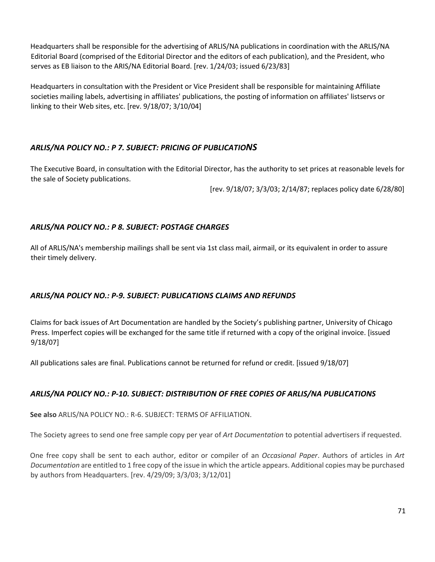Headquarters shall be responsible for the advertising of ARLIS/NA publications in coordination with the ARLIS/NA Editorial Board (comprised of the Editorial Director and the editors of each publication), and the President, who serves as EB liaison to the ARIS/NA Editorial Board. [rev. 1/24/03; issued 6/23/83]

Headquarters in consultation with the President or Vice President shall be responsible for maintaining Affiliate societies mailing labels, advertising in affiliates' publications, the posting of information on affiliates' listservs or linking to their Web sites, etc. [rev. 9/18/07; 3/10/04]

# *ARLIS/NA POLICY NO.: P 7. SUBJECT: PRICING OF PUBLICATIONS*

The Executive Board, in consultation with the Editorial Director, has the authority to set prices at reasonable levels for the sale of Society publications.

[rev. 9/18/07; 3/3/03; 2/14/87; replaces policy date 6/28/80]

# *ARLIS/NA POLICY NO.: P 8. SUBJECT: POSTAGE CHARGES*

All of ARLIS/NA's membership mailings shall be sent via 1st class mail, airmail, or its equivalent in order to assure their timely delivery.

# *ARLIS/NA POLICY NO.: P-9. SUBJECT: PUBLICATIONS CLAIMS AND REFUNDS*

Claims for back issues of Art Documentation are handled by the Society's publishing partner, University of Chicago Press. Imperfect copies will be exchanged for the same title if returned with a copy of the original invoice. [issued 9/18/07]

All publications sales are final. Publications cannot be returned for refund or credit. [issued 9/18/07]

# *ARLIS/NA POLICY NO.: P-10. SUBJECT: DISTRIBUTION OF FREE COPIES OF ARLIS/NA PUBLICATIONS*

**See also** ARLIS/NA POLICY NO.: R-6. SUBJECT: TERMS OF AFFILIATION.

The Society agrees to send one free sample copy per year of *Art Documentation* to potential advertisers if requested.

One free copy shall be sent to each author, editor or compiler of an *Occasional Paper*. Authors of articles in *Art Documentation* are entitled to 1 free copy of the issue in which the article appears. Additional copies may be purchased by authors from Headquarters. [rev. 4/29/09; 3/3/03; 3/12/01]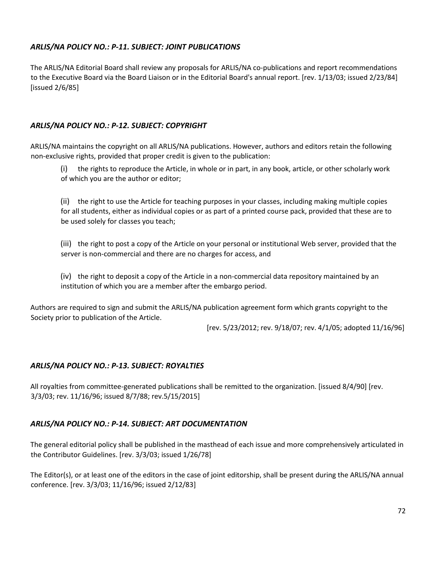# *ARLIS/NA POLICY NO.: P-11. SUBJECT: JOINT PUBLICATIONS*

The ARLIS/NA Editorial Board shall review any proposals for ARLIS/NA co-publications and report recommendations to the Executive Board via the Board Liaison or in the Editorial Board's annual report. [rev. 1/13/03; issued 2/23/84] [issued 2/6/85]

## *ARLIS/NA POLICY NO.: P-12. SUBJECT: COPYRIGHT*

ARLIS/NA maintains the copyright on all ARLIS/NA publications. However, authors and editors retain the following non-exclusive rights, provided that proper credit is given to the publication:

(i) the rights to reproduce the Article, in whole or in part, in any book, article, or other scholarly work of which you are the author or editor;

(ii) the right to use the Article for teaching purposes in your classes, including making multiple copies for all students, either as individual copies or as part of a printed course pack, provided that these are to be used solely for classes you teach;

(iii) the right to post a copy of the Article on your personal or institutional Web server, provided that the server is non-commercial and there are no charges for access, and

(iv) the right to deposit a copy of the Article in a non-commercial data repository maintained by an institution of which you are a member after the embargo period.

Authors are required to sign and submit the ARLIS/NA publication agreement form which grants copyright to the Society prior to publication of the Article.

[rev. 5/23/2012; rev. 9/18/07; rev. 4/1/05; adopted 11/16/96]

#### *ARLIS/NA POLICY NO.: P-13. SUBJECT: ROYALTIES*

All royalties from committee-generated publications shall be remitted to the organization. [issued 8/4/90] [rev. 3/3/03; rev. 11/16/96; issued 8/7/88; rev.5/15/2015]

#### *ARLIS/NA POLICY NO.: P-14. SUBJECT: ART DOCUMENTATION*

The general editorial policy shall be published in the masthead of each issue and more comprehensively articulated in the Contributor Guidelines. [rev. 3/3/03; issued 1/26/78]

The Editor(s), or at least one of the editors in the case of joint editorship, shall be present during the ARLIS/NA annual conference. [rev. 3/3/03; 11/16/96; issued 2/12/83]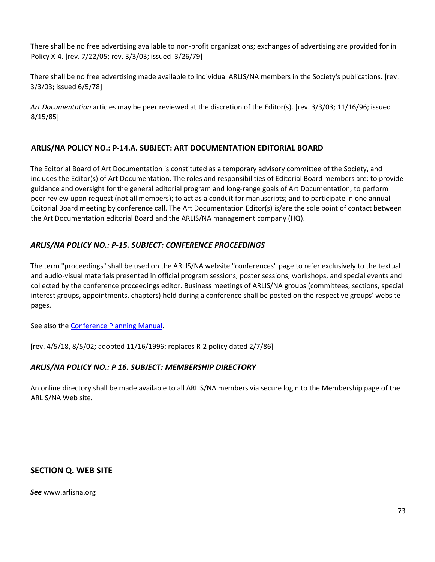There shall be no free advertising available to non-profit organizations; exchanges of advertising are provided for in Policy X-4*.* [rev. 7/22/05; rev. 3/3/03; issued 3/26/79]

There shall be no free advertising made available to individual ARLIS/NA members in the Society's publications. [rev. 3/3/03; issued 6/5/78]

*Art Documentation* articles may be peer reviewed at the discretion of the Editor(s). [rev. 3/3/03; 11/16/96; issued 8/15/85]

### **ARLIS/NA POLICY NO.: P-14.A. SUBJECT: ART DOCUMENTATION EDITORIAL BOARD**

The Editorial Board of Art Documentation is constituted as a temporary advisory committee of the Society, and includes the Editor(s) of Art Documentation. The roles and responsibilities of Editorial Board members are: to provide guidance and oversight for the general editorial program and long-range goals of Art Documentation; to perform peer review upon request (not all members); to act as a conduit for manuscripts; and to participate in one annual Editorial Board meeting by conference call. The Art Documentation Editor(s) is/are the sole point of contact between the Art Documentation editorial Board and the ARLIS/NA management company (HQ).

# *ARLIS/NA POLICY NO.: P-15. SUBJECT: CONFERENCE PROCEEDINGS*

The term "proceedings" shall be used on the ARLIS/NA website "conferences" page to refer exclusively to the textual and audio-visual materials presented in official program sessions, poster sessions, workshops, and special events and collected by the conference proceedings editor. Business meetings of ARLIS/NA groups (committees, sections, special interest groups, appointments, chapters) held during a conference shall be posted on the respective groups' website pages.

See also th[e Conference Planning Manual.](https://arlisna.org/images/admindocs/planning/confplanman.pdf)

[rev. 4/5/18, 8/5/02; adopted 11/16/1996; replaces R-2 policy dated 2/7/86]

### *ARLIS/NA POLICY NO.: P 16. SUBJECT: MEMBERSHIP DIRECTORY*

An online directory shall be made available to all ARLIS/NA members via secure login to the Membership page of the ARLIS/NA Web site.

### **SECTION Q. WEB SITE**

*See* [www.arlisna.org](http://www.arlisna.org/)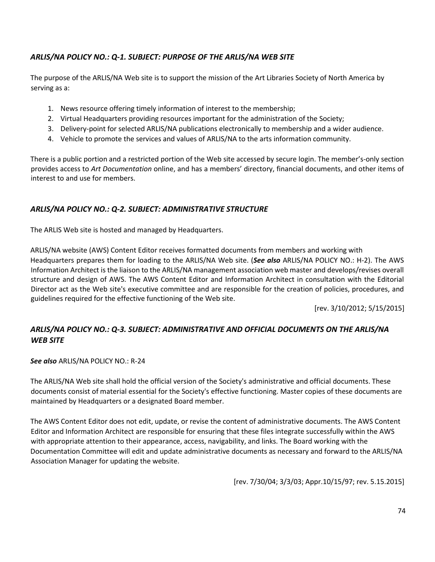# *ARLIS/NA POLICY NO.: Q-1. SUBJECT: PURPOSE OF THE ARLIS/NA WEB SITE*

The purpose of the ARLIS/NA Web site is to support the mission of the Art Libraries Society of North America by serving as a:

- 1. News resource offering timely information of interest to the membership;
- 2. Virtual Headquarters providing resources important for the administration of the Society;
- 3. Delivery-point for selected ARLIS/NA publications electronically to membership and a wider audience.
- 4. Vehicle to promote the services and values of ARLIS/NA to the arts information community.

There is a public portion and a restricted portion of the Web site accessed by secure login. The member's-only section provides access to *Art Documentation* online, and has a members' directory, financial documents, and other items of interest to and use for members.

#### *ARLIS/NA POLICY NO.: Q-2. SUBJECT: ADMINISTRATIVE STRUCTURE*

The ARLIS Web site is hosted and managed by Headquarters.

ARLIS/NA website (AWS) Content Editor receives formatted documents from members and working with Headquarters prepares them for loading to the ARLIS/NA Web site. (*See also* ARLIS/NA POLICY NO.: H-2). The AWS Information Architect is the liaison to the ARLIS/NA management association web master and develops/revises overall structure and design of AWS. The AWS Content Editor and Information Architect in consultation with the Editorial Director act as the Web site's executive committee and are responsible for the creation of policies, procedures, and guidelines required for the effective functioning of the Web site.

[rev. 3/10/2012; 5/15/2015]

# *ARLIS/NA POLICY NO.: Q-3. SUBJECT: ADMINISTRATIVE AND OFFICIAL DOCUMENTS ON THE ARLIS/NA WEB SITE*

*See also* ARLIS/NA POLICY NO.: R-24

The ARLIS/NA Web site shall hold the official version of the Society's administrative and official documents. These documents consist of material essential for the Society's effective functioning. Master copies of these documents are maintained by Headquarters or a designated Board member.

The AWS Content Editor does not edit, update, or revise the content of administrative documents. The AWS Content Editor and Information Architect are responsible for ensuring that these files integrate successfully within the AWS with appropriate attention to their appearance, access, navigability, and links. The Board working with the Documentation Committee will edit and update administrative documents as necessary and forward to the ARLIS/NA Association Manager for updating the website.

[rev. 7/30/04; 3/3/03; Appr.10/15/97; rev. 5.15.2015]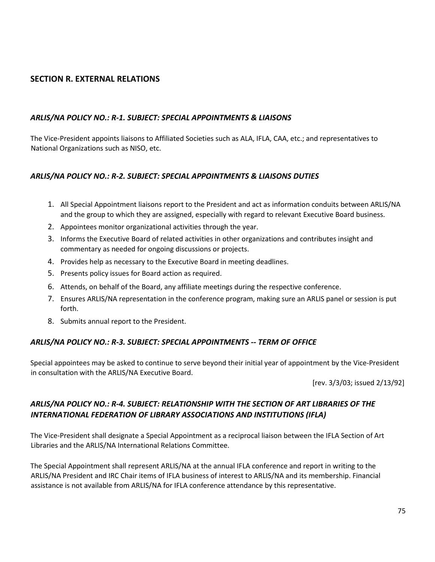# **SECTION R. EXTERNAL RELATIONS**

#### *ARLIS/NA POLICY NO.: R-1. SUBJECT: SPECIAL APPOINTMENTS & LIAISONS*

The Vice-President appoints liaisons to Affiliated Societies such as ALA, IFLA, CAA, etc.; and representatives to National Organizations such as NISO, etc.

#### *ARLIS/NA POLICY NO.: R-2. SUBJECT: SPECIAL APPOINTMENTS & LIAISONS DUTIES*

- 1. All Special Appointment liaisons report to the President and act as information conduits between ARLIS/NA and the group to which they are assigned, especially with regard to relevant Executive Board business.
- 2. Appointees monitor organizational activities through the year.
- 3. Informs the Executive Board of related activities in other organizations and contributes insight and commentary as needed for ongoing discussions or projects.
- 4. Provides help as necessary to the Executive Board in meeting deadlines.
- 5. Presents policy issues for Board action as required.
- 6. Attends, on behalf of the Board, any affiliate meetings during the respective conference.
- 7. Ensures ARLIS/NA representation in the conference program, making sure an ARLIS panel or session is put forth.
- 8. Submits annual report to the President.

#### *ARLIS/NA POLICY NO.: R-3. SUBJECT: SPECIAL APPOINTMENTS -- TERM OF OFFICE*

Special appointees may be asked to continue to serve beyond their initial year of appointment by the Vice-President in consultation with the ARLIS/NA Executive Board.

[rev. 3/3/03; issued 2/13/92]

# *ARLIS/NA POLICY NO.: R-4. SUBJECT: RELATIONSHIP WITH THE SECTION OF ART LIBRARIES OF THE INTERNATIONAL FEDERATION OF LIBRARY ASSOCIATIONS AND INSTITUTIONS (IFLA)*

The Vice-President shall designate a Special Appointment as a reciprocal liaison between the IFLA Section of Art Libraries and the ARLIS/NA International Relations Committee.

The Special Appointment shall represent ARLIS/NA at the annual IFLA conference and report in writing to the ARLIS/NA President and IRC Chair items of IFLA business of interest to ARLIS/NA and its membership. Financial assistance is not available from ARLIS/NA for IFLA conference attendance by this representative.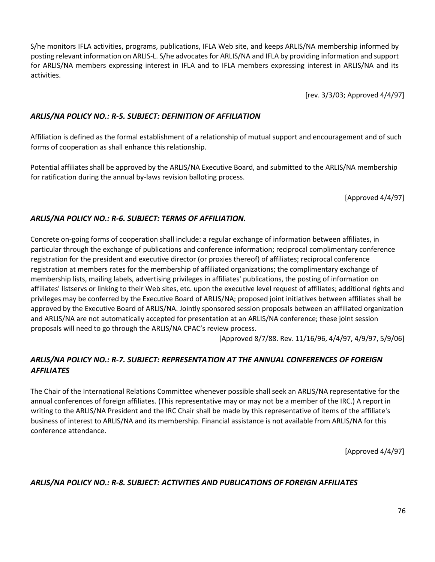S/he monitors IFLA activities, programs, publications, IFLA Web site, and keeps ARLIS/NA membership informed by posting relevant information on ARLIS-L. S/he advocates for ARLIS/NA and IFLA by providing information and support for ARLIS/NA members expressing interest in IFLA and to IFLA members expressing interest in ARLIS/NA and its activities.

[rev. 3/3/03; Approved 4/4/97]

#### *ARLIS/NA POLICY NO.: R-5. SUBJECT: DEFINITION OF AFFILIATION*

Affiliation is defined as the formal establishment of a relationship of mutual support and encouragement and of such forms of cooperation as shall enhance this relationship.

Potential affiliates shall be approved by the ARLIS/NA Executive Board, and submitted to the ARLIS/NA membership for ratification during the annual by-laws revision balloting process.

[Approved 4/4/97]

# *ARLIS/NA POLICY NO.: R-6. SUBJECT: TERMS OF AFFILIATION.*

Concrete on-going forms of cooperation shall include: a regular exchange of information between affiliates, in particular through the exchange of publications and conference information; reciprocal complimentary conference registration for the president and executive director (or proxies thereof) of affiliates; reciprocal conference registration at members rates for the membership of affiliated organizations; the complimentary exchange of membership lists, mailing labels, advertising privileges in affiliates' publications, the posting of information on affiliates' listservs or linking to their Web sites, etc. upon the executive level request of affiliates; additional rights and privileges may be conferred by the Executive Board of ARLIS/NA; proposed joint initiatives between affiliates shall be approved by the Executive Board of ARLIS/NA. Jointly sponsored session proposals between an affiliated organization and ARLIS/NA are not automatically accepted for presentation at an ARLIS/NA conference; these joint session proposals will need to go through the ARLIS/NA CPAC's review process.

[Approved 8/7/88. Rev. 11/16/96, 4/4/97, 4/9/97, 5/9/06]

# *ARLIS/NA POLICY NO.: R-7. SUBJECT: REPRESENTATION AT THE ANNUAL CONFERENCES OF FOREIGN AFFILIATES*

The Chair of the International Relations Committee whenever possible shall seek an ARLIS/NA representative for the annual conferences of foreign affiliates. (This representative may or may not be a member of the IRC.) A report in writing to the ARLIS/NA President and the IRC Chair shall be made by this representative of items of the affiliate's business of interest to ARLIS/NA and its membership. Financial assistance is not available from ARLIS/NA for this conference attendance.

[Approved 4/4/97]

### *ARLIS/NA POLICY NO.: R-8. SUBJECT: ACTIVITIES AND PUBLICATIONS OF FOREIGN AFFILIATES*